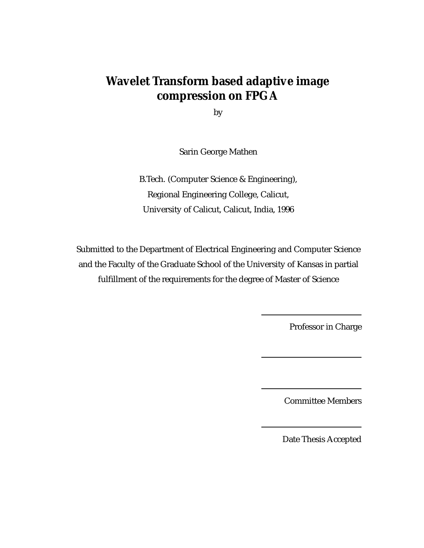# **Wavelet Transform based adaptive image compression on FPGA**

by

Sarin George Mathen

B.Tech. (Computer Science & Engineering), Regional Engineering College, Calicut, University of Calicut, Calicut, India, 1996

Submitted to the Department of Electrical Engineering and Computer Science and the Faculty of the Graduate School of the University of Kansas in partial fulfillment of the requirements for the degree of Master of Science

Professor in Charge

Committee Members

Date Thesis Accepted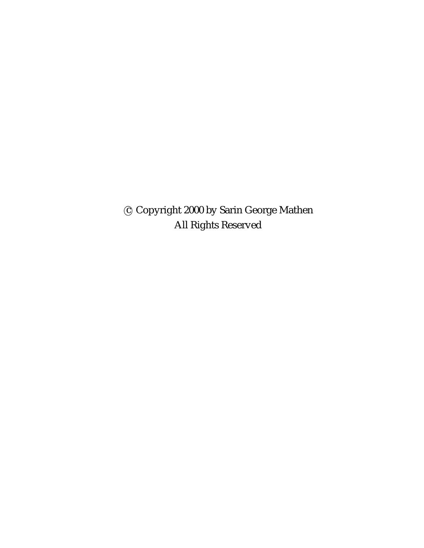c Copyright 2000 by Sarin George Mathen All Rights Reserved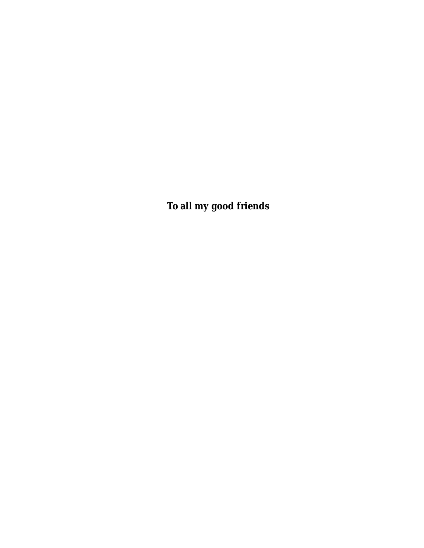**To all my good friends**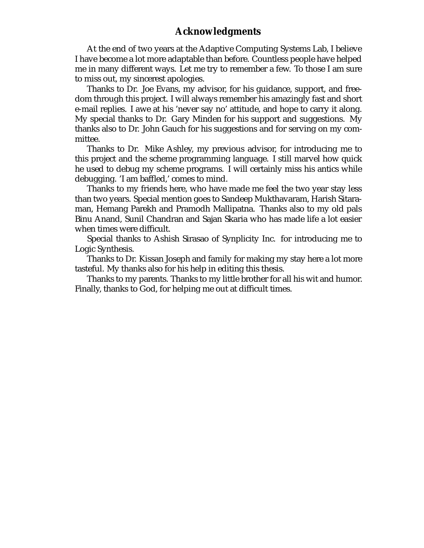### **Acknowledgments**

At the end of two years at the Adaptive Computing Systems Lab, I believe I have become a lot more adaptable than before. Countless people have helped me in many different ways. Let me try to remember a few. To those I am sure to miss out, my sincerest apologies.

Thanks to Dr. Joe Evans, my advisor, for his guidance, support, and freedom through this project. I will always remember his amazingly fast and short e-mail replies. I awe at his 'never say no' attitude, and hope to carry it along. My special thanks to Dr. Gary Minden for his support and suggestions. My thanks also to Dr. John Gauch for his suggestions and for serving on my committee.

Thanks to Dr. Mike Ashley, my previous advisor, for introducing me to this project and the scheme programming language. I still marvel how quick he used to debug my scheme programs. I will certainly miss his antics while debugging. 'I am baffled,' comes to mind.

Thanks to my friends here, who have made me feel the two year stay less than two years. Special mention goes to Sandeep Mukthavaram, Harish Sitaraman, Hemang Parekh and Pramodh Mallipatna. Thanks also to my old pals Binu Anand, Sunil Chandran and Sajan Skaria who has made life a lot easier when times were difficult.

Special thanks to Ashish Sirasao of Synplicity Inc. for introducing me to Logic Synthesis.

Thanks to Dr. Kissan Joseph and family for making my stay here a lot more tasteful. My thanks also for his help in editing this thesis.

Thanks to my parents. Thanks to my little brother for all his wit and humor. Finally, thanks to God, for helping me out at difficult times.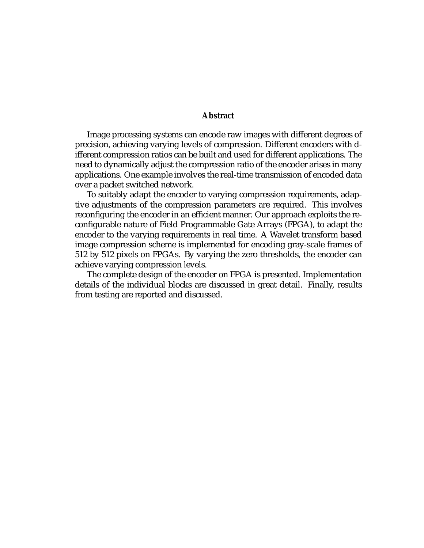#### **Abstract**

Image processing systems can encode raw images with different degrees of precision, achieving varying levels of compression. Different encoders with different compression ratios can be built and used for different applications. The need to dynamically adjust the compression ratio of the encoder arises in many applications. One example involves the real-time transmission of encoded data over a packet switched network.

To suitably adapt the encoder to varying compression requirements, adaptive adjustments of the compression parameters are required. This involves reconfiguring the encoder in an efficient manner. Our approach exploits the reconfigurable nature of Field Programmable Gate Arrays (FPGA), to adapt the encoder to the varying requirements in real time. A Wavelet transform based image compression scheme is implemented for encoding gray-scale frames of 512 by 512 pixels on FPGAs. By varying the zero thresholds, the encoder can achieve varying compression levels.

The complete design of the encoder on FPGA is presented. Implementation details of the individual blocks are discussed in great detail. Finally, results from testing are reported and discussed.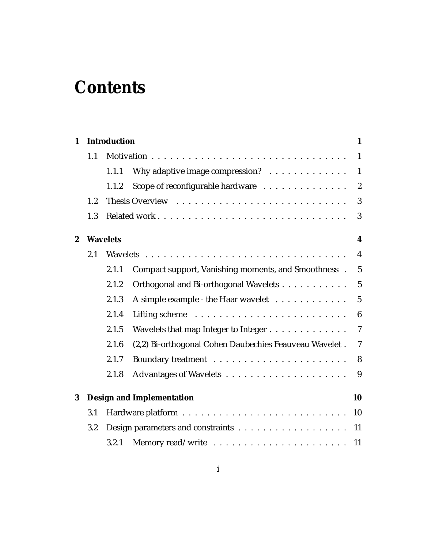# **Contents**

|     |       |                                                        | 1                                                       |
|-----|-------|--------------------------------------------------------|---------------------------------------------------------|
| 1.1 |       |                                                        | $\mathbf{1}$                                            |
|     | 1.1.1 | Why adaptive image compression?                        | $\mathbf{1}$                                            |
|     | 1.1.2 | Scope of reconfigurable hardware                       | $\overline{2}$                                          |
| 1.2 |       |                                                        | 3                                                       |
| 1.3 |       |                                                        | 3                                                       |
|     |       |                                                        | 4                                                       |
| 2.1 |       |                                                        | $\overline{4}$                                          |
|     | 2.1.1 | Compact support, Vanishing moments, and Smoothness.    | $\overline{5}$                                          |
|     | 2.1.2 | Orthogonal and Bi-orthogonal Wavelets                  | $5\phantom{.0}$                                         |
|     | 2.1.3 | A simple example - the Haar wavelet                    | $\overline{5}$                                          |
|     | 2.1.4 |                                                        | $6\phantom{1}6$                                         |
|     | 2.1.5 | Wavelets that map Integer to Integer                   | $\overline{7}$                                          |
|     | 2.1.6 | (2,2) Bi-orthogonal Cohen Daubechies Feauveau Wavelet. | $\overline{7}$                                          |
|     | 2.1.7 |                                                        | 8                                                       |
|     | 2.1.8 |                                                        | 9                                                       |
|     |       |                                                        | 10                                                      |
| 3.1 |       |                                                        | 10                                                      |
| 3.2 |       |                                                        | 11                                                      |
|     | 3.2.1 |                                                        | 11                                                      |
|     |       | <b>Wavelets</b>                                        | <b>Introduction</b><br><b>Design and Implementation</b> |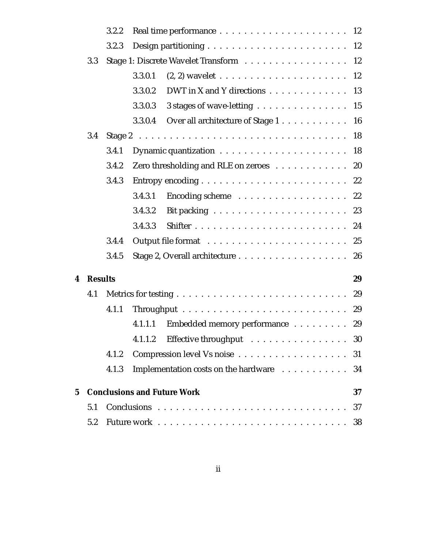|   |                | 3.2.2 |         |                                                                                                                                                                                                                                |    |
|---|----------------|-------|---------|--------------------------------------------------------------------------------------------------------------------------------------------------------------------------------------------------------------------------------|----|
|   |                | 3.2.3 |         |                                                                                                                                                                                                                                |    |
|   | 3.3            |       |         | Stage 1: Discrete Wavelet Transform 12                                                                                                                                                                                         |    |
|   |                |       | 3.3.0.1 |                                                                                                                                                                                                                                |    |
|   |                |       | 3.3.0.2 | DWT in X and Y directions $\ldots \ldots \ldots \ldots \ldots$ 13                                                                                                                                                              |    |
|   |                |       | 3.3.0.3 | 3 stages of wave-letting 15                                                                                                                                                                                                    |    |
|   |                |       | 3.3.0.4 | Over all architecture of Stage 1 16                                                                                                                                                                                            |    |
|   | 3.4            |       |         |                                                                                                                                                                                                                                |    |
|   |                | 3.4.1 |         |                                                                                                                                                                                                                                |    |
|   |                | 3.4.2 |         | Zero thresholding and RLE on zeroes 20                                                                                                                                                                                         |    |
|   |                | 3.4.3 |         |                                                                                                                                                                                                                                | 22 |
|   |                |       | 3.4.3.1 |                                                                                                                                                                                                                                |    |
|   |                |       | 3.4.3.2 |                                                                                                                                                                                                                                |    |
|   |                |       | 3.4.3.3 |                                                                                                                                                                                                                                |    |
|   |                | 3.4.4 |         |                                                                                                                                                                                                                                |    |
|   |                | 3.4.5 |         |                                                                                                                                                                                                                                | 26 |
| 4 | <b>Results</b> |       |         |                                                                                                                                                                                                                                | 29 |
|   | 4.1            |       |         |                                                                                                                                                                                                                                | 29 |
|   |                | 4.1.1 |         |                                                                                                                                                                                                                                | 29 |
|   |                |       | 4.1.1.1 | Embedded memory performance 29                                                                                                                                                                                                 |    |
|   |                |       | 4.1.1.2 | Effective throughput resources in the set of the set of the set of the set of the set of the set of the set of the set of the set of the set of the set of the set of the set of the set of the set of the set of the set of t | 30 |
|   |                | 4.1.2 |         |                                                                                                                                                                                                                                | 31 |
|   |                | 4.1.3 |         | Implementation costs on the hardware                                                                                                                                                                                           | 34 |
| 5 |                |       |         | <b>Conclusions and Future Work</b>                                                                                                                                                                                             | 37 |
|   | 5.1            |       |         |                                                                                                                                                                                                                                | 37 |
|   | 5.2            |       |         |                                                                                                                                                                                                                                | 38 |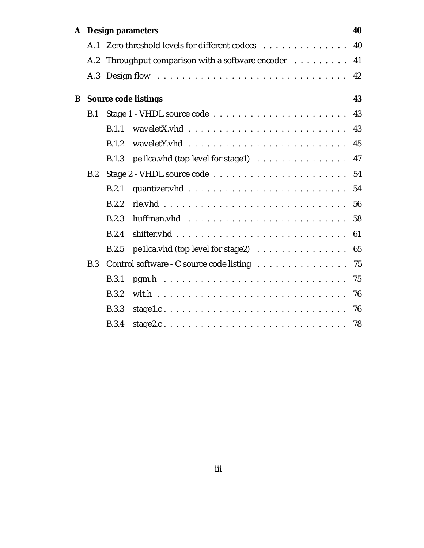|   |     | A Design parameters                                                             | 40 |
|---|-----|---------------------------------------------------------------------------------|----|
|   | A.1 | Zero threshold levels for different codecs                                      | 40 |
|   | A.2 | Throughput comparison with a software encoder                                   | 41 |
|   | A.3 |                                                                                 | 42 |
| B |     | <b>Source code listings</b>                                                     | 43 |
|   | B.1 |                                                                                 | 43 |
|   |     | $wavelet X. vhd          $<br>B.1.1                                             | 43 |
|   |     | B.1.2                                                                           | 45 |
|   |     | pellca.vhd (top level for stage1)<br><b>B.1.3</b>                               | 47 |
|   | B.2 |                                                                                 |    |
|   |     | B.2.1                                                                           | 54 |
|   |     | B.2.2                                                                           | 56 |
|   |     | B.2.3                                                                           | 58 |
|   |     | B.2.4                                                                           | 61 |
|   |     | B.2.5<br>pellca.vhd (top level for stage2) $\ldots \ldots \ldots \ldots \ldots$ | 65 |
|   | B.3 | Control software - C source code listing                                        | 75 |
|   |     | B.3.1                                                                           | 75 |
|   |     | <b>B.3.2</b>                                                                    | 76 |
|   |     | <b>B.3.3</b>                                                                    | 76 |
|   |     | <b>B.3.4</b>                                                                    |    |
|   |     |                                                                                 |    |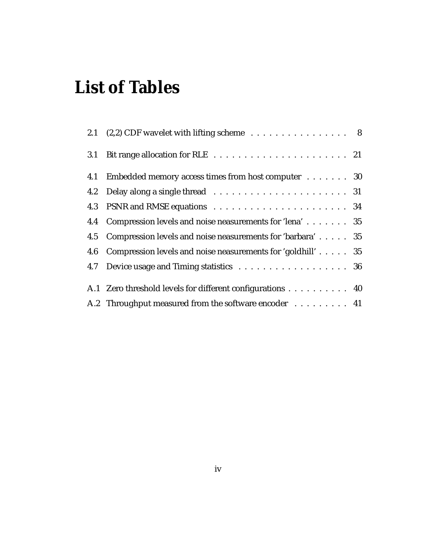# **List of Tables**

|     | 2.1 $(2,2)$ CDF wavelet with lifting scheme 8                   |  |
|-----|-----------------------------------------------------------------|--|
| 3.1 |                                                                 |  |
| 4.1 | Embedded memory access times from host computer 30              |  |
|     |                                                                 |  |
|     |                                                                 |  |
|     | 4.4 Compression levels and noise neasurements for 'lena' 35     |  |
|     | 4.5 Compression levels and noise neasurements for 'barbara' 35  |  |
|     | 4.6 Compression levels and noise neasurements for 'goldhill' 35 |  |
|     | 4.7 Device usage and Timing statistics 36                       |  |
|     | A.1 Zero threshold levels for different configurations 40       |  |
|     | A.2 Throughput measured from the software encoder 41            |  |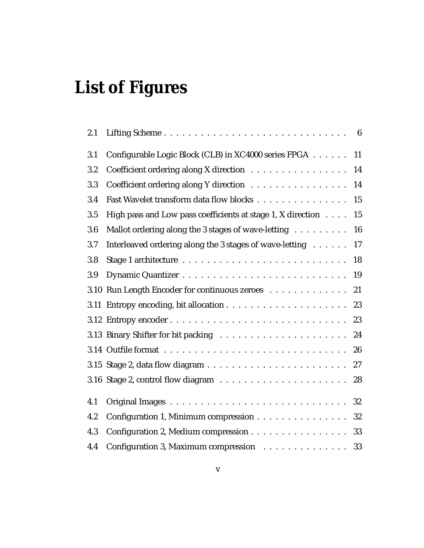# **List of Figures**

| 2.1 |                                                             |    |
|-----|-------------------------------------------------------------|----|
| 3.1 | Configurable Logic Block (CLB) in XC4000 series FPGA        | 11 |
| 3.2 | Coefficient ordering along X direction                      | 14 |
| 3.3 | Coefficient ordering along Y direction                      | 14 |
| 3.4 | Fast Wavelet transform data flow blocks                     | 15 |
| 3.5 | High pass and Low pass coefficients at stage 1, X direction | 15 |
| 3.6 | Mallot ordering along the 3 stages of wave-letting          | 16 |
| 3.7 | Interleaved ordering along the 3 stages of wave-letting     | 17 |
| 3.8 |                                                             | 18 |
| 3.9 |                                                             | 19 |
|     | 3.10 Run Length Encoder for continuous zeroes               | 21 |
|     |                                                             | 23 |
|     |                                                             | 23 |
|     |                                                             | 24 |
|     |                                                             | 26 |
|     |                                                             |    |
|     |                                                             | 28 |
| 4.1 |                                                             | 32 |
| 4.2 | Configuration 1, Minimum compression                        | 32 |
| 4.3 | Configuration 2, Medium compression 33                      |    |
| 4.4 | Configuration 3, Maximum compression 33                     |    |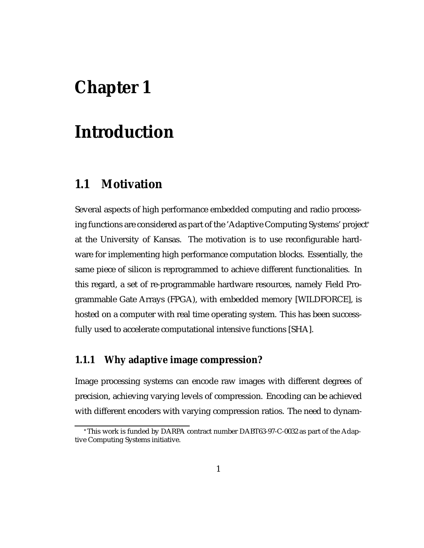# **Chapter 1**

# **Introduction**

### **1.1 Motivation**

Several aspects of high performance embedded computing and radio processing functions are considered as part of the 'Adaptive Computing Systems' project at the University of Kansas. The motivation is to use reconfigurable hardware for implementing high performance computation blocks. Essentially, the same piece of silicon is reprogrammed to achieve different functionalities. In this regard, a set of re-programmable hardware resources, namely Field Programmable Gate Arrays (FPGA), with embedded memory [WILDFORCE], is hosted on a computer with real time operating system. This has been successfully used to accelerate computational intensive functions [SHA].

### **1.1.1 Why adaptive image compression?**

Image processing systems can encode raw images with different degrees of precision, achieving varying levels of compression. Encoding can be achieved with different encoders with varying compression ratios. The need to dynam-

 $^*{\rm This}$  work is funded by DARPA contract number DABT63-97-C-0032 as part of the Adaptive Computing Systems initiative.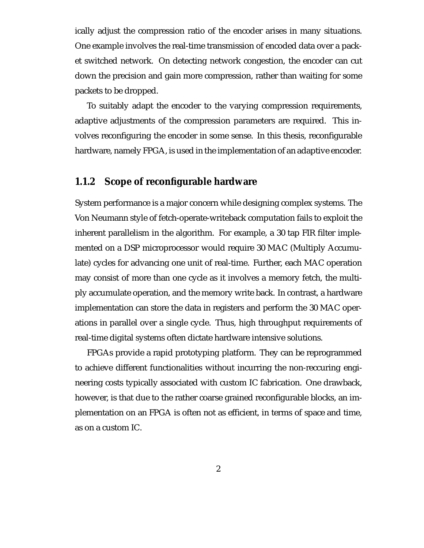ically adjust the compression ratio of the encoder arises in many situations. One example involves the real-time transmission of encoded data over a packet switched network. On detecting network congestion, the encoder can cut down the precision and gain more compression, rather than waiting for some packets to be dropped.

To suitably adapt the encoder to the varying compression requirements, adaptive adjustments of the compression parameters are required. This involves reconfiguring the encoder in some sense. In this thesis, reconfigurable hardware, namely FPGA, is used in the implementation of an adaptive encoder.

### **1.1.2 Scope of reconfigurable hardware**

System performance is a major concern while designing complex systems. The Von Neumann style of fetch-operate-writeback computation fails to exploit the inherent parallelism in the algorithm. For example, a 30 tap FIR filter implemented on a DSP microprocessor would require 30 MAC (Multiply Accumulate) cycles for advancing one unit of real-time. Further, each MAC operation may consist of more than one cycle as it involves a memory fetch, the multiply accumulate operation, and the memory write back. In contrast, a hardware implementation can store the data in registers and perform the 30 MAC operations in parallel over a single cycle. Thus, high throughput requirements of real-time digital systems often dictate hardware intensive solutions.

FPGAs provide a rapid prototyping platform. They can be reprogrammed to achieve different functionalities without incurring the non-reccuring engineering costs typically associated with custom IC fabrication. One drawback, however, is that due to the rather coarse grained reconfigurable blocks, an implementation on an FPGA is often not as efficient, in terms of space and time, as on a custom IC.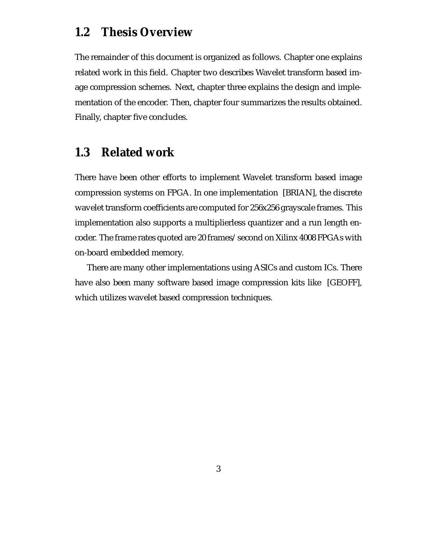## **1.2 Thesis Overview**

The remainder of this document is organized as follows. Chapter one explains related work in this field. Chapter two describes Wavelet transform based image compression schemes. Next, chapter three explains the design and implementation of the encoder. Then, chapter four summarizes the results obtained. Finally, chapter five concludes.

# **1.3 Related work**

There have been other efforts to implement Wavelet transform based image compression systems on FPGA. In one implementation [BRIAN], the discrete wavelet transform coefficients are computed for 256x256 grayscale frames. This implementation also supports a multiplierless quantizer and a run length encoder. The frame rates quoted are 20 frames/second on Xilinx 4008 FPGAs with on-board embedded memory.

There are many other implementations using ASICs and custom ICs. There have also been many software based image compression kits like [GEOFF], which utilizes wavelet based compression techniques.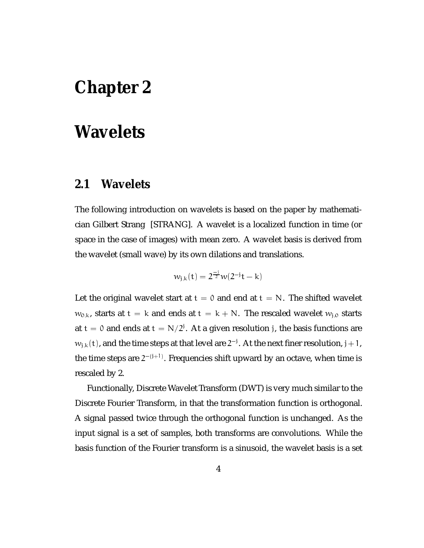# **Chapter 2**

# **Wavelets**

## **2.1 Wavelets**

The following introduction on wavelets is based on the paper by mathematician Gilbert Strang [STRANG]. A wavelet is a localized function in time (or space in the case of images) with mean zero. A wavelet basis is derived from the wavelet (small wave) by its own dilations and translations.

$$
w_{j,k}(t) = 2^{\frac{-1}{2}}w(2^{-j}t - k)
$$

Let the original wavelet start at  $t = 0$  and end at  $t = N$ . The shifted wavelet  $w_{0,k}$ , starts at  $t = k$  and ends at  $t = k + N$ . The rescaled wavelet  $w_{i,0}$  starts at  $\mathrm{t}=0$  and ends at  $\mathrm{t}=\mathrm{N}/2$ '. At a given resolution j, the basis functions are  $w_{\text{j},\text{k}}(\text{t})$ , and the time steps at that level are  $2^{-}$  . At the next finer resolution,  $\text{j}+1$ , the time steps are  $2^{-(j+1)}$ . Frequencies shift upward by an octave, when time is rescaled by 2.

Functionally, Discrete Wavelet Transform (DWT) is very much similar to the Discrete Fourier Transform, in that the transformation function is orthogonal. A signal passed twice through the orthogonal function is unchanged. As the input signal is a set of samples, both transforms are convolutions. While the basis function of the Fourier transform is a sinusoid, the wavelet basis is a set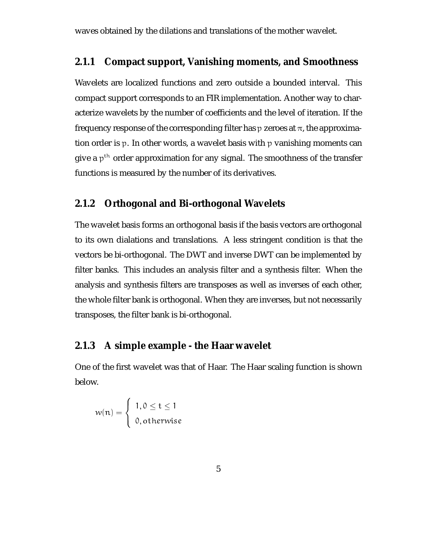waves obtained by the dilations and translations of the mother wavelet.

#### **2.1.1 Compact support, Vanishing moments, and Smoothness**

Wavelets are localized functions and zero outside a bounded interval. This compact support corresponds to an FIR implementation. Another way to characterize wavelets by the number of coefficients and the level of iteration. If the frequency response of the corresponding filter has  $p$  zeroes at  $\pi$ , the approximation order is <sup>p</sup>. In other words, a wavelet basis with <sup>p</sup> vanishing moments can give a  $p<sup>th</sup>$  order approximation for any signal. The smoothness of the transfer functions is measured by the number of its derivatives.

#### **2.1.2 Orthogonal and Bi-orthogonal Wavelets**

The wavelet basis forms an orthogonal basis if the basis vectors are orthogonal to its own dialations and translations. A less stringent condition is that the vectors be bi-orthogonal. The DWT and inverse DWT can be implemented by filter banks. This includes an analysis filter and a synthesis filter. When the analysis and synthesis filters are transposes as well as inverses of each other, the whole filter bank is orthogonal. When they are inverses, but not necessarily transposes, the filter bank is bi-orthogonal.

#### **2.1.3 A simple example - the Haar wavelet**

One of the first wavelet was that of Haar. The Haar scaling function is shown below.

$$
w(\mathfrak{n}) = \begin{cases} 1, 0 \leq t \leq 1 \\ 0, \text{otherwise} \end{cases}
$$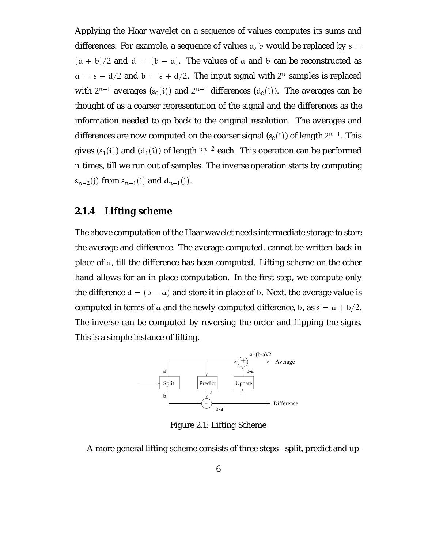Applying the Haar wavelet on a sequence of values computes its sums and differences. For example, a sequence of values  $a$ , b would be replaced by  $s =$  $(a + b)/2$  and  $d = (b - a)$ . The values of a and b can be reconstructed as  $\alpha = s - d/2$  and  $b = s + d/2$ . The input signal with  $2^{n}$  samples is replaced with  $2^{n-1}$  averages  $(s_0(i))$  and  $2^{n-1}$  differences  $(d_0(i))$ . The averages can be thought of as a coarser representation of the signal and the differences as the information needed to go back to the original resolution. The averages and differences are now computed on the coarser signal (s $_0(\mathrm{i})$ ) of length 2n<sup>-1</sup>. This gives (s<sub>1</sub>(i)) and (d<sub>1</sub>(i)) of length 2<sup>n–2</sup> each. This operation can be performed n times, till we run out of samples. The inverse operation starts by computing  $s_{n-2}(i)$  from  $s_{n-1}(i)$  and  $d_{n-1}(i)$ .

### **2.1.4 Lifting scheme**

The above computation of the Haar wavelet needs intermediate storage to store the average and difference. The average computed, cannot be written back in place of <sup>a</sup>, till the difference has been computed. Lifting scheme on the other hand allows for an in place computation. In the first step, we compute only the difference  $d = (b - a)$  and store it in place of b. Next, the average value is computed in terms of a and the newly computed difference, b, as  $s = a + b/2$ . The inverse can be computed by reversing the order and flipping the signs. This is a simple instance of lifting.



Figure 2.1: Lifting Scheme

A more general lifting scheme consists of three steps - split, predict and up-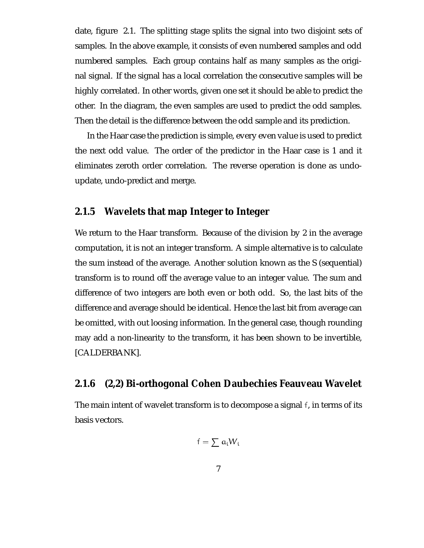date, figure 2.1. The splitting stage splits the signal into two disjoint sets of samples. In the above example, it consists of even numbered samples and odd numbered samples. Each group contains half as many samples as the original signal. If the signal has a local correlation the consecutive samples will be highly correlated. In other words, given one set it should be able to predict the other. In the diagram, the even samples are used to predict the odd samples. Then the detail is the difference between the odd sample and its prediction.

In the Haar case the prediction is simple, every even value is used to predict the next odd value. The order of the predictor in the Haar case is 1 and it eliminates zeroth order correlation. The reverse operation is done as undoupdate, undo-predict and merge.

### **2.1.5 Wavelets that map Integer to Integer**

We return to the Haar transform. Because of the division by 2 in the average computation, it is not an integer transform. A simple alternative is to calculate the sum instead of the average. Another solution known as the S (sequential) transform is to round off the average value to an integer value. The sum and difference of two integers are both even or both odd. So, the last bits of the difference and average should be identical. Hence the last bit from average can be omitted, with out loosing information. In the general case, though rounding may add a non-linearity to the transform, it has been shown to be invertible, [CALDERBANK].

#### **2.1.6 (2,2) Bi-orthogonal Cohen Daubechies Feauveau Wavelet**

The main intent of wavelet transform is to decompose a signal <sup>f</sup>, in terms of its basis vectors.

$$
\mathsf{f}=\sum\, \mathsf{a}_\mathsf{i} \mathsf{W}_\mathsf{i}
$$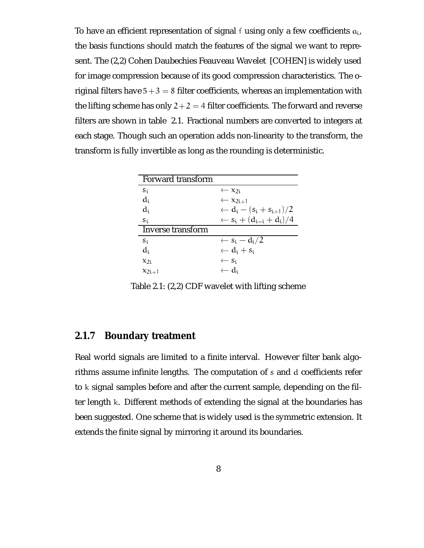To have an efficient representation of signal f using only a few coefficients  $a_i$ , the basis functions should match the features of the signal we want to represent. The (2,2) Cohen Daubechies Feauveau Wavelet [COHEN] is widely used for image compression because of its good compression characteristics. The original filters have  $5 + 3 = 8$  filter coefficients, whereas an implementation with the lifting scheme has only  $2 + 2 = 4$  filter coefficients. The forward and reverse filters are shown in table 2.1. Fractional numbers are converted to integers at each stage. Though such an operation adds non-linearity to the transform, the transform is fully invertible as long as the rounding is deterministic.

| Forward transform |                                                   |
|-------------------|---------------------------------------------------|
| $S_i$             | $\leftarrow x_{2i}$                               |
| $d_i$             | $\leftarrow x_{2i+1}$                             |
| $d_i$             | $\leftarrow d_i - (s_i + s_{i+1})/2$              |
| $S_1$             | $\leftarrow$ s <sub>i</sub> + $(d_{i-i} + d_i)/4$ |
| Inverse transform |                                                   |
| $S_1$             | $\leftarrow$ s <sub>i</sub> – d <sub>i</sub> /2   |
| $d_i$             | $\leftarrow d_i + s_i$                            |
| $x_{2i}$          | $\leftarrow$ S <sub>i</sub>                       |
| $x_{2i+1}$        | $\leftarrow d_i$                                  |

Table 2.1: (2,2) CDF wavelet with lifting scheme

#### **2.1.7 Boundary treatment**

Real world signals are limited to a finite interval. However filter bank algorithms assume infinite lengths. The computation of <sup>s</sup> and <sup>d</sup> coefficients refer to <sup>k</sup> signal samples before and after the current sample, depending on the filter length <sup>k</sup>. Different methods of extending the signal at the boundaries has been suggested. One scheme that is widely used is the symmetric extension. It extends the finite signal by mirroring it around its boundaries.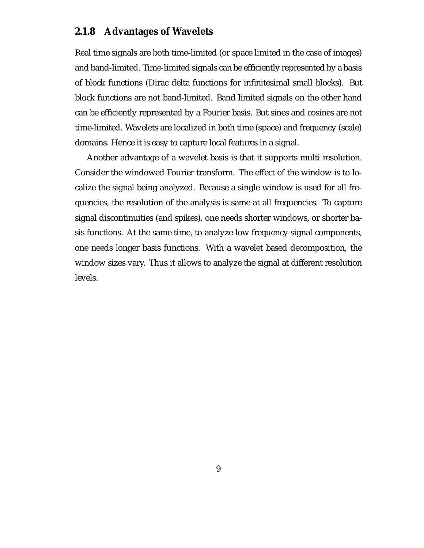### **2.1.8 Advantages of Wavelets**

Real time signals are both time-limited (or space limited in the case of images) and band-limited. Time-limited signals can be efficiently represented by a basis of block functions (Dirac delta functions for infinitesimal small blocks). But block functions are not band-limited. Band limited signals on the other hand can be efficiently represented by a Fourier basis. But sines and cosines are not time-limited. Wavelets are localized in both time (space) and frequency (scale) domains. Hence it is easy to capture local features in a signal.

Another advantage of a wavelet basis is that it supports multi resolution. Consider the windowed Fourier transform. The effect of the window is to localize the signal being analyzed. Because a single window is used for all frequencies, the resolution of the analysis is same at all frequencies. To capture signal discontinuities (and spikes), one needs shorter windows, or shorter basis functions. At the same time, to analyze low frequency signal components, one needs longer basis functions. With a wavelet based decomposition, the window sizes vary. Thus it allows to analyze the signal at different resolution levels.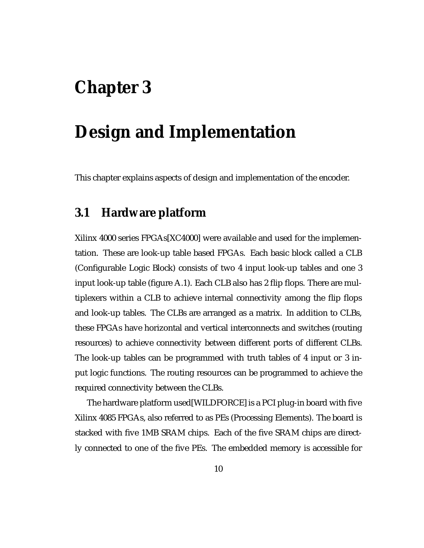# **Chapter 3**

# **Design and Implementation**

This chapter explains aspects of design and implementation of the encoder.

# **3.1 Hardware platform**

Xilinx 4000 series FPGAs[XC4000] were available and used for the implementation. These are look-up table based FPGAs. Each basic block called a CLB (Configurable Logic Block) consists of two 4 input look-up tables and one 3 input look-up table (figure A.1). Each CLB also has 2 flip flops. There are multiplexers within a CLB to achieve internal connectivity among the flip flops and look-up tables. The CLBs are arranged as a matrix. In addition to CLBs, these FPGAs have horizontal and vertical interconnects and switches (routing resources) to achieve connectivity between different ports of different CLBs. The look-up tables can be programmed with truth tables of 4 input or 3 input logic functions. The routing resources can be programmed to achieve the required connectivity between the CLBs.

The hardware platform used[WILDFORCE] is a PCI plug-in board with five Xilinx 4085 FPGAs, also referred to as PEs (Processing Elements). The board is stacked with five 1MB SRAM chips. Each of the five SRAM chips are directly connected to one of the five PEs. The embedded memory is accessible for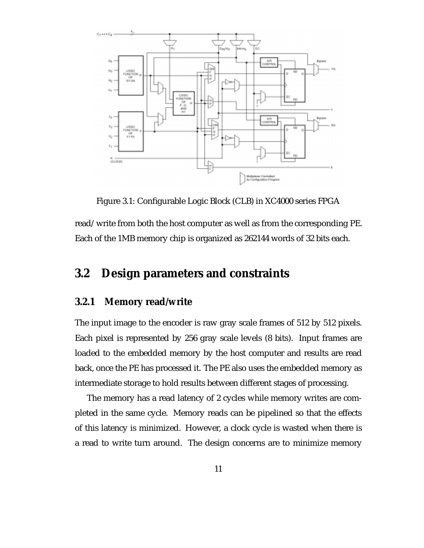

Figure 3.1: Configurable Logic Block (CLB) in XC4000 series FPGA

read/write from both the host computer as well as from the corresponding PE. Each of the 1MB memory chip is organized as 262144 words of 32 bits each.

# **3.2 Design parameters and constraints**

#### **3.2.1 Memory read/write**

The input image to the encoder is raw gray scale frames of 512 by 512 pixels. Each pixel is represented by 256 gray scale levels (8 bits). Input frames are loaded to the embedded memory by the host computer and results are read back, once the PE has processed it. The PE also uses the embedded memory as intermediate storage to hold results between different stages of processing.

The memory has a read latency of 2 cycles while memory writes are completed in the same cycle. Memory reads can be pipelined so that the effects of this latency is minimized. However, a clock cycle is wasted when there is a read to write turn around. The design concerns are to minimize memory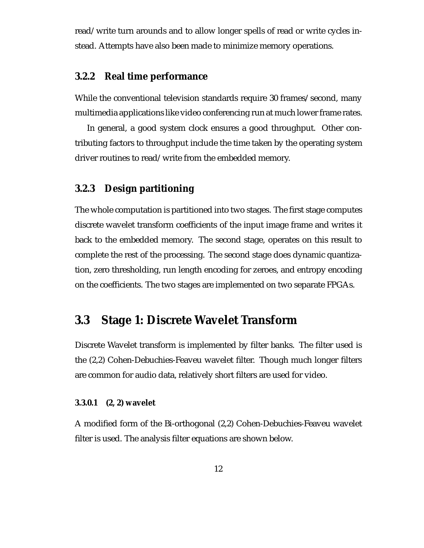read/write turn arounds and to allow longer spells of read or write cycles instead. Attempts have also been made to minimize memory operations.

#### **3.2.2 Real time performance**

While the conventional television standards require 30 frames/second, many multimedia applications like video conferencing run at much lower frame rates.

In general, a good system clock ensures a good throughput. Other contributing factors to throughput include the time taken by the operating system driver routines to read/write from the embedded memory.

### **3.2.3 Design partitioning**

The whole computation is partitioned into two stages. The first stage computes discrete wavelet transform coefficients of the input image frame and writes it back to the embedded memory. The second stage, operates on this result to complete the rest of the processing. The second stage does dynamic quantization, zero thresholding, run length encoding for zeroes, and entropy encoding on the coefficients. The two stages are implemented on two separate FPGAs.

# **3.3 Stage 1: Discrete Wavelet Transform**

Discrete Wavelet transform is implemented by filter banks. The filter used is the (2,2) Cohen-Debuchies-Feaveu wavelet filter. Though much longer filters are common for audio data, relatively short filters are used for video.

#### **3.3.0.1 (2, 2) wavelet**

A modified form of the Bi-orthogonal (2,2) Cohen-Debuchies-Feaveu wavelet filter is used. The analysis filter equations are shown below.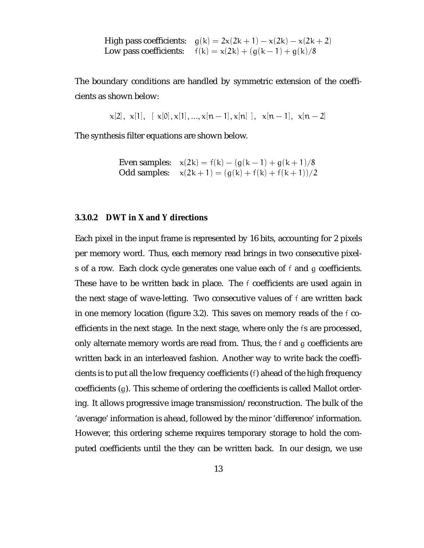High pass coefficients:  $g(k) = 2x(2k + 1) - x(2k) - x(2k + 2)$ Low pass coefficients:  $f(k) = x(2k) + (g(k - 1) + g(k)/8)$ 

The boundary conditions are handled by symmetric extension of the coefficients as shown below:

$$
x[2], x[1], [x[0], x[1], ..., x[n-1], x[n], x[n-1], x[n-2]
$$

The synthesis filter equations are shown below.

Even samples:  $x(2k) = f(k) - (g(k-1) + g(k+1)/8)$ Odd samples:  $x(2k + 1) = (g(k) + f(k) + f(k + 1))/2$ 

#### **3.3.0.2 DWT in X and Y directions**

Each pixel in the input frame is represented by 16 bits, accounting for 2 pixels per memory word. Thus, each memory read brings in two consecutive pixels of a row. Each clock cycle generates one value each of <sup>f</sup> and <sup>g</sup> coefficients. These have to be written back in place. The <sup>f</sup> coefficients are used again in the next stage of wave-letting. Two consecutive values of <sup>f</sup> are written back in one memory location (figure 3.2). This saves on memory reads of the <sup>f</sup> coefficients in the next stage. In the next stage, where only the <sup>f</sup>s are processed, only alternate memory words are read from. Thus, the <sup>f</sup> and <sup>g</sup> coefficients are written back in an interleaved fashion. Another way to write back the coefficients is to put all the low frequency coefficients (f) ahead of the high frequency coefficients (g). This scheme of ordering the coefficients is called Mallot ordering. It allows progressive image transmission/reconstruction. The bulk of the 'average' information is ahead, followed by the minor 'difference' information. However, this ordering scheme requires temporary storage to hold the computed coefficients until the they can be written back. In our design, we use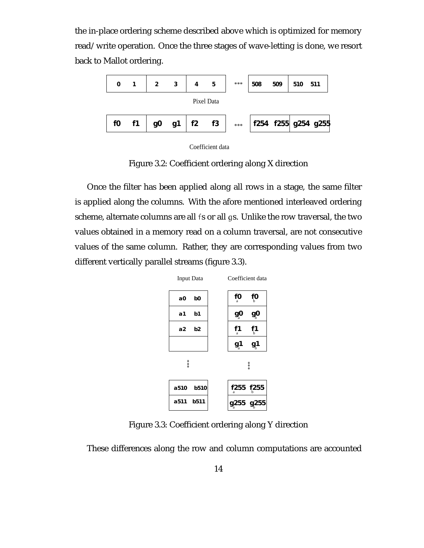the in-place ordering scheme described above which is optimized for memory read/write operation. Once the three stages of wave-letting is done, we resort back to Mallot ordering.



Coefficient data

Figure 3.2: Coefficient ordering along X direction

Once the filter has been applied along all rows in a stage, the same filter is applied along the columns. With the afore mentioned interleaved ordering scheme, alternate columns are all <sup>f</sup>s or all <sup>g</sup>s. Unlike the row traversal, the two values obtained in a memory read on a column traversal, are not consecutive values of the same column. Rather, they are corresponding values from two different vertically parallel streams (figure 3.3).



Figure 3.3: Coefficient ordering along Y direction

These differences along the row and column computations are accounted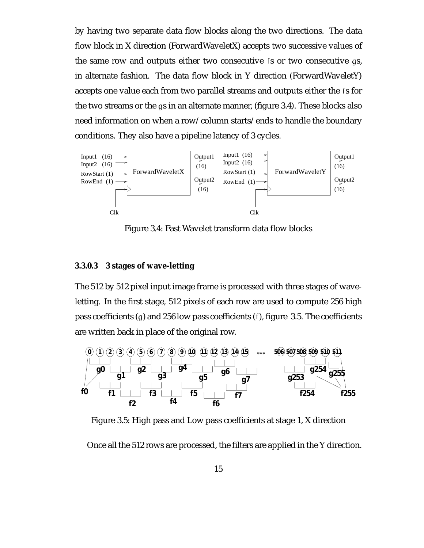by having two separate data flow blocks along the two directions. The data flow block in X direction (ForwardWaveletX) accepts two successive values of the same row and outputs either two consecutive <sup>f</sup>s or two consecutive <sup>g</sup>s, in alternate fashion. The data flow block in Y direction (ForwardWaveletY) accepts one value each from two parallel streams and outputs either the <sup>f</sup>s for the two streams or the <sup>g</sup>s in an alternate manner, (figure 3.4). These blocks also need information on when a row/column starts/ends to handle the boundary conditions. They also have a pipeline latency of 3 cycles.



Figure 3.4: Fast Wavelet transform data flow blocks

#### **3.3.0.3 3 stages of wave-letting**

The 512 by 512 pixel input image frame is processed with three stages of waveletting. In the first stage, 512 pixels of each row are used to compute 256 high pass coefficients (g) and 256 low pass coefficients (f), figure 3.5. The coefficients are written back in place of the original row.



Figure 3.5: High pass and Low pass coefficients at stage 1, X direction

Once all the 512 rows are processed, the filters are applied in the Y direction.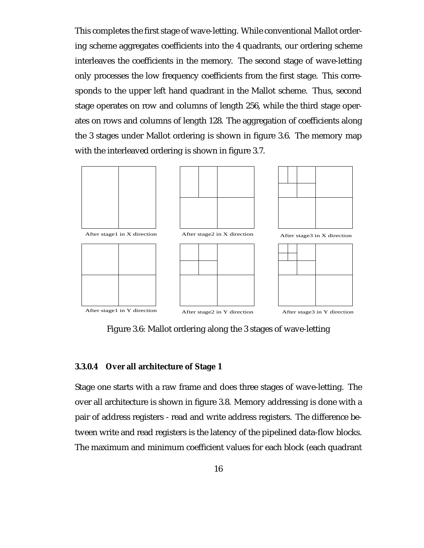This completes the first stage of wave-letting. While conventional Mallot ordering scheme aggregates coefficients into the 4 quadrants, our ordering scheme interleaves the coefficients in the memory. The second stage of wave-letting only processes the low frequency coefficients from the first stage. This corresponds to the upper left hand quadrant in the Mallot scheme. Thus, second stage operates on row and columns of length 256, while the third stage operates on rows and columns of length 128. The aggregation of coefficients along the 3 stages under Mallot ordering is shown in figure 3.6. The memory map with the interleaved ordering is shown in figure 3.7.



Figure 3.6: Mallot ordering along the 3 stages of wave-letting

#### **3.3.0.4 Over all architecture of Stage 1**

Stage one starts with a raw frame and does three stages of wave-letting. The over all architecture is shown in figure 3.8. Memory addressing is done with a pair of address registers - read and write address registers. The difference between write and read registers is the latency of the pipelined data-flow blocks. The maximum and minimum coefficient values for each block (each quadrant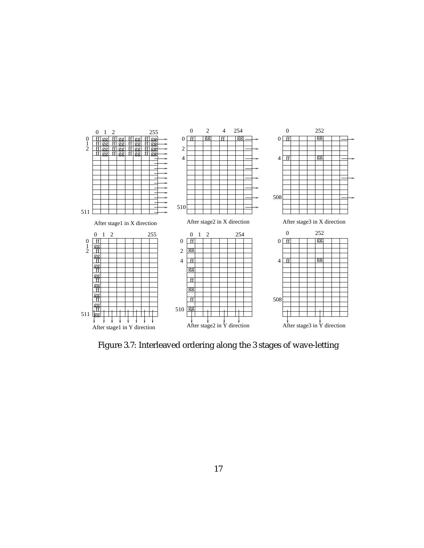

Figure 3.7: Interleaved ordering along the 3 stages of wave-letting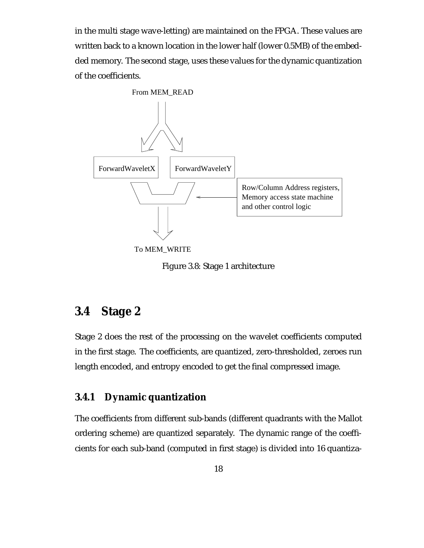in the multi stage wave-letting) are maintained on the FPGA. These values are written back to a known location in the lower half (lower 0.5MB) of the embedded memory. The second stage, uses these values for the dynamic quantization of the coefficients.



Figure 3.8: Stage 1 architecture

## **3.4 Stage 2**

Stage 2 does the rest of the processing on the wavelet coefficients computed in the first stage. The coefficients, are quantized, zero-thresholded, zeroes run length encoded, and entropy encoded to get the final compressed image.

### **3.4.1 Dynamic quantization**

The coefficients from different sub-bands (different quadrants with the Mallot ordering scheme) are quantized separately. The dynamic range of the coefficients for each sub-band (computed in first stage) is divided into 16 quantiza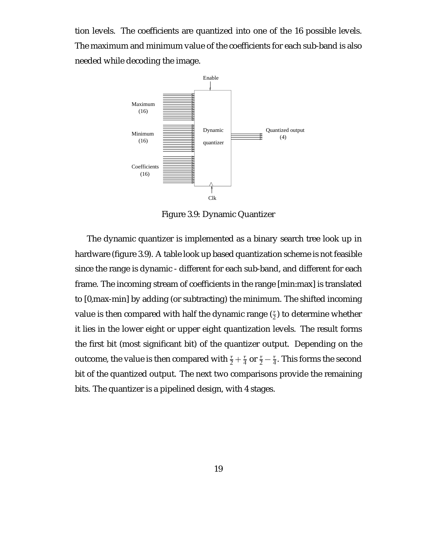tion levels. The coefficients are quantized into one of the 16 possible levels. The maximum and minimum value of the coefficients for each sub-band is also needed while decoding the image.



Figure 3.9: Dynamic Quantizer

The dynamic quantizer is implemented as a binary search tree look up in hardware (figure 3.9). A table look up based quantization scheme is not feasible since the range is dynamic - different for each sub-band, and different for each frame. The incoming stream of coefficients in the range [min:max] is translated to [0,max-min] by adding (or subtracting) the minimum. The shifted incoming value is then compared with half the dynamic range  $(\frac{r}{2})$  to determine whether it lies in the lower eight or upper eight quantization levels. The result forms the first bit (most significant bit) of the quantizer output. Depending on the outcome, the value is then compared with  $\frac{r}{2} + \frac{r}{4}$  or  $\frac{r}{2} - \frac{r}{4}.$  This forms the second bit of the quantized output. The next two comparisons provide the remaining bits. The quantizer is a pipelined design, with 4 stages.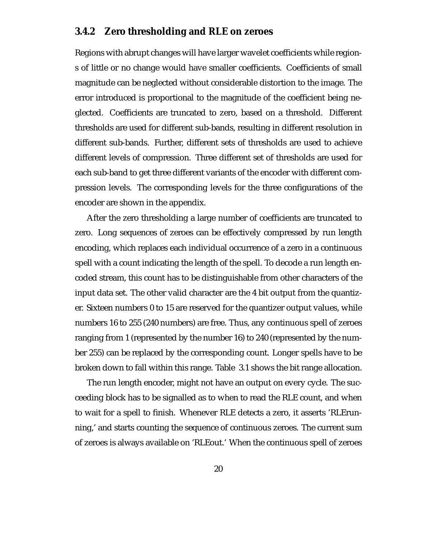### **3.4.2 Zero thresholding and RLE on zeroes**

Regions with abrupt changes will have larger wavelet coefficients while regions of little or no change would have smaller coefficients. Coefficients of small magnitude can be neglected without considerable distortion to the image. The error introduced is proportional to the magnitude of the coefficient being neglected. Coefficients are truncated to zero, based on a threshold. Different thresholds are used for different sub-bands, resulting in different resolution in different sub-bands. Further, different sets of thresholds are used to achieve different levels of compression. Three different set of thresholds are used for each sub-band to get three different variants of the encoder with different compression levels. The corresponding levels for the three configurations of the encoder are shown in the appendix.

After the zero thresholding a large number of coefficients are truncated to zero. Long sequences of zeroes can be effectively compressed by run length encoding, which replaces each individual occurrence of a zero in a continuous spell with a count indicating the length of the spell. To decode a run length encoded stream, this count has to be distinguishable from other characters of the input data set. The other valid character are the 4 bit output from the quantizer. Sixteen numbers 0 to 15 are reserved for the quantizer output values, while numbers 16 to 255 (240 numbers) are free. Thus, any continuous spell of zeroes ranging from 1 (represented by the number 16) to 240 (represented by the number 255) can be replaced by the corresponding count. Longer spells have to be broken down to fall within this range. Table 3.1 shows the bit range allocation.

The run length encoder, might not have an output on every cycle. The succeeding block has to be signalled as to when to read the RLE count, and when to wait for a spell to finish. Whenever RLE detects a zero, it asserts 'RLErunning,' and starts counting the sequence of continuous zeroes. The current sum of zeroes is always available on 'RLEout.' When the continuous spell of zeroes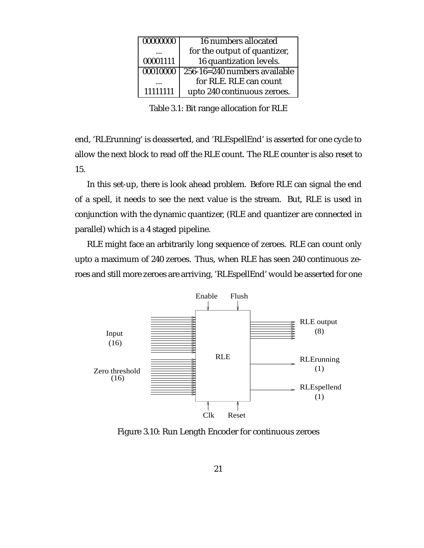| 00000000 | 16 numbers allocated         |
|----------|------------------------------|
|          | for the output of quantizer, |
| 00001111 | 16 quantization levels.      |
| 00010000 | 256-16=240 numbers available |
|          | for RLE. RLE can count       |
| 11111111 | upto 240 continuous zeroes.  |

Table 3.1: Bit range allocation for RLE

end, 'RLErunning' is deasserted, and 'RLEspellEnd' is asserted for one cycle to allow the next block to read off the RLE count. The RLE counter is also reset to 15.

In this set-up, there is look ahead problem. Before RLE can signal the end of a spell, it needs to see the next value is the stream. But, RLE is used in conjunction with the dynamic quantizer, (RLE and quantizer are connected in parallel) which is a 4 staged pipeline.

RLE might face an arbitrarily long sequence of zeroes. RLE can count only upto a maximum of 240 zeroes. Thus, when RLE has seen 240 continuous zeroes and still more zeroes are arriving, 'RLEspellEnd' would be asserted for one



Figure 3.10: Run Length Encoder for continuous zeroes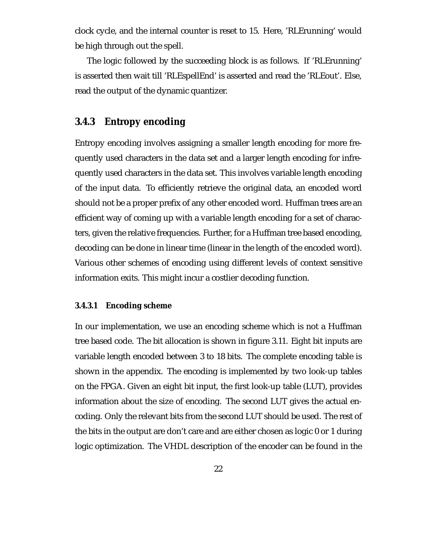clock cycle, and the internal counter is reset to 15. Here, 'RLErunning' would be high through out the spell.

The logic followed by the succeeding block is as follows. If 'RLErunning' is asserted then wait till 'RLEspellEnd' is asserted and read the 'RLEout'. Else, read the output of the dynamic quantizer.

#### **3.4.3 Entropy encoding**

Entropy encoding involves assigning a smaller length encoding for more frequently used characters in the data set and a larger length encoding for infrequently used characters in the data set. This involves variable length encoding of the input data. To efficiently retrieve the original data, an encoded word should not be a proper prefix of any other encoded word. Huffman trees are an efficient way of coming up with a variable length encoding for a set of characters, given the relative frequencies. Further, for a Huffman tree based encoding, decoding can be done in linear time (linear in the length of the encoded word). Various other schemes of encoding using different levels of context sensitive information exits. This might incur a costlier decoding function.

#### **3.4.3.1 Encoding scheme**

In our implementation, we use an encoding scheme which is not a Huffman tree based code. The bit allocation is shown in figure 3.11. Eight bit inputs are variable length encoded between 3 to 18 bits. The complete encoding table is shown in the appendix. The encoding is implemented by two look-up tables on the FPGA. Given an eight bit input, the first look-up table (LUT), provides information about the size of encoding. The second LUT gives the actual encoding. Only the relevant bits from the second LUT should be used. The rest of the bits in the output are don't care and are either chosen as logic 0 or 1 during logic optimization. The VHDL description of the encoder can be found in the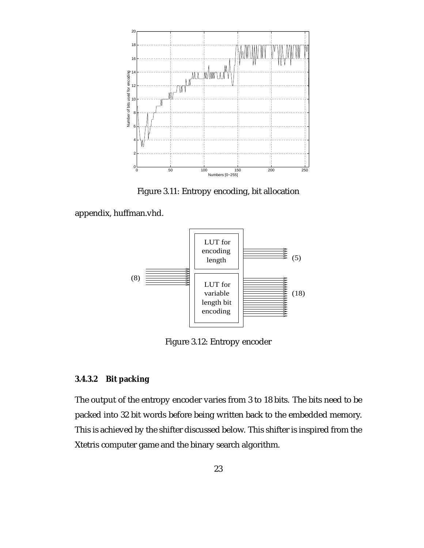

Figure 3.11: Entropy encoding, bit allocation

appendix, huffman.vhd.



Figure 3.12: Entropy encoder

#### **3.4.3.2 Bit packing**

The output of the entropy encoder varies from 3 to 18 bits. The bits need to be packed into 32 bit words before being written back to the embedded memory. This is achieved by the shifter discussed below. This shifter is inspired from the Xtetris computer game and the binary search algorithm.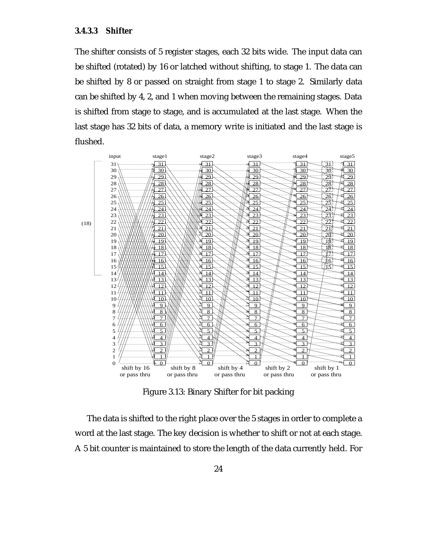The shifter consists of 5 register stages, each 32 bits wide. The input data can be shifted (rotated) by 16 or latched without shifting, to stage 1. The data can be shifted by 8 or passed on straight from stage 1 to stage 2. Similarly data can be shifted by 4, 2, and 1 when moving between the remaining stages. Data is shifted from stage to stage, and is accumulated at the last stage. When the last stage has 32 bits of data, a memory write is initiated and the last stage is flushed.



Figure 3.13: Binary Shifter for bit packing

The data is shifted to the right place over the 5 stages in order to complete a word at the last stage. The key decision is whether to shift or not at each stage. A 5 bit counter is maintained to store the length of the data currently held. For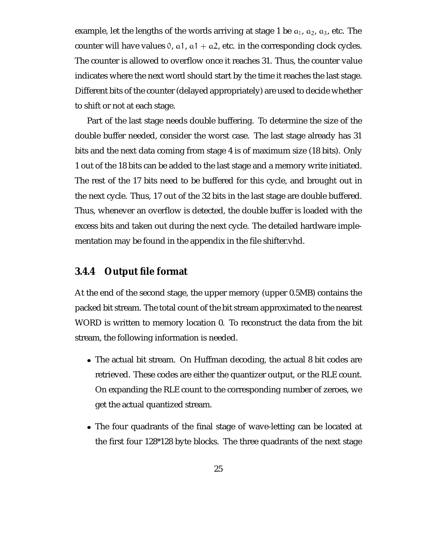example, let the lengths of the words arriving at stage 1 be  $a_1$ ,  $a_2$ ,  $a_3$ , etc. The counter will have values 0, a1, a1 + a2, etc. in the corresponding clock cycles. The counter is allowed to overflow once it reaches 31. Thus, the counter value indicates where the next word should start by the time it reaches the last stage. Different bits of the counter (delayed appropriately) are used to decide whether to shift or not at each stage.

Part of the last stage needs double buffering. To determine the size of the double buffer needed, consider the worst case. The last stage already has 31 bits and the next data coming from stage 4 is of maximum size (18 bits). Only 1 out of the 18 bits can be added to the last stage and a memory write initiated. The rest of the 17 bits need to be buffered for this cycle, and brought out in the next cycle. Thus, 17 out of the 32 bits in the last stage are double buffered. Thus, whenever an overflow is detected, the double buffer is loaded with the excess bits and taken out during the next cycle. The detailed hardware implementation may be found in the appendix in the file shifter.vhd.

#### **3.4.4 Output file format**

At the end of the second stage, the upper memory (upper 0.5MB) contains the packed bit stream. The total count of the bit stream approximated to the nearest WORD is written to memory location 0. To reconstruct the data from the bit stream, the following information is needed.

- The actual bit stream. On Huffman decoding, the actual 8 bit codes are retrieved. These codes are either the quantizer output, or the RLE count. On expanding the RLE count to the corresponding number of zeroes, we get the actual quantized stream.
- The four quadrants of the final stage of wave-letting can be located at the first four 128\*128 byte blocks. The three quadrants of the next stage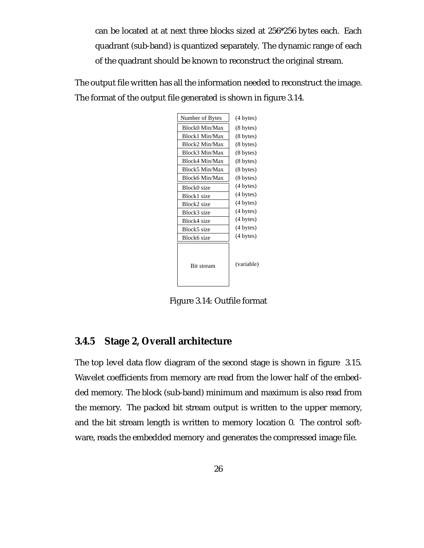can be located at at next three blocks sized at 256\*256 bytes each. Each quadrant (sub-band) is quantized separately. The dynamic range of each of the quadrant should be known to reconstruct the original stream.

The output file written has all the information needed to reconstruct the image. The format of the output file generated is shown in figure 3.14.

| Number of Bytes   | (4 bytes)           |
|-------------------|---------------------|
| Block0 Min/Max    | $(8 \text{ bytes})$ |
| Block1 Min/Max    | $(8 \text{ bytes})$ |
| Block2 Min/Max    | $(8 \text{ bytes})$ |
| Block3 Min/Max    | $(8 \text{ bytes})$ |
| Block4 Min/Max    | (8 bytes)           |
| Block5 Min/Max    | $(8 \text{ bytes})$ |
| Block6 Min/Max    | $(8 \text{ bytes})$ |
| Block0 size       | (4 bytes)           |
| Block1 size       | (4 bytes)           |
| Block2 size       | (4 bytes)           |
| Block3 size       | (4 bytes)           |
| Block4 size       | (4 bytes)           |
| Block5 size       | (4 bytes)           |
| Block6 size       | (4 bytes)           |
| <b>Bit stream</b> | (variable)          |

Figure 3.14: Outfile format

#### **3.4.5 Stage 2, Overall architecture**

The top level data flow diagram of the second stage is shown in figure 3.15. Wavelet coefficients from memory are read from the lower half of the embedded memory. The block (sub-band) minimum and maximum is also read from the memory. The packed bit stream output is written to the upper memory, and the bit stream length is written to memory location 0. The control software, reads the embedded memory and generates the compressed image file.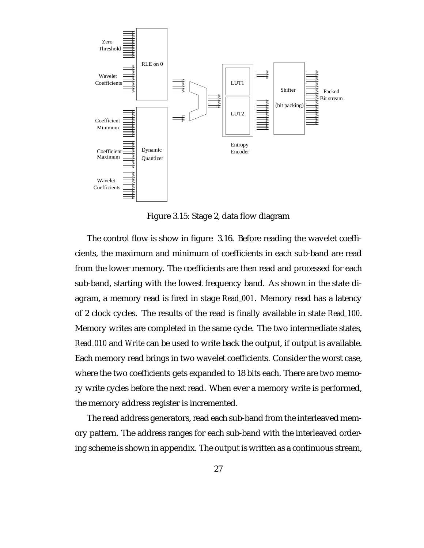

Figure 3.15: Stage 2, data flow diagram

The control flow is show in figure 3.16. Before reading the wavelet coefficients, the maximum and minimum of coefficients in each sub-band are read from the lower memory. The coefficients are then read and processed for each sub-band, starting with the lowest frequency band. As shown in the state diagram, a memory read is fired in stage *Read 001*. Memory read has a latency of 2 clock cycles. The results of the read is finally available in state *Read 100*. Memory writes are completed in the same cycle. The two intermediate states, *Read 010* and *Write* can be used to write back the output, if output is available. Each memory read brings in two wavelet coefficients. Consider the worst case, where the two coefficients gets expanded to 18 bits each. There are two memory write cycles before the next read. When ever a memory write is performed, the memory address register is incremented.

The read address generators, read each sub-band from the interleaved memory pattern. The address ranges for each sub-band with the interleaved ordering scheme is shown in appendix. The output is written as a continuous stream,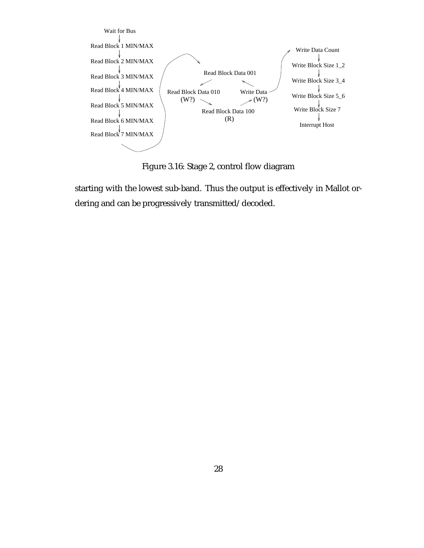

Figure 3.16: Stage 2, control flow diagram

starting with the lowest sub-band. Thus the output is effectively in Mallot ordering and can be progressively transmitted/decoded.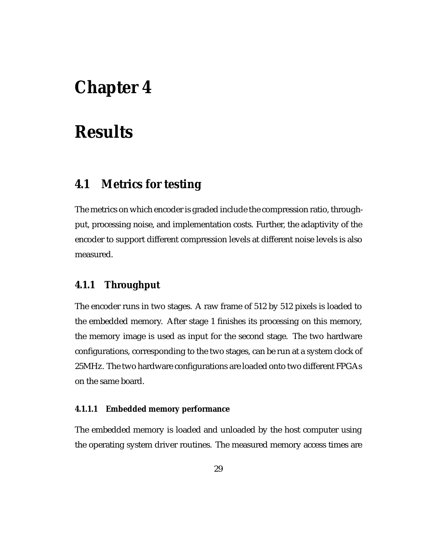# **Chapter 4**

# **Results**

### **4.1 Metrics for testing**

The metrics on which encoder is graded include the compression ratio, throughput, processing noise, and implementation costs. Further, the adaptivity of the encoder to support different compression levels at different noise levels is also measured.

#### **4.1.1 Throughput**

The encoder runs in two stages. A raw frame of 512 by 512 pixels is loaded to the embedded memory. After stage 1 finishes its processing on this memory, the memory image is used as input for the second stage. The two hardware configurations, corresponding to the two stages, can be run at a system clock of 25MHz. The two hardware configurations are loaded onto two different FPGAs on the same board.

#### **4.1.1.1 Embedded memory performance**

The embedded memory is loaded and unloaded by the host computer using the operating system driver routines. The measured memory access times are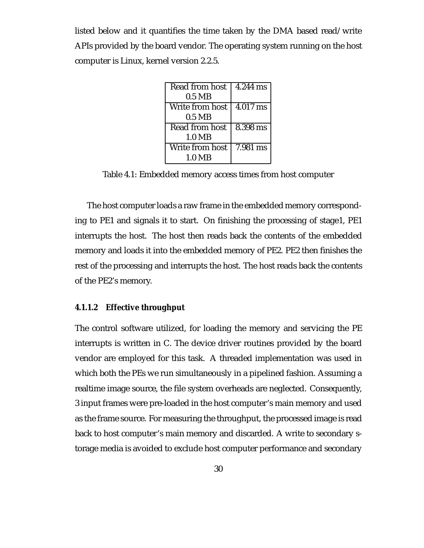listed below and it quantifies the time taken by the DMA based read/write APIs provided by the board vendor. The operating system running on the host computer is Linux, kernel version 2.2.5.

| Read from host   | $4.244$ ms |
|------------------|------------|
| $0.5$ MB         |            |
| Write from host  | $4.017$ ms |
| $0.5$ MB         |            |
| Read from host   | 8.398 ms   |
| $1.0\ \text{MB}$ |            |
| Write from host  | 7.981 ms   |
| 1 0 MR           |            |

Table 4.1: Embedded memory access times from host computer

The host computer loads a raw frame in the embedded memory corresponding to PE1 and signals it to start. On finishing the processing of stage1, PE1 interrupts the host. The host then reads back the contents of the embedded memory and loads it into the embedded memory of PE2. PE2 then finishes the rest of the processing and interrupts the host. The host reads back the contents of the PE2's memory.

#### **4.1.1.2 Effective throughput**

The control software utilized, for loading the memory and servicing the PE interrupts is written in C. The device driver routines provided by the board vendor are employed for this task. A threaded implementation was used in which both the PEs we run simultaneously in a pipelined fashion. Assuming a realtime image source, the file system overheads are neglected. Consequently, 3 input frames were pre-loaded in the host computer's main memory and used as the frame source. For measuring the throughput, the processed image is read back to host computer's main memory and discarded. A write to secondary storage media is avoided to exclude host computer performance and secondary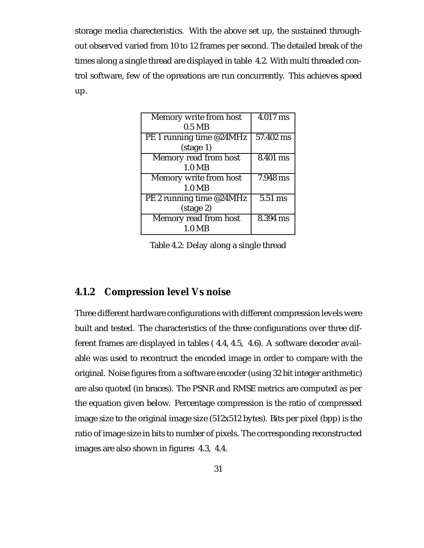storage media charecteristics. With the above set up, the sustained throughout observed varied from 10 to 12 frames per second. The detailed break of the times along a single thread are displayed in table 4.2. With multi threaded control software, few of the opreations are run concurrently. This achieves speed up.

| Memory write from host   | 4.017 ms              |
|--------------------------|-----------------------|
| $0.5$ MB                 |                       |
| PE 1 running time @24MHz | 57.402 ms             |
| $(\text{stage } 1)$      |                       |
| Memory read from host    | $\overline{8.401}$ ms |
| $1.0\ \text{MB}$         |                       |
| Memory write from host   | 7.948 ms              |
| $1.0\ \text{MB}$         |                       |
| PE 2 running time @24MHz | 5.51 ms               |
| $(\text{stage } 2)$      |                       |
| Memory read from host    | 8.394 ms              |
| 1.0 <sub>MB</sub>        |                       |

Table 4.2: Delay along a single thread

#### **4.1.2 Compression level Vs noise**

Three different hardware configurations with different compression levels were built and tested. The characteristics of the three configurations over three different frames are displayed in tables ( 4.4, 4.5, 4.6). A software decoder available was used to recontruct the encoded image in order to compare with the original. Noise figures from a software encoder (using 32 bit integer arithmetic) are also quoted (in braces). The PSNR and RMSE metrics are computed as per the equation given below. Percentage compression is the ratio of compressed image size to the original image size (512x512 bytes). Bits per pixel (bpp) is the ratio of image size in bits to number of pixels. The corresponding reconstructed images are also shown in figures 4.3, 4.4.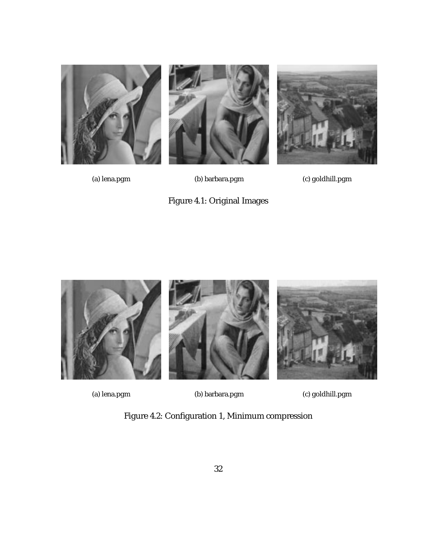







(a) lena.pgm (b) barbara.pgm (c) goldhill.pgm





(a) lena.pgm (b) barbara.pgm (c) goldhill.pgm

Figure 4.2: Configuration 1, Minimum compression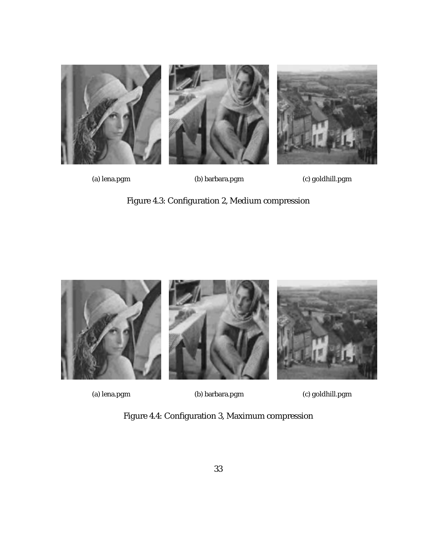

(a) lena.pgm (b) barbara.pgm (c) goldhill.pgm

Figure 4.3: Configuration 2, Medium compression



(a) lena.pgm (b) barbara.pgm (c) goldhill.pgm

Figure 4.4: Configuration 3, Maximum compression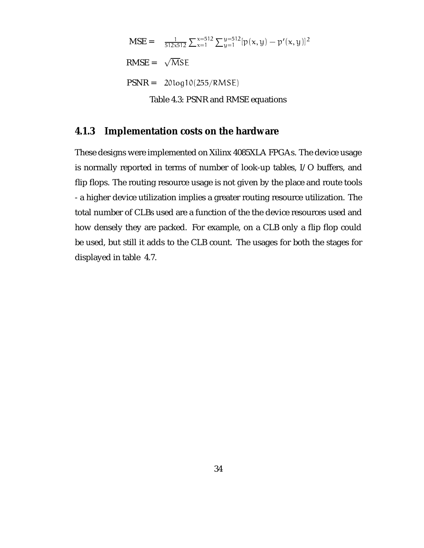$$
MSE = \frac{1}{512 \times 512} \sum_{x=1}^{x=512} \sum_{y=1}^{y=512} [p(x, y) - p'(x, y)]^2
$$
  
RMSE =  $\sqrt{MSE}$   
PSNR = 20log10(255/RMSE)  
Table 4.3: PSNR and RMSE equations

#### **4.1.3 Implementation costs on the hardware**

These designs were implemented on Xilinx 4085XLA FPGAs. The device usage is normally reported in terms of number of look-up tables, I/O buffers, and flip flops. The routing resource usage is not given by the place and route tools - a higher device utilization implies a greater routing resource utilization. The total number of CLBs used are a function of the the device resources used and how densely they are packed. For example, on a CLB only a flip flop could be used, but still it adds to the CLB count. The usages for both the stages for displayed in table 4.7.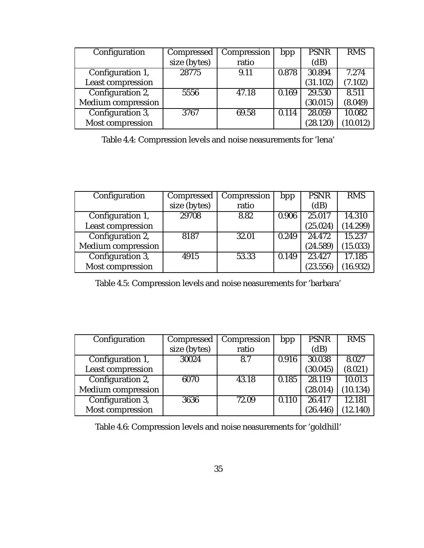| Configuration             | Compressed   | Compression | bpp   | <b>PSNR</b> | <b>RMS</b> |
|---------------------------|--------------|-------------|-------|-------------|------------|
|                           | size (bytes) | ratio       |       | (dB)        |            |
| Configuration 1,          | 28775        | 9.11        | 0.878 | 30.894      | 7.274      |
| <b>Least compression</b>  |              |             |       | (31.102)    | (7.102)    |
| Configuration 2,          | 5556         | 47.18       | 0.169 | 29.530      | 8.511      |
| <b>Medium</b> compression |              |             |       | (30.015)    | (8.049)    |
| Configuration 3,          | 3767         | 69.58       | 0.114 | 28.059      | 10.082     |
| Most compression          |              |             |       | (28.120)    | (10.012)   |

Table 4.4: Compression levels and noise neasurements for 'lena'

| Configuration             | Compressed   | Compression | bpp   | <b>PSNR</b> | <b>RMS</b> |
|---------------------------|--------------|-------------|-------|-------------|------------|
|                           | size (bytes) | ratio       |       | (dB)        |            |
| Configuration 1,          | 29708        | 8.82        | 0.906 | 25.017      | 14.310     |
| <b>Least compression</b>  |              |             |       | (25.024)    | (14.299)   |
| Configuration 2,          | 8187         | 32.01       | 0.249 | 24.472      | 15.237     |
| <b>Medium</b> compression |              |             |       | (24.589)    | (15.033)   |
| Configuration 3,          | 4915         | 53.33       | 0.149 | 23.427      | 17.185     |
| Most compression          |              |             |       | (23.556)    | (16.932)   |

Table 4.5: Compression levels and noise neasurements for 'barbara'

| Configuration             | Compressed   | Compression | bpp   | <b>PSNR</b> | <b>RMS</b> |
|---------------------------|--------------|-------------|-------|-------------|------------|
|                           | size (bytes) | ratio       |       | (dB)        |            |
| Configuration 1,          | 30024        | 8.7         | 0.916 | 30.038      | 8.027      |
| <b>Least compression</b>  |              |             |       | (30.045)    | (8.021)    |
| Configuration 2,          | 6070         | 43.18       | 0.185 | 28.119      | 10.013     |
| <b>Medium</b> compression |              |             |       | (28.014)    | (10.134)   |
| Configuration 3,          | 3636         | 72.09       | 0.110 | 26.417      | 12.181     |
| Most compression          |              |             |       | (26.446)    | (12.140)   |

Table 4.6: Compression levels and noise neasurements for 'goldhill'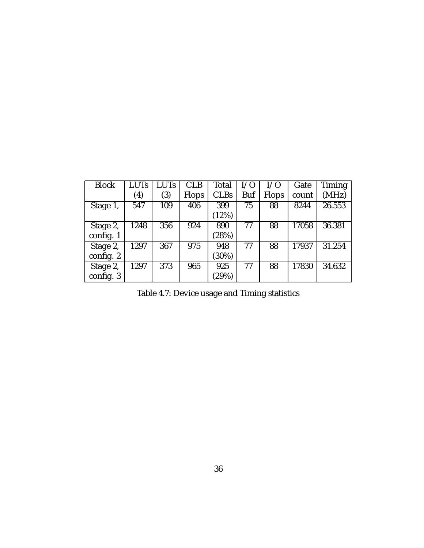| <b>Block</b> | <b>LUTs</b>       | <b>LUTs</b> | <b>CLB</b>   | Total       | I/O        | I/O   | Gate  | Timing |
|--------------|-------------------|-------------|--------------|-------------|------------|-------|-------|--------|
|              | $\left( 4\right)$ | (3)         | <b>Flops</b> | <b>CLBs</b> | <b>Buf</b> | Flops | count | (MHz)  |
| Stage 1,     | 547               | 109         | 406          | 399         | 75         | 88    | 8244  | 26.553 |
|              |                   |             |              | (12%)       |            |       |       |        |
| Stage 2,     | 1248              | 356         | 924          | 890         | 77         | 88    | 17058 | 36.381 |
| config. 1    |                   |             |              | (28%)       |            |       |       |        |
| Stage 2,     | 1297              | 367         | 975          | 948         | 77         | 88    | 17937 | 31.254 |
| config. 2    |                   |             |              | (30%)       |            |       |       |        |
| Stage 2,     | 1297              | 373         | 965          | 925         | 77         | 88    | 17830 | 34.632 |
| config. 3    |                   |             |              | (29%)       |            |       |       |        |

Table 4.7: Device usage and Timing statistics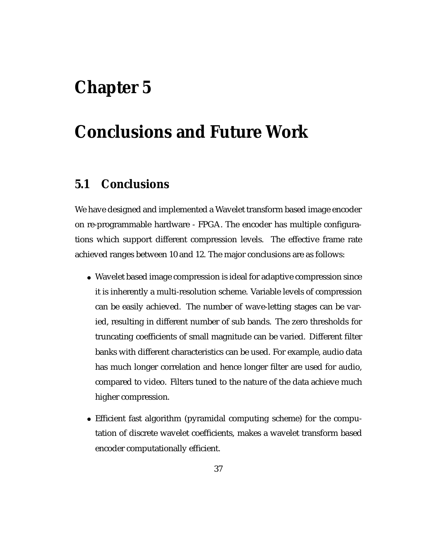# **Chapter 5**

# **Conclusions and Future Work**

## **5.1 Conclusions**

We have designed and implemented a Wavelet transform based image encoder on re-programmable hardware - FPGA. The encoder has multiple configurations which support different compression levels. The effective frame rate achieved ranges between 10 and 12. The major conclusions are as follows:

- Wavelet based image compression is ideal for adaptive compression since it is inherently a multi-resolution scheme. Variable levels of compression can be easily achieved. The number of wave-letting stages can be varied, resulting in different number of sub bands. The zero thresholds for truncating coefficients of small magnitude can be varied. Different filter banks with different characteristics can be used. For example, audio data has much longer correlation and hence longer filter are used for audio, compared to video. Filters tuned to the nature of the data achieve much higher compression.
- Efficient fast algorithm (pyramidal computing scheme) for the computation of discrete wavelet coefficients, makes a wavelet transform based encoder computationally efficient.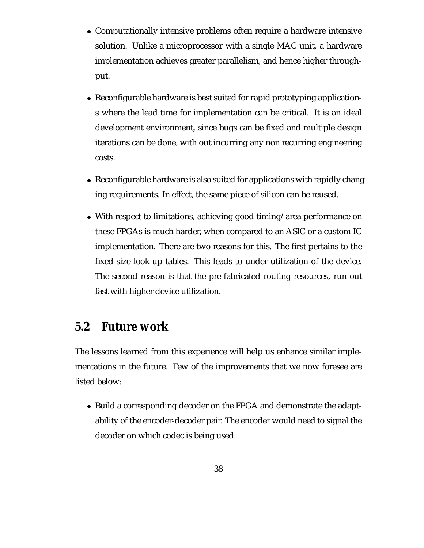- Computationally intensive problems often require a hardware intensive solution. Unlike a microprocessor with a single MAC unit, a hardware implementation achieves greater parallelism, and hence higher throughput.
- Reconfigurable hardware is best suited for rapid prototyping applications where the lead time for implementation can be critical. It is an ideal development environment, since bugs can be fixed and multiple design iterations can be done, with out incurring any non recurring engineering costs.
- Reconfigurable hardware is also suited for applications with rapidly changing requirements. In effect, the same piece of silicon can be reused.
- With respect to limitations, achieving good timing/area performance on these FPGAs is much harder, when compared to an ASIC or a custom IC implementation. There are two reasons for this. The first pertains to the fixed size look-up tables. This leads to under utilization of the device. The second reason is that the pre-fabricated routing resources, run out fast with higher device utilization.

## **5.2 Future work**

The lessons learned from this experience will help us enhance similar implementations in the future. Few of the improvements that we now foresee are listed below:

• Build a corresponding decoder on the FPGA and demonstrate the adaptability of the encoder-decoder pair. The encoder would need to signal the decoder on which codec is being used.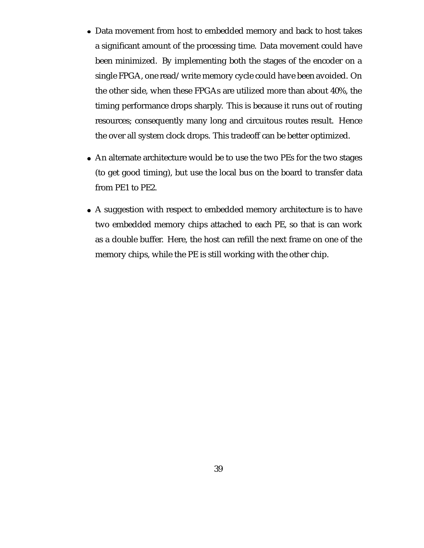- Data movement from host to embedded memory and back to host takes a significant amount of the processing time. Data movement could have been minimized. By implementing both the stages of the encoder on a single FPGA, one read/write memory cycle could have been avoided. On the other side, when these FPGAs are utilized more than about 40%, the timing performance drops sharply. This is because it runs out of routing resources; consequently many long and circuitous routes result. Hence the over all system clock drops. This tradeoff can be better optimized.
- An alternate architecture would be to use the two PEs for the two stages (to get good timing), but use the local bus on the board to transfer data from PE1 to PE2.
- A suggestion with respect to embedded memory architecture is to have two embedded memory chips attached to each PE, so that is can work as a double buffer. Here, the host can refill the next frame on one of the memory chips, while the PE is still working with the other chip.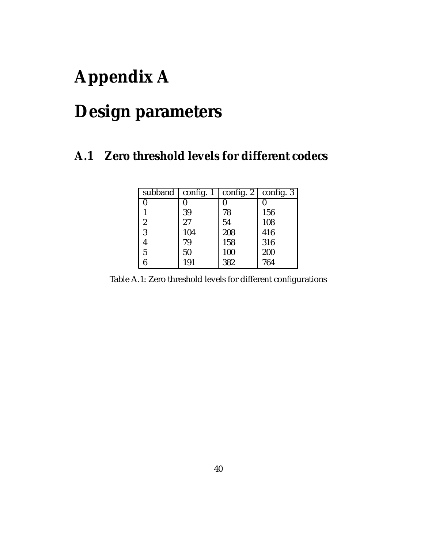# **Appendix A**

# **Design parameters**

## **A.1 Zero threshold levels for different codecs**

| subband          | config. $1$ | config. 2 | config. 3 |
|------------------|-------------|-----------|-----------|
| 0                |             |           |           |
|                  | 39          | 78        | 156       |
| $\boldsymbol{2}$ | 27          | 54        | 108       |
| 3                | 104         | 208       | 416       |
| 4                | 79          | 158       | 316       |
| 5                | 50          | 100       | 200       |
| 6                | 191         | 382       | 764       |

Table A.1: Zero threshold levels for different configurations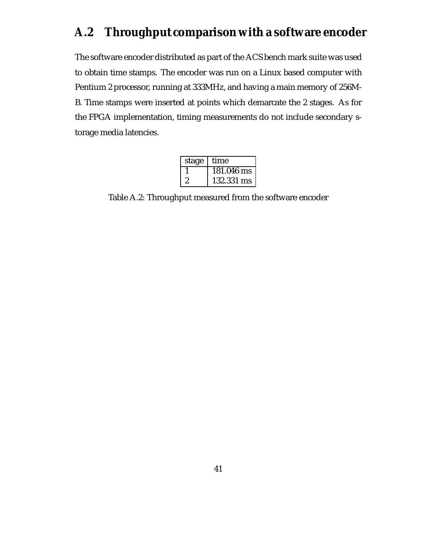## **A.2 Throughput comparison with a software encoder**

The software encoder distributed as part of the ACS bench mark suite was used to obtain time stamps. The encoder was run on a Linux based computer with Pentium 2 processor, running at 333MHz, and having a main memory of 256M-B. Time stamps were inserted at points which demarcate the 2 stages. As for the FPGA implementation, timing measurements do not include secondary storage media latencies.

| stage | time       |
|-------|------------|
|       | 181.046 ms |
|       | 132.331 ms |

Table A.2: Throughput measured from the software encoder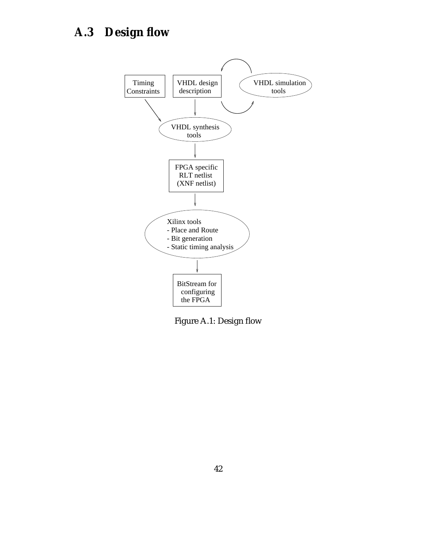## **A.3 Design flow**



Figure A.1: Design flow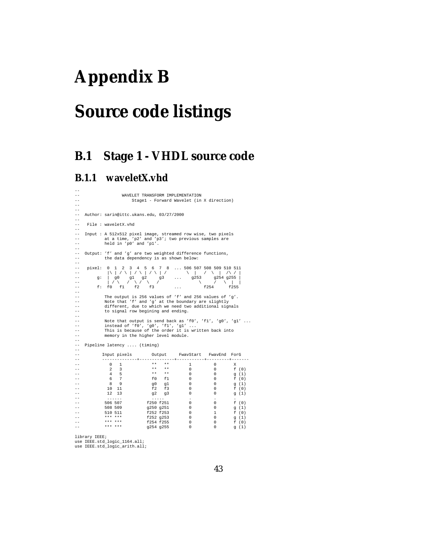# **Appendix B**

# **Source code listings**

## **B.1 Stage 1 - VHDL source code**

#### **B.1.1 waveletX.vhd**

```
--
--<br>WAVELET TRANSFORM IMPLEMENTATION<br>Stage1 - Forward Wavelet (in
                                         Stage1 - Forward Wavelet (in X direction)
--
--
-- Author: sarin@ittc.ukans.edu, 03/27/2000
--
       File : waveletX.vhd
--
-- Input : A 512x512 pixel image, streamed row wise, two pixels<br>-- at a time 'n?' and 'n?'; two previous samples are
-- at a time, 'p2' and 'p3'; two previous samples are
-- held in 'p0' and 'p1'.
--
-- Output: 'f' and 'g' are two weighted difference functions,<br>--         the data dependency is as shown below:
--<br>--<br>--
-- pixel: 0 1 2 3 4 5 6 7 8 ... 506 507 508 509 510 511
-- |\ | / \ | / \ | / \ | / \ | / \ | /\ / |
-- g: | g0 g1 g2 g3 ... g253 g254 g255 |
-- | / \ / \ / \ / \ / \ | |
-- f: f0 f1 f2 f3 ... f254 f255
--
-- The output is 256 values of 'f' and 256 values of 'g'.
-- Note that 'f' and 'g' at the boundary are slightly
-- different, due to which we need two additional signals
                   to signal row begining and ending.
--
-- Note that output is send back as 'f0', 'f1', 'g0', 'g1' ...
-- instead of 'f0', 'g0', 'f1', 'g1' ...
-- This is because of the order it is written back into
                     memory in the higher level module.
--
-- Pipeline latency .... (timing)
--
                    -- Input pixels Output FwavStart FwavEnd ForG
-- --------------+--------------+-----------+---------+-------
-- 0 1 ** ** 1 0 X
-- 2 3 ** ** 0 0 f (0)
-- 4 5 ** ** 0 0 g (1)
-- 6 7 f0 f1 0 0 f (0)
-- 8 9 g0 g1 0 0 g (1)
-- 10 11 f2 f3 0 0 f (0)
-- 12 13 g2 g3 0 0 g (1)
-- ...... ..... . . .
-- 506 507 f250 f251 0 0 f (0)
-- 508 509 g250 g251 0 0 g (1)
-- 510 511 f252 f253 0 1 f (0)
-- *** *** f252 g253 0 0 g (1)
-- *** *** f254 f255 0 0 f (0)
-- *** *** g254 g255 0 0 g (1)
```
library IEEE; use IEEE.std\_logic\_1164.all; use IEEE.std\_logic\_arith.all;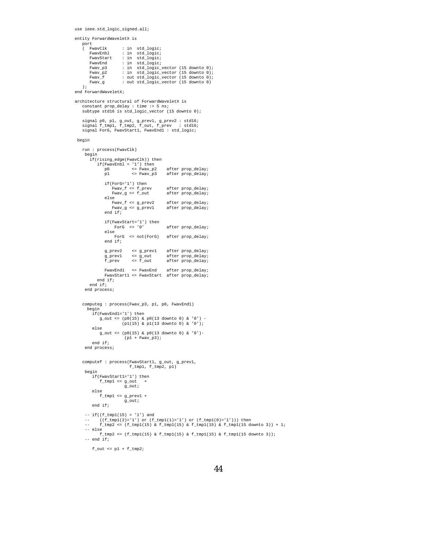```
use ieee.std_logic_signed.all;
```

```
entity ForwardWaveletX is
    port<br>( FwavClk
        FwavClk : in std_logic;<br>
FwavEnbl : in std_logic;
        FwavEnbl : in std_logic;<br>FwavStart : in std_logic;
        FwavStart : in std_logic;<br>FwavEnd : in std logic;
        FwavEnd : in std_logic;
Fwav_p3 : in std_logic_vector (15 downto 0);
        Fwav_p2 : in std_logic_vector (15 downto 0);
        Fwav_f : out std_logic_vector (15 downto 0);
Fwav_g : out std_logic_vector (15 downto 0)
    \lambda:
end ForwardWaveletX;
architecture structural of ForwardWaveletX is
    constant prop_delay : time := 5 ns;
subtype std16 is std_logic_vector (15 downto 0);
    signal p0, p1, g_out, g_prev1, g_prev2 : std16;
    signal f_tmp1, f_tmp2, f_out, f_prev : std16;
signal ForG, FwavStart1, FwavEnd1 : std_logic;
 begin
    run : process(FwavClk)
    begin
        if(rising_edge(FwavClk)) then
            if(FwavEnbl = '1') then
p0 <= Fwav_p2 after prop_delay;
p1 <= Fwav_p3 after prop_delay;
               if(ForG='1') then Fwar_f' <= f_prevFwav_f <= f_prev after prop_delay;
Fwav_g <= f_out after prop_delay;
                else<br>Fwav_f <= g_prev2
                   -<br>Fwav_f <= g_prev2 after prop_delay;<br>Fwav_g <= g_prev1 after prop_delay;
                                                 after prop_delay;
                end if;
                 if(FwavStart='1') then
ForG <= '0' after prop_delay;
                else
                    ForG <= not(ForG) after prop_delay;
                end if;
                g_prev2 <= g_prev1 after prop_delay;<br>g_prev1 <= g_out after prop_delay;
                 g_prev1 <= g_out after prop_delay;
f_prev <= f_out after prop_delay;
                 FwavEnd1 <= FwavEnd after prop_delay;
FwavStart1 <= FwavStart after prop_delay;
            end if;
        end if;
     end process;
    computeg : process(Fwav_p3, p1, p0, FwavEnd1)
      begin
         if(FwavEnd1='1') then
              g_out <= (p0(15) & p0(13 downto 0) & '0') -
(p1(15) & p1(13 downto 0) & '0');
         else
              g_out <= (p0(15) & p0(13 downto 0) & '0')-
(p1 + Fwav_p3);
         end if;
     end process;
    computef : process(FwavStart1, g_out, g_prev1,
                            f_{\text{tmp1}}, f_{\text{tmp2}}, p1)begin
         if(FwavStart1='1') then
             f_tmp1 <= g_out
                          g_out;
         else
             f_tmp1 <= g_prev1 +
                          g_out;
         end if;
     -- if((ftmp1(15) = '1') and-- ((f_tmp1(2)='1') or (f_tmp1(1)='1') or (f_tmp1(0)='1'))) then<br>-- f_tmp2 <= (f_tmp1(15) & f_tmp1(15) & f_tmp1(15) & f_tmp1(15 downto 3)) + 1;
     -- else
            f_tmp2 <= (f_tmp1(15) \& f_tmp1(15) \& f_tmp1(15) \& f_tmp1(15)-- end if;
         f_out \leq pl + f_tmp2;
```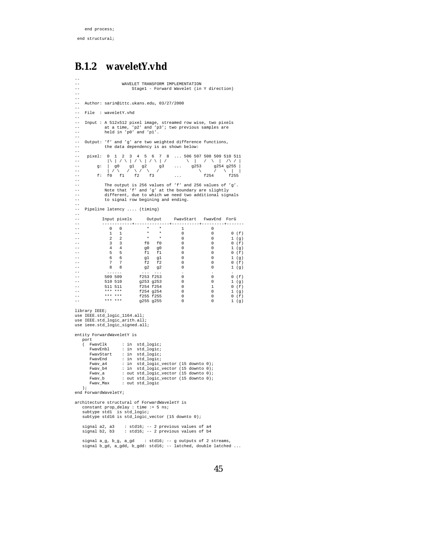#### **B.1.2 waveletY.vhd**

```
--
                               WAVELET TRANSFORM IMPLEMENTATION
                                     Stage1 - Forward Wavelet (in Y direction)
 --
--
-- Author: sarin@ittc.ukans.edu, 03/27/2000
--
-- File : waveletY.vhd
--
 -- Input : A 512x512 pixel image, streamed row wise, two pixels
-- at a time, 'p2' and 'p3'; two previous samples are
-- held in 'p0' and 'p1'.
--
 -- Output: 'f' and 'g' are two weighted difference functions,<br>-- the data dependency is as shown below:
--<br>--<br>--
 -- pixel: 0 1 2 3 4 5 6 7 8 ... 506 507 508 509 510 511
-- |\ | / \ | / \ | / \ | / \ | / \ | /\ / |
-- g: | g0 g1 g2 g3 ... g253 g254 g255 |
-- | / \ / \ / \ / \ / \ | |
-- f: f0 f1 f2 f3 ... f254 f255
--
 -- The output is 256 values of 'f' and 256 values of 'g'.
-- Note that 'f' and 'g' at the boundary are slightly
-- different, due to which we need two additional signals
-- Note that 'f' and 'g' at the bound.<br>-- Note that 'f' and 'g' at the bound.<br>-- different, due to which we need two<br>to signal row begining and ending.
 -- Pipeline latency .... (timing)<br>
-- Input pixels 0utput FwavStart FwavEnd ForG<br>
-- 0 0 * * 1 0 0 0 (f)<br>
-- 1 1 * * 0 0 0 (f)<br>
-- 2 2 * * 0 0 0 (f)<br>
-- 3 3 f0 f0 0 0 0 (f)<br>
-- 4 4 g0 g0 0 0 0 1 (g)<br>
-- 5 5 f1 f1 0 0 0 (f)
 -- 511 511 f254 f254 0 1 0 (f)
-- *** *** f254 g254 0 0 1 (g)
-- *** *** f255 f255 0 0 0 (f)
-- *** *** g255 g255 0 0 1 (g)
library IEEE;
use IEEE.std_logic_1164.all;
use IEEE.std_logic_arith.all;
use ieee.std_logic_signed.all;
entity ForwardWaveletY is
    port<br>( FwavClk
         FwavClk : in std_logic;<br>
FwavEnbl : in std logic;
         FwavEnbl : in std_logic;<br>FwavStart : in std_logic;
                              : in std\_logic;
         FwavEnd : in std_logic;<br>Fwav a4 : in std logic;
         Fwav_a4 : in std_logic_vector (15 downto 0);
          Fwav_b4 : in std_logic_vector (15 downto 0);
Fwav_a : out std_logic_vector (15 downto 0);
Fwav_b : out std_logic_vector (15 downto 0);
Fwav_Max : out std_logic
     );
end ForwardWaveletY;
architecture structural of ForwardWaveletY is
     constant prop_delay : time := 5 ns;
     subtype std1 is std_logic;
     subtype std16 is std_logic_vector (15 downto 0);
     signal a2, a3 : std16; -- 2 previous values of a4
signal b2, b3 : std16; -- 2 previous values of b4
     signal a_g, b_g, a_gd : std16; -- g outputs of 2 streams,
     signal b_gd, a_gdd, b_gdd: std16; -- latched, double latched...
```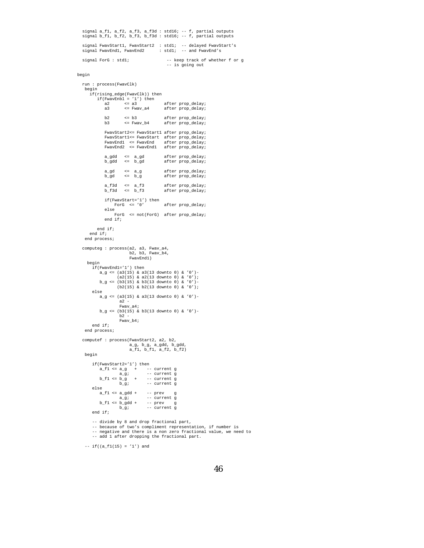```
signal a_f1, a_f2, a_f3, a_f3d : std16; -- f, partial outputs
signal b_f1, b_f2, b_f3, b_f3d : std16; -- f, partial outputs
signal FwavStart1, FwavStart2 : std1; -- delayed FwavStart's
signal FwavEnd1, FwavEnd2 : std1; -- and FwavEnd's
signal ForG : std1; -- keep track of whether f or g
                                                 -- is going out
```
#### begin

```
run : process(FwavClk)
 begin
   if(rising_edge(FwavClk)) then
        if(FwavEnbl = '1') then
a2 <= a3 after prop_delay;
           a3 <= Fwav_a4 after prop_delay;
           b2 <= b3 after prop_delay;
b3 <= Fwav_b4 after prop_delay;
           FwavStart2<= FwavStart1 after prop_delay;
           FwavStart1<= FwavStart after prop_delay;
           FwavEnd1 <= FwavEnd after prop_delay;
FwavEnd2 <= FwavEnd1 after prop_delay;
           a_gdd <= a_gd after prop_delay;
b_gdd <= b_gd after prop_delay;
           a_gd <= a_g after prop_delay;
b_gd <= b_g after prop_delay;
                                      after prop_delay;<br>after prop_delay;
          a_f3d \le a_f3<br>b_f3d \le b_f3\begin{array}{lll} \texttt{if}(\texttt{FwavStart='}1'\,) \texttt{ then}\\ \texttt{ForG} & \texttt{<='}0' \end{array}after prop delay;
           else
              ForG <= not(ForG) after prop_delay;
           end if;
       end if;
   end if;
 end process;
computeg : process(a2, a3, Fwav_a4,
                       b2, b3, Fwav_b4,
                       FwavEnd1)
  begin
     if(FwavEnd1='1') then
        a_{-}g \leq (a_{3}(15) \& a_{3}(13 \text{ downto 0}) \& 0') -(a2(15) & a2(13 downto 0) & '0');
b_g <= (b3(15) & b3(13 downto 0) & '0')-
                (b2(15) & b2(13 downto 0) & '0');
     else
        a_g <= (a3(15) & a3(13 downto 0) & '0')-
                  a2 -
                  Fwav_a4;
        b_g \leq (b3(15) \& b3(13 \text{ downto 0}) \& '0')-
                  h2 -Fwav_b4;
     end if;
 end process;
computef : process(FwavStart2, a2, b2,
                      a_g, b_g, a_gdd, b_gdd,
                       a_f1, b_f1, a_f2, b_f2)
begin
     if(FwavStart2='1') then
         a_f1 <= a_g + -- current g<br>
a_g; -- current g<br>
b_f1 <= b_g + -- current g
                b_g; -- current g
     else
       a_f1 \leq a_gd + -- prev g
         a_g; -- current g
b_f1 <= b_gdd + -- prev g
b_g; -- current g
     end if;
     -- divide by 8 and drop fractional part,
     -- because of two's compliment representation, if number is
     -- negative and there is a non zero fractional value, we need to
     -- add 1 after dropping the fractional part.
```
 $-- if((a_f1(15) = '1') and$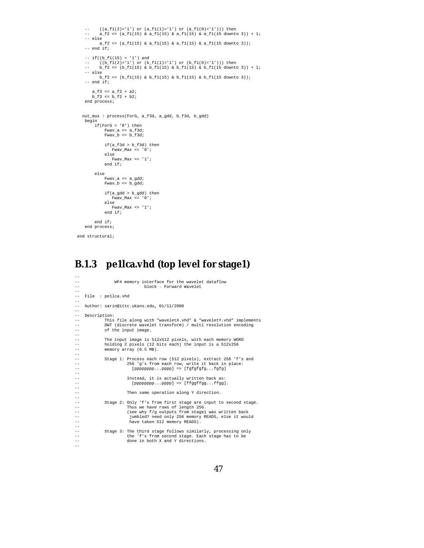```
-- ((a_f1(2)='1') or (a_f1(1)='1') or (a_f1(0)='1'))) then<br>-- a_f2 <= (a_f1(15) & a_f1(15) & a_f1(15) & a_f1(15 downto 3)) + 1;<br>-- else<br>a_f2 <= (a_f1(15) & a_f1(15) & a_f1(15) & a_f1(15 downto 3));<br>-- end if;
     -- if((b_f1(15) = '1') and
-- ((b_f1(2)='1') or (b_f1(1)='1') or (b_f1(0)='1'))) then
-- b_f2 <= (b_f1(15) & b_f1(15) & b_f1(15) & b_f1(15 downto 3)) + 1;
    -- else
            b_f2 \leq (b_f1(15) \& b_f1(15) \& b_f1(15) \& b_f1(15)-- end if;
        a_f3 \leq a_f2 + a_2;
       b_f3 \leq b_f2 + b_2;
    end process;
   out_mux : process(ForG, a_f3d, a_gdd, b_f3d, b_gdd)
    begin
          if(ForG = '0') thenFwav_a <= a_f3d;
Fwav_b <= b_f3d;
                if(a_f3d > b_f3d) thenFwav_Max <= '0';
else
                    ---<br>Fwav_Max <= '1';
                 end if;
          else
                  Fwav_a <= a_gdd;
Fwav_b <= b_gdd;
                  if(a_gdd > b_gdd) then
Fwav_Max <= '0';
else
                  Fwav_Max <= '1';
end if;
          end if;
    end process;
end structural;
```
## **B.1.3 pe1lca.vhd (top level for stage1)**

--

| $- -$<br>$- -$    | WF4 memory interface for the wavelet dataflow<br>block - Forward Wavelet            |
|-------------------|-------------------------------------------------------------------------------------|
| $- -$             |                                                                                     |
| $- -$             | File : pellca.vhd                                                                   |
| $- -$             |                                                                                     |
| $\qquad \qquad -$ | Author: sarin@ittc.ukans.edu, 01/11/2000                                            |
| $- -$             |                                                                                     |
| $\qquad \qquad -$ | Description:                                                                        |
| $- -$             | This file along with "waveletX.vhd" & "waveletY.vhd" implements                     |
| $- -$<br>$- -$    | DWT (discrete wavelet transform) / multi resolution encoding<br>of the input image. |
| $- -$             |                                                                                     |
| $- -$             | The input image is 512x512 pixels, with each memory WORD                            |
| $- -$             | holding 2 pixels (12 bits each) the input is a 512x256                              |
| $- -$             | memory array (0.5 MB).                                                              |
| $- -$             |                                                                                     |
| $ -$              | Stage 1: Process each row (512 pixels), extract 256 'f's and                        |
| $- -$             | 256 'g's from each row, write it back in place:                                     |
| $ -$              | [pppppppppppp] => [fgfgfgfgfgfg]                                                    |
| $ -$              |                                                                                     |
| $- -$             | Instead, it is actually written back as:                                            |
| $ -$              | $[pppppppppppp] \Rightarrow [ffqqffqqffqq].$                                        |
| $- -$             |                                                                                     |
| $- -$             | Then same operation along Y direction.                                              |
| $- -$             |                                                                                     |
| $- -$             | Stage 2: Only 'f's from first stage are input to second stage.                      |
| $- -$             | Thus we have rows of length 256.                                                    |
| $- -$             | (see why f/g outputs from stagel was written back                                   |
| $ -$              | jumbled? need only 256 memory READS, else it would                                  |
| $ -$              | have taken 512 memory READS).                                                       |
| $- -$             |                                                                                     |
| $- -$             | Stage 3: The third stage follows similarly, processing only                         |
| $- -$             | the 'f's from second stage. Each stage has to be                                    |
| $- -$             | done in both X and Y directions.                                                    |
| $- -$             |                                                                                     |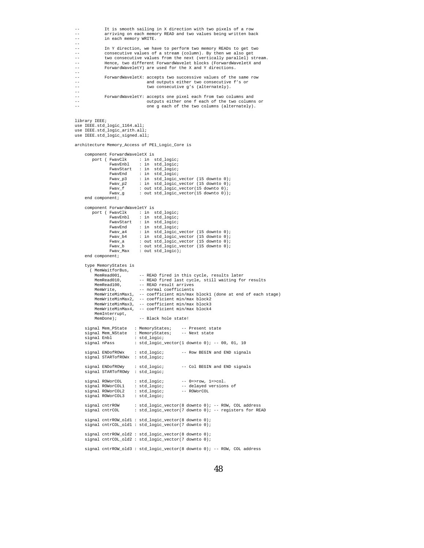```
It is smooth sailing in X direction with two pixels of a row
                arriving on each memory READ and two values being written back
                in each memory WRITE.
--
-- In Y direction, we have to perform two memory READs to get two
-- consecutive values of a stream (column). By then we also get
                two consecutive values from the next (vertically parallel) stream.
                Hence, two different ForwardWavelet blocks (ForwardWaveletX and
                -- ForwardWaveletY) are used for the X and Y directions.
--
-- ForwardWaveletX: accepts two successive values of the same row
-- and outputs either two consecutive f's or
                                         two consecutive g's (alternately).
--
                ForwardWaveletY: accepts one pixel each from two columns and
                                        outputs either one f each of the two columns or
-- one g each of the two columns (alternately).
library IEEE;
use IEEE.std_logic_1164.all;
use IEEE.std_logic_arith.all;
use IEEE.std_logic_signed.all;
architecture Memory_Access of PE1_Logic_Core is
     component ForwardWaveletX is<br>port ( FwavClk : in s
                   \begin{tabular}{lllll} \texttt{FwavClk} & : in std\_logic; \\ \texttt{FwavEmbl} & : in std\_logic; \\ \end{tabular}: in std\_logic;FwavStart : in std_logic;<br>FwavEnd : in std logic;
                   FwavEnd : in std_logic;<br>Fwav_p3 : in std_logic_
                                    \therefore in std_logic_vector (15 downto 0);
                   Fwav_p2 : in std_logic_vector (15 downto 0);<br>Fwav f : out std logic vector (15 downto 0);
                   \begin{tabular}{ll} \texttt{Fwav\_f} & : out std\_logic\_vector(15 down to 0); \\ \texttt{Fwav\_g} & : out std\_logic\_vector(15 down to 0)) \\ \end{tabular}: out std_logic_vector(15 downto 0));
     end component;
     component ForwardWaveletY is
          port ( FwavClk : in std_logic;
FwavEnbl : in std_logic;
                   FwavStart : in std_logic;<br>FwavEnd : in std logic;
                   FwavEnd : in std_logic;<br>Fwav_a4 : in std_logic_
                   Fwav_a4 : in std_logic_vector (15 downto 0);<br>Fwav_b4 : in std_logic_vector (15 downto 0);
                    Fwav_b4 : in std_logic_vector (15 downto 0);
Fwav_a : out std_logic_vector (15 downto 0);
                    Fwav_b : out std_logic_vector (15 downto 0);
Fwav_Max : out std_logic);
     end component;
     type MemoryStates is
        ( MemWaitforBus,<br>MemRead001,
           MemRead001,        -- READ fired in this cycle, results later<br>MemRead010,        -- READ fired last cycle, still waiting for results
           MemRead100, -- READ result arrives
           MemWrite, -- normal coefficients
MemWriteMinMax1, -- coefficient min/max block1 (done at end of each stage)
MemWriteMinMax2, -- coefficient min/max block2
           MemWriteMinMax3, -- coefficient min/max block3
MemWriteMinMax4, -- coefficient min/max block4
           MemInterrupt,<br>MemDone);
                                    -- Black hole state!
      signal Mem_PState : MemoryStates; -- Present state
signal Mem_NState : MemoryStates; -- Next state
     signal Enbl : std_logic;<br>signal mPass : std logic v
                                : std\_logic\_vector(1 down to 0); -- 00, 01, 10signal ENDofROWx : std_logic; -- Row BEGIN and END signals
signal STARTofROWx : std_logic;
     signal ENDofROWy : std_logic; -- Col BEGIN and END signals
     signal STARTofROWy : std_logic;
     signal ROWorCOL : std_logic; -- 0=>row, 1=>col.<br>signal ROWorCOL1 : std_logic; -- delayed version
                                  : std_logic; -- delayed versions of<br>1 : std_logic; -- ROWOrCOL
     signal ROWorCOL2 : std_logic;<br>signal ROWorCOL3 : std logic;
     signal ROWorCOL3
     signal cntrROW : std_logic_vector(8 downto 0); -- ROW, COL address<br>signal cntrCOL : std logic vector(7 downto 0); -- registers for RE
                                : std_logic_vector(7 downto 0); -- registers for READ
     signal cntrROW_old1 : std_logic_vector(8 downto 0);
     signal cntrCOL old1 : std logic vector(7 downto 0);
      signal cntrROW_old2 : std_logic_vector(8 downto 0);
signal cntrCOL_old2 : std_logic_vector(7 downto 0);
     signal cntrROW_old3 : std_logic_vector(8 downto 0); -- ROW, COL address
```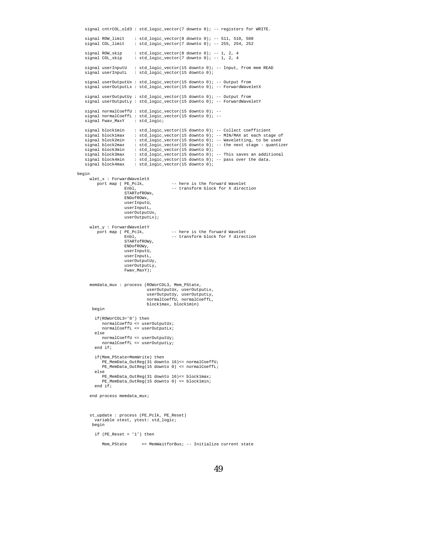signal cntrCOL\_old3 : std\_logic\_vector(7 downto 0); -- registers for WRITE. signal ROW\_limit : std\_logic\_vector(8 downto 0); -- 511, 510, 508<br>signal COL\_limit : std\_logic\_vector(7 downto 0); -- 255, 254, 252  $:$  std\_logic\_vector(7 downto 0); -- 255, 254, 252 signal ROW\_skip : std\_logic\_vector(8 downto 0); -- 1, 2, 4<br>signal COL\_skip : std\_logic\_vector(7 downto 0); -- 1, 2, 4  $: std\_logic\_vector(7 down to 0); -- 1, 2, 4$ signal userInputU : std\_logic\_vector(15 downto 0); -- Input, from mem READ<br>signal userInputL : std\_logic\_vector(15 downto 0); signal userOutputUx : std\_logic\_vector(15 downto 0); -- Output from signal userOutputLx : std\_logic\_vector(15 downto 0); -- ForwardWaveletX signal userOutputUy : std\_logic\_vector(15 downto 0); -- Output from signal userOutputLy : std\_logic\_vector(15 downto 0); -- ForwardWaveletY signal normalCoeffU : std\_logic\_vector(15 downto 0); -signal normalCoeffL : std\_logic\_vector(15 downto 0); --<br>signal Fwav\_MaxY : std\_logic; signal Fwav\_MaxY signal block1min : std\_logic\_vector(15 downto 0); -- Collect coefficient<br>signal block1max : std\_logic\_vector(15 downto 0); -- MIN/MAX at each stag signal block1max : std\_logic\_vector(15 downto 0); -- MIN/MAX at each stage of signal block2min : std\_logic\_vector(15 downto 0); -- Waveletting, to be used signal block2min : std\_logic\_vector(15 downto 0); -- Waveletting, to be used signal block2max : std\_logic\_vector(15 downto 0); -- the next stage - quantizer signal block3min : std\_logic\_vector(15 downto 0);<br>signal block3max : std\_logic\_vector(15 downto 0); signal block3max : std\_logic\_vector(15 downto 0); -- This saves an additional<br>signal block4min : std\_logic\_vector(15 downto 0); -- pass over the data.<br>signal block4max : std\_logic\_vector(15 downto 0); begin wlet\_x : ForwardWaveletX port map ( PE\_Pclk, -- here is the forward Wavelet<br>Enbl, -- transform block for X direct -- transform block for X direction STARTofROWx, ENDofROWx, userInputU, userInputL, userOutputUx, userOutputLx); wlet\_y : ForwardWaveletY<br>port map ( PE\_Pclk, pE\_Pclk, -- here is the forward Wavelet<br>Enbl, -- transform block for Y direct -- transform block for Y direction STARTofROWy, ENDofROWy, userInputU, userInputL, userOutputUy,  $userOutputiv$ . Fwav\_MaxY); memdata\_mux : process (ROWorCOL3, Mem\_PState, userOutputUx, userOutputLx, userOutputUy, userOutputLy, normalCoeffU, normalCoeffL, block1max, block1min) begin if(ROWorCOL3='0') then normalCoeffU <= userOutputUx; normalCoeffL <= userOutputLx; else normalCoeffU <= userOutputUy; normalCoeffL <= userOutputLy; end if; if(Mem\_PState=MemWrite) then PE\_MemData\_OutReg(31 downto 16)<= normalCoeffU; PE\_MemData\_OutReg(15 downto 0) <= normalCoeffL; else PE\_MemData\_OutReg(31 downto 16)<= block1max; PE\_MemData\_OutReg(15 downto 0) <= block1min; end if; end process memdata\_mux; st\_update : process (PE\_Pclk, PE\_Reset) variable xtest, ytest: std\_logic; begin if  $(PE\_Reset = '1')$  then Mem PState <= MemWaitforBus; -- Initialize current state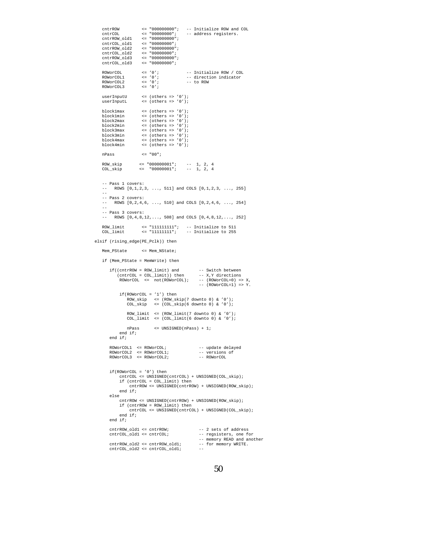```
ctr \le \degree 000000000; -- Initialize ROW and COL \le \degree 00000000, \le \degree \ge address registers.
    cntrCOL <= "00000000"; -- address registers.
cntrROW_old1 <= "000000000";
    cntrCOL_old1 <= "00000000";
cntrROW_old2 <= "000000000";
    cntrCOL_old2 <= "00000000";
    cntrROW_old3 <= "000000000";
cntrCOL_old3 <= "00000000";
    ROWORCOL \langle z = '0' \rangle -- Initialize ROW / COL<br>ROWORCOL1 \langle z = '0' \rangle -- direction indicator
    ROWorCOL1 <= '0'; -- direction indicator
ROWorCOL2 <= '0'; -- to ROW
    ROWOTCOL2 <= '0';<br>ROWOTCOL3 <= '0';
    userInputU <= (others => '0');
userInputL <= (others => '0');
    block1max <= (others => '0');
    block1min <= (others => '0');<br>block2max <= (others => '0');
    block2max \langle = (\text{others} \Rightarrow '0') ;<br>block2min \langle = (\text{others} \Rightarrow '0') ;block2min <= (others => '0');
block3max <= (others => '0');
    block3min <= (others => '0');<br>block4max <= (others => '0');
    block4max <= (others => '0');
block4min <= (others => '0');
   nPass <= "00";
    ROW_skip <= "000000001"; -- 1, 2, 4
COL_skip <= "00000001"; -- 1, 2, 4
    -- Pass 1 covers:
    -- ROWS [0,1,2,3, ..., 511] and COLS [0,1,2,3, ..., 255]
    --
    -- Pass 2 covers:<br>-- ROWS [0, 2, 4, ]ROWS [0, 2, 4, 6, ..., 510] and COLS [0, 2, 4, 6, ..., 254]--
    -- Pass 3 covers:
    \text{rows} [0,4,8,12,..., 508] and COLS [0,4,8,12,..., 252]
    ROW_limit <= "111111111"; -- Initialize to 511
COL_limit <= "11111111"; -- Initialize to 255
elsif (rising_edge(PE_Pclk)) then
    Mem_PState <= Mem_NState;
   if (Mem_PState = MemWrite) then
        if((cntrROW = ROW_limit) and -- Switch between
             (cntrCOL = COL_limit)) then -- X,Y directions
ROWorCOL <= not(ROWorCOL); -- (ROWorCOL=0) => X,
                                                          -- (ROWorCOL=1) => Y.
              if(ROWorCOL = '1') then
ROW_skip <= (ROW_skip(7 downto 0) & '0');
COL_skip <= (COL_skip(6 downto 0) & '0');
                 {\tt Row\_limit} \hspace{0.2cm} \leftarrow \hspace{0.2cm} \texttt{(Row\_limit(7~downto~0) \text{ \& } '0')};COL_limit \leq (COL_limit(6 downto 0) & '0');
                 nPass <= UNSIGNED(nPass) + 1;
             end if;
        end if;
         ROWorCOL1 <= ROWorCOL; -- update delayed
ROWorCOL2 <= ROWorCOL1; -- versions of
        ROWorCOL3 <= ROWorCOL2; -- ROWorCOL
        if(ROWorCOT. = '0') then
             cntrCOL <= UNSIGNED(cntrCOL) + UNSIGNED(COL_skip);
              if (cntrCOL = COL_limit) then
cntrROW <= UNSIGNED(cntrROW) + UNSIGNED(ROW_skip);
             end if;
        else
             cntrROW <= UNSIGNED(cntrROW) + UNSIGNED(ROW_skip);
             if (cntrROW = ROW_limit) then
                   entrCOL \le UNSIGNED(entrCOL) + INSTRNED(COT, skin):end if;
        end if;
        cntrROW_old1 <= cntrROW; -- 2 sets of address
        \overline{\text{cnrCOL}}-old1 <= \overline{\text{cnrCOL}};
                                                          -- regsisters, one for<br>-- memory READ and another<br>-- for memory WRITE.
        cntrROW\_old2 \leq cntrROW\_old1;<br>cntrCOW\_old2 \leq cntrCOW\_old1;entrCOL\_old2 \leq entrCOL\_old1;
```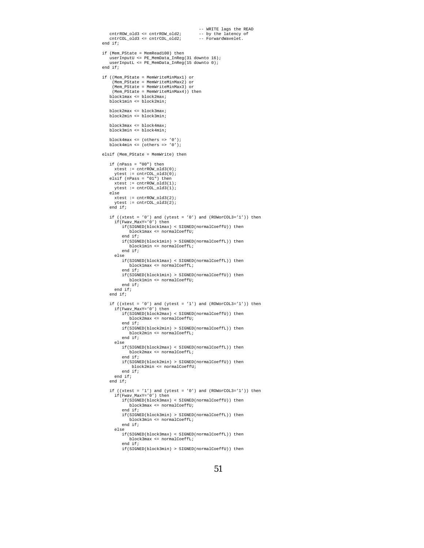```
-- WRITE lags the READ<br>-- by the latency of<br>-- ForwardWavelet.
   cntrROW old3 <= cntrROW old2;
   cntrCOL_old3 <= cntrCOL_old2;
end if f:
if (Mem_PState = MemRead100) then
   userInputU <= PE_MemData_InReg(31 downto 16);
   userInputL <= PE_MemData_InReg(15 downto 0);
end if;
if ((Mem_PState = MemWriteMinMax1) or
     (Mem_PState = MemWriteMinMax2) or
     (Mem_PState = MemWriteMinMax3) or
     (Mem_PState = MemWriteMinMax4)) then
    block1max <= block2max;
block1min <= block2min;
    block2max <= block3max;
block2min <= block3min;
    block3max <= block4max;
block3min <= block4min;
   block4max \epsilon = (\text{otherwise} \Rightarrow \text{'}(0));
   block4min \leq (others \Rightarrow '0');
elsif (Mem_PState = MemWrite) then
   if (nPass = "00") then
      xtest := cntrROW_old3(0);
      ytest := \text{cntrCOL\_old3}(0);elsif (nPass = "01") then
     xtest := cntrROW_old3(1);
      ytest := \text{cntrCOL\_old3(1)};
   else
     xtest := entryRow_0Id3(2);ytest := cntrCOL_old3(2);
   end if;
    if ((xtest = '0') and (ytest = '0') and (ROWorCOL3='1')) then
if(Fwav_MaxY='0') then
         if(SIGNED(block1max) < SIGNED(normalCoeffU)) then
             block1max <= normalCoeffU;
         end if;
         if(SIGNED(block1min) > SIGNED(normalCoeffL)) then
             block1min <= normalCoeffL;
         end if;
      else
          if(SIGNED(block1max) < SIGNED(normalCoeffL)) then
block1max <= normalCoeffL;
         end if;
          if(SIGNED(block1min) > SIGNED(normalCoeffU)) then
block1min <= normalCoeffU;
         end if;
      end if;
   end if;
    if ((xtest = '0') and (ytest = '1') and (ROWorCOL3='1')) then if(Fwav\_MaxY='0') then
         if(SIGNED(block2max) < SIGNED(normalCoeffU)) then
             block2max <= normalCoeffU;
         end if;
          if(SIGNED(block2min) > SIGNED(normalCoeffL)) then
block2min <= normalCoeffL;
         end if;
      else
         if(SIGNED(block2max) < SIGNED(normalCoeffL)) then
             block2max <= normalCoeffL;
         end if;
         if(SIGNED(block2min) > SIGNED(normalCoeffU)) then
              block2min <= normalCoeffU;
         end if;
      end if;
   end if;
    if ((xtest = '1') and (ytest = '0') and (ROWorCOL3='1')) then
if(Fwav_MaxY='0') then
if(SIGNED(block3max) < SIGNED(normalCoeffU)) then
             block3max <= normalCoeffU;
         end if;
         if(SIGNED(block3min) > SIGNED(normalCoeffL)) then
             block3min <= normalCoeffL;
         end if;
      else
         if(SIGNED(block3max) < SIGNED(normalCoeffL)) then
             block3max <= normalCoeffL;
         end if;
         if(SIGNED(block3min) > SIGNED(normalCoeffU)) then
```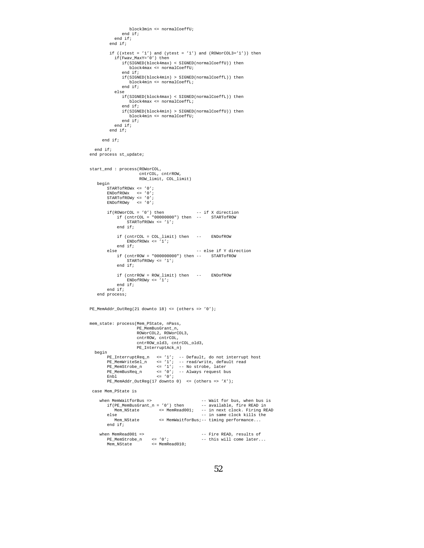```
block3min <= normalCoeffU;
                end if;
             end if;
          end if;
          if ((xtest = '1') and (ytest = '1') and (ROWorCOL3='1')) then
             if(Fwav_MaxY='0') then
if(SIGNED(block4max) < SIGNED(normalCoeffU)) then
                    block4max <= normalCoeffU;
                 end if;
                 if(SIGNED(block4min) > SIGNED(normalCoeffL)) then
block4min <= normalCoeffL;
                 end if;
             else
                 if(SIGNED(block4max) < SIGNED(normalCoeffL)) then
                    block4max <= normalCoeffL;
                 end if;
                 if(SIGNED(block4min) > SIGNED(normalCoeffU)) then
                    block4min <= normalCoeffU;
                 end if;
            end if;
          end if;
      end if;
  end if;
end process st_update;
start_end : process(ROWorCOL,
                        cntrCOL, cntrROW,
                         ROW_limit, COL_limit)
   begin
        STARTofROWx <= '0';
          ENDofROWx <= '0';
STARTofROWy <= '0';
         ENDofROWy <= '0';
          if(ROWorCOL = '0') then -- if X direction
if (cntrCOL = "00000000") then -- STARTofROW
                   STARTofROWx <= '1';
              end if;
               if (cntrCOL = COL_limit) then -- ENDofROW
ENDofROWx <= '1';
         end if;
                                                       else -- else if Y direction
              if (cntrROW = "000000000") then -- STARTofROW
                   STARTofROWy <= '1';
              end if;
               if (cntrROW = ROW_limit) then -- ENDofROW
ENDofROWy <= '1';
              end if;
         end if;
   end process;
PE_MemAddr_OutReg(21 downto 18) <= (others => '0');
mem_state: process(Mem_PState, nPass,
                         PE_MemBusGrant_n,
ROWorCOL2, ROWorCOL3,
                        cntrROW, cntrCOL,
                         cntrROW_old3, cntrCOL_old3,
                        PE_InterruptAck_n)
  begin
          PE_InterruptReq_n <= '1'; -- Default, do not interrupt host<br>
PE_MemWriteSel_n <= '1'; -- read/write, default read<br>
PE_MemStrobe_n <- '1'; -- No strobe, later<br>
PE_MemBusReq_n <- '0'; -- Always request bus<br>
Enbl <- '0';
         PE_MemAddr_OutReg(17 downto 0) <= (others => 'X');
 case Mem_PState is
      when MemWaitforBus => -- Wait for bus, when bus is<br>
if(PE_MemBusGrant_n = '0') then -- available, fire READ in<br>
Mem_NState <= MemRead001; -- in next clock. Firing READ<br>
else =- in same clock. Firing READ
            Mem_NState <= MemWaitforBus;-- timing performance...
         end if;
     when MemRead001 => - Fire READ, results of PE_MemStrobe_n \leq '0'; - this will come later...
          PE_MemStrobe_n <= '0'; -- this will come later...
Mem_NState <= MemRead010;
```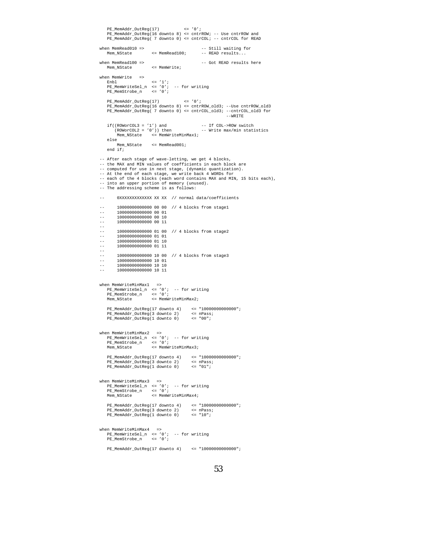```
PE_MemAddr_OutReg(17) <= '0';
PE_MemAddr_OutReg(16 downto 8) <= cntrROW; -- Use cntrROW and
PE_MemAddr_OutReg( 7 downto 0) <= cntrCOL; -- cntrCOL for READ
when MemRead010 => -5 Still waiting for Mem_NState \leq MemRead100; - READ results...
                                                         -- READ results...
when MemRead100 => \qquad -- Got READ results here Mem_NState \qquad <= MemWrite;
                            <= MemWrite;
when MemWrite =>
     Enbl <= '1';
PE_MemWriteSel_n <= '0'; -- for writing
PE_MemStrobe_n <= '0';
    PE_MemAddr_OutReg(17) \leq '0';
    PE_MemAddr_OutReg(16 downto 8) <= cntrROW_old3; --Use cntrROW_old3
    PE_MemAddr_OutReg( 7 downto 0) <= cntrCOL_old3; --cntrCOL_old3 for
                                                                        --WRITE
   if((ROWOrCOL3 = '1') and - If COL->ROW switch (ROWOrCOL2 = '0')) then - Write max/min stat:
                                                         -- Write max/min statistics
          Mem_NState <= MemWriteMinMax1;
    else<br>Mem NState
                           <= MemRead001;
    end if;
-- After each stage of wave-letting, we get 4 blocks,
-- the MAX and MIN values of coefficients in each block are
-- computed for use in next stage, (dynamic quantization).
-- At the end of each stage, we write back 4 WORDs for
-- each of the 4 blocks (each word contains MAX and MIN, 15 bits each),
-- into an upper portion of memory (unused).
-- The addressing scheme is as follows:
-- 0XXXXXXXXXXXXX XX XX // normal data/coefficients
-- 10000000000000 00 00 // 4 blocks from stage1
-- 10000000000000 00 01
-- 10000000000000 00 10
         -- 10000000000000 00 11
--
-- 10000000000000 01 00 // 4 blocks from stage2
-- 10000000000000 01 01
-- 10000000000000 01 10
         -- 10000000000000 01 11
--
-- 10000000000000 10 00 // 4 blocks from stage3<br>-- 10000000000000 10 01
-- 10000000000000 10 01
-- 10000000000000 10 10
-- 10000000000000 10 11
when MemWriteMinMax1 =>
     PE_MemWriteSel_n <= '0'; -- for writing
PE_MemStrobe_n <= '0';
Mem_NState <= MemWriteMinMax2;
    PE_MemAddr_OutReg(17 downto 4) <= "10000000000000";
     PE_MemAddr_OutReg(3 downto 2) <= nPass;
PE_MemAddr_OutReg(1 downto 0) <= "00";
when MemWriteMinMax2 =><br>
PE_MemWriteSel_n <= '0'; -- for writing<br>
PE_MemStrobe_n <= '0';<br>
Mem_NState <= MemWriteMinMax3;
     PE_MemAddr_OutReg(17 downto 4)     <= "10000000000000";<br>PE_MemAddr_OutReg(3 downto 2)     <= nPass;<br>PE_MemAddr_OutReg(1 downto 0)     <= "01";
when MemWriteMinMax3 =><br>
PE_MemWriteSel_n <= '0'; -- for writing<br>
PE_MemStrobe_n <= '0';<br>
Mem_NState <= MemWriteMinMax4;
    PE_MemAddr_OutReg(17 downto 4) <= "10000000000000";
     PE_MemAddr_OutReg(3 downto 2) <= nPass;
PE_MemAddr_OutReg(1 downto 0) <= "10";
when MemWriteMinMax4 =>
     PE_MemWriteSel_n <= '0'; -- for writing
PE_MemStrobe_n <= '0';
    PE_MemAddr_OutReg(17 downto 4) <= "10000000000000";
```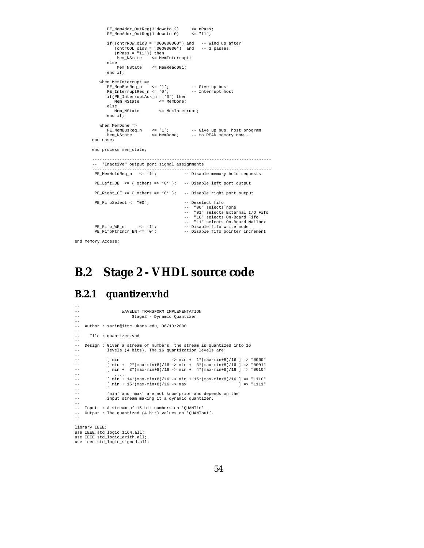```
PE_MemAddr_OutReg(3 downto 2) <= nPass;
PE_MemAddr_OutReg(1 downto 0) <= "11";
        if((cntrROW_old3 = "000000000") and -- Wind up after
(cntrCOL_old3 = "00000000") and -- 3 passes.
(nPass = "11")) then
             Mem_NState <= MemInterrupt;
       else
             Mem_NState <= MemRead001;
        end if:when MemInterrupt =><br>PE_MemBusReq_n <= '1';           -- Give up bus<br>PE_InterruptReq_n <= '0';         -- Interrupt host
        if(PE_InterruptAck_n = '0') then
Mem_NState <= MemDone;
        else<br>Mem_NState
                                 <= MemInterrupt;
       end if;
   when MemDone =>
        PE_MemBusReq_n <= '1'; -- Give up bus, host program
Mem_NState <= MemDone; -- to READ memory now...
end case;
end process mem_state;
                   ------------------------------------------------------------------------
-- "Inactive" output port signal assignments
------------------------------------------------------------------------
                                               -- Disable memory hold requests
PE\_Left\_OE <= ( others => '0' ); -- Disable left port output
PE_Right_OE <= ( others => '0' ); -- Disable right port output
PE_FifoSelect <= "00"; -- Deselect fifo
                                                   -- "00" selects none
-- "01" selects External I/O Fifo
-- "10" selects On-Board Fifo
-- "11" selects On-Board Mailbox
PE_Fifo_WE_n <= '1'; -- Disable fifo write mode<br>PE_FifoPtrIncr_EN <= '0'; -- Disable fifo pointer inc
                                                -- Disable fifo pointer increment
```

```
end Memory_Access;
```
## **B.2 Stage 2 - VHDL source code**

### **B.2.1 quantizer.vhd**

```
--
--<br>WAVELET TRANSFORM IMPLEMENTATION<br>Stage2 - Dynamic Quantizer
                            Stage2 - Dynamic Quantizer
--
-- Author : sarin@ittc.ukans.edu, 06/10/2000
--
       File : quantizer.vhd
--
-- Design : Given a stream of numbers, the stream is quantized into 16
-- levels (4 bits). The 16 quantization levels are:
--
-- [ min -> min + 1*(max-min+8)/16 ] => "0000"
-- [ min + 2*(max-min+8)/16 -> min + 3*(max-min+8)/16 ] => "0001"
-- [ min + 3*(max-min+8)/16 -> min + 4*(max-min+8)/16 ] => "0010"
-- ....
-- [ min + 14*(max-min+8)/16 -> min + 15*(max-min+8)/16 ] => "1110"
-- [ min + 15*(max-min+8)/16 -> max ] => "1111"
--
-- 'min' and 'max' are not know prior and depends on the<br>-- input stream making it a dynamic quantizer.
               input stream making it a dynamic quantizer.
--
-- Input : A stream of 15 bit numbers on 'QUANTin'
-- Output : The quantized (4 bit) values on 'QUANTout'.
--
library IEEE;
use IEEE.std_logic_1164.all;
use IEEE.std logic arith.all;
use ieee.std_logic_signed.all;
```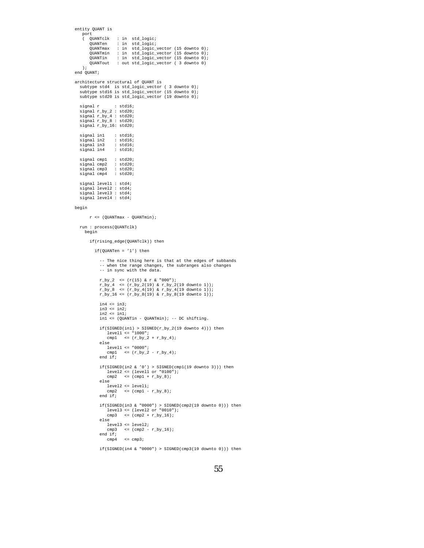```
entity QUANT is
    port<br>( QUANTclk
         quantelk : in std_logic;<br>quanten : in std_logic;
                         : in std_logic;
         QUANTmax : in std_logic_vector (15 downto 0);
QUANTmin : in std_logic_vector (15 downto 0);
QUANTin : in std_logic_vector (15 downto 0);
QUANTout : out std_logic_vector ( 3 downto 0)
    );
end OUANT:
architecture structural of QUANT is
   subtype std4 is std_logic_vector ( 3 downto 0);
subtype std16 is std_logic_vector (15 downto 0);
   subtype std20 is std_logic_vector (19 downto 0);
   signal r : std16;
signal r_by_2 : std20;
signal r_by_4 : std20;
signal r_by_8 : std20;
   signal r_by_16: std20;
   signal in1 : std16;
   signal in2
   signal in<sup>3</sup> : std16;<br>signal in3 : std16;<br>signal in4 : std16;
   signal in4
   signal cmp1 : std20;
signal cmp2 : std20;
signal cmp3 : std20;
  signal cmp4 : std20;
   signal level1 : std4;
   signal level2 : std4;
   signal level3 : std4;
   signal level4 : std4;
begin
         r \leq (QUANTmax - QUANTmin);
  run : process(QUANTclk)
     begin
         if(rising_edge(QUANTclk)) then
           if(QUANTen = '1') then
               -- The nice thing here is that at the edges of subbands
               -- when the range changes, the subranges also changes
               -- in sync with the data.
               r_by_2 <= (r(15) & r & "000");
               r_by_4 <= (r_by_2(19) & r_by_2(19 downto 1));
r_by_8 <= (r_by_4(19) & r_by_4(19 downto 1));
r_by_16 <= (r_by_8(19) & r_by_8(19 downto 1));
               in4 \leq in3;\sin 3 \leq \sin 2iin2 \le in1;
               in1 <= (QUANTin - QUANTmin); -- DC shifting.
               if(SIGNED(int) > SIGNED(r_by_2(19 downto 4))) thenlevel1 <= "1000";
cmp1 <= (r_by_2 + r_by_4);
               else
                  level1 <= "0000";
                   cmp1 \leq (r_by_2 - r_by_4);
               end if;
               if(SIGNED(in2 & '0') > SIGNED(cmp1(19 downto 3))) then<br>
level2 <= (level1 or "0100");<br>
cmp2 <= (cmp1 + r_by_8);
               else
                  level2 <= level1;
                   cmp2 = (cmp1 - r_by_8);end if:if(SIGNED(in3 & "0000") > SIGNED(cmp2(19 downto 0))) then<br>
level3 <= (level2 or "0010");<br>
cmp3 <= (cmp2 + r_by_16);
               else
                  level3 <= level2;
                   \texttt{cmp3} \quad \Longleftarrow \ (\texttt{cmp2 - r\_by\_16});end if;
                   cmp4 \leq cmp3;
```
if(SIGNED(in4 & "0000") > SIGNED(cmp3(19 downto 0))) then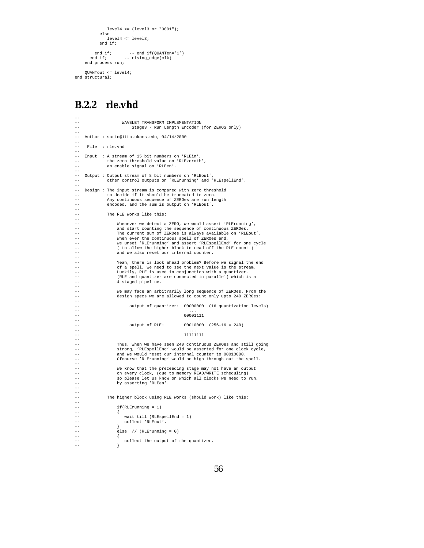```
level4 <= (level3 or "0001");
           else
              level4 <= level3;
           end if;
       end if; -- end if(QUANTen='1')<br>end if; -- rising_edge(clk)
    end process run;
    QUANTout <= level4;
end structural;
```
## **B.2.2 rle.vhd**

```
--<br>--<br>--
                     WAVELET TRANSFORM IMPLEMENTATION
                         Stage3 - Run Length Encoder (for ZEROS only)
--
   Author : sarin@ittc.ukans.edu, 04/14/2000
--
    File : rle.vhd
--
-- Input : A stream of 15 bit numbers on 'RLEin',
-- the zero threshold value on 'RLEzeroth',
-- an enable signal on 'RLEen'.
--
-- Output : Output stream of 8 bit numbers on 'RLEout',
              other control outputs on 'RLErunning' and 'RLEspellEnd'.
--
   Design : The input stream is compared with zero threshold
              to decide if it should be truncated to zero.
-- Any continuous sequence of ZEROes are run length
-- encoded, and the sum is output on 'RLEout'.
--
              The RLE works like this:
--
                  Whenever we detect a ZERO, we would assert 'RLErunning',
                   and start counting the sequence of continuous ZEROes.
                   The current sum of ZEROes is always available on 'RLEout'.
-- When ever the continuous spell of ZEROes end,
-- we unset 'RLErunning' and assert 'RLEspellEnd' for one cycle
                   ( to allow the higher block to read off the RLE count )
                  and we also reset our internal counter.
--
                  Yeah, there is look ahead problem? Before we signal the end
-- of a spell, we need to see the next value is the stream.
-- Luckily, RLE is used in conjunction with a quantizer,
                   (RLE and quantizer are connected in parallel) which is a4 staged pipeline.
--
                  We may face an arbitrarily long sequence of ZEROes. From the
                  design specs we are allowed to count only upto 240 ZEROes:
--
                        output of quantizer: 00000000 (16 quantization levels)
-- ...
                                                 00001111
--
                        output of RLE: 00010000 (256-16 = 240)
-- ...
                                                 \frac{1}{11111111}--
-- Thus, when we have seen 240 continuous ZEROes and still going
-- strong, 'RLEspellEnd' would be asserted for one clock cycle,
-- and we would reset our internal counter to 00010000.
                  Ofcourse 'RLErunning' would be high through out the spell.
--
-- We know that the preceeding stage may not have an output
-- on every clock, (due to memory READ/WRITE scheduling)
-- so please let us know on which all clocks we need to run,
                  by asserting 'RLEen'.
--
--
              The higher block using RLE works (should work) like this:
--
                   if(RLErunning = 1)- - \{wait till (RLEspellEnd = 1)
                      collect 'RLEout'
-- }
                  \text{else} // (RLErunning = 0)
-- \{\text{collect the output of the quantizer.}-- }
```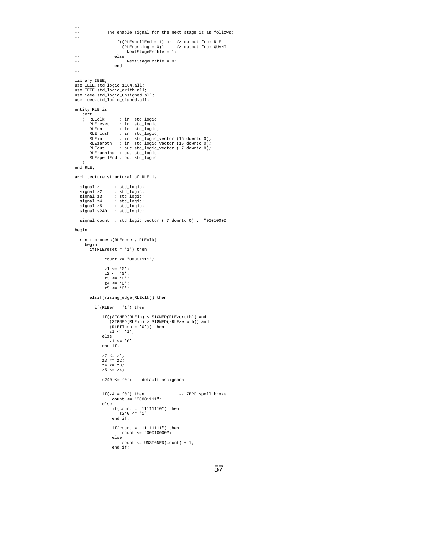```
--
                 The enable signal for the next stage is as follows:
--
                       if((\texttt{RLEspellEnd = 1}) \text{ or } // output from RLE
-- (RLErunning = 0)) // output from QUANT
-- NextStageEnable = 1;
-- else
-- NextStageEnable = 0;
-- end
--
library IEEE;
use IEEE.std_logic_1164.all;
use IEEE.std_logic_arith.all;
use ieee.std_logic_unsigned.all;
use ieee.std_logic_signed.all;
entity RLE is
    port<br>( RLEclk
     ( RLEclk : in std_logic;
RLEreset : in std_logic;
RLEen : in std_logic;
RLEflush : in std_logic;
         RLEin : in std_logic_vector (15 downto 0);<br>RLEzeroth : in std_logic_vector (15 downto 0);<br>RLEout : out std_logic_vector ( 7 downto 0);<br>RLEspellEnd : out std_logic<br>RLEspellEnd : out std_logic
    );
end RLE;
architecture structural of RLE is
  signal z1 : std_logic;<br>signal z2 : std_logic;
   signal z2 : std_logic;
signal z3 : std_logic;
signal z4 : std_logic;
   signal z5 : std_logic;
signal s240 : std_logic;
  signal count : std_logic_vector ( 7 downto 0) := "00010000";
begin
  run : process(RLEreset, RLEclk)
     begin
        if(RLEreset = '1') then
                 count <= "00001111";
                 z1\iff '0';
                  z2 <= '0';
z3 <= '0';
                 z4 <= '0';
                 z5 \leq v0'ielsif(rising_edge(RLEclk)) then
           if(RLEen = '1') thenif((SIGNED(RLEin) < SIGNED(RLEzeroth)) and
(SIGNED(RLEin) > SIGNED(-RLEzeroth)) and
(RLEflush = '0')) then
                    z1 \le '1';
               else
                z1 <= '0';
end if;
                z2 <= z1;
z3 <= z2;
                z4 <= z3;
z5 <= z4;
               s240 <= '0'; -- default assignment
               if(z4 = '0') then -- ZERO spell broken
                    count <= "00001111";
               else
                    if(count = "11111110") then
                        s240 \leq 1'iend if;
                      if(count = "11111111") then
count <= "00010000";
                     else
                          count <= UNSIGNED(count) + 1;
                     end if;
```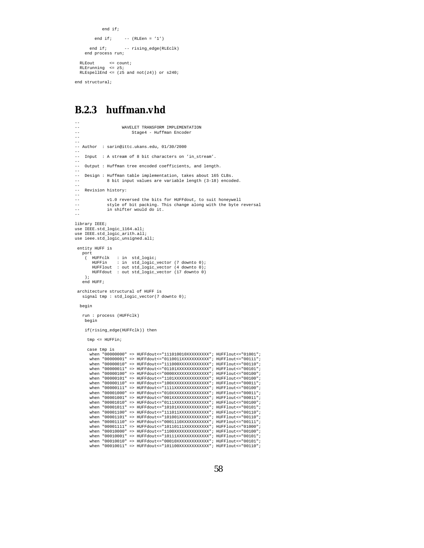```
end if;
      end if: -- (RLEen = '1')
    end if; -- rising_edge(RLEclk)
 end process run;
RLEout <= count;
RLErunning <= z5;
RLEspellEnd <= (z5 and not(z4)) or s240;
```
end structural;

#### **B.2.3 huffman.vhd**

```
--
--<br>WAVELET TRANSFORM IMPLEMENTATION<br>Stage4 - Huffman Encoder
                                    Stage4 - Huffman Encoder
--
--
-- Author : sarin@ittc.ukans.edu, 01/30/2000
--
     Input : A stream of 8 bit characters on 'in stream'.
--
     Output : Huffman tree encoded coefficients, and length.
--
-- Design : Huffman table implementation, takes about 165 CLBs.<br>-- 8 bit input values are variable length (3-18) encod
                   8 bit input values are variable length (3-18) encoded.
--
    Revision history:
--
-- v1.0 reversed the bits for HUFFdout, to suit honeywell
-- style of bit packing. This change along with the byte reversal
-- in shifter would do it.
--
library IEEE;
use IEEE.std logic 1164.all;
use IEEE.std_logic_arith.all;
use ieee.std logic unsigned.all;
 entity HUFF is
     port
( HUFFclk : in std_logic;
           HUFFin : in std_logic_vector (7 downto 0);
HUFFlout : out std_logic_vector (4 downto 0);
           HUFFdout : out std_logic_vector (17 downto 0)
      );
    end HUFF;
 architecture structural of HUFF is
    signal tmp : std_logic_vector(7 downto 0);
  begin
     run : process (HUFFclk)
      begin
      if(rising_edge(HUFFclk)) then
       tmp <= HUFFin;
       case tmp is
         when "00000000" => HUFFdout <= "111010010XXXXXXXXX"; HUFFlout <= "01001";
          when "00000001" => HUFFdout<="0110011XXXXXXXXXXXX"; HUFFlout<="00111";<br>when "00000010" => HUFFdout<="011000XXXXXXXXXXXXX"; HUFFlout<="00101";<br>when "00000011" => HUFFdout<="01101XXXXXXXXXXXXX"; HUFFlout<="00101";
          when "00000100" => HUFFdout<="0000XXXXXXXXXXXXXXX"; HUFFlout<="00100";<br>when "00000101" => HUFFdout<="1101XXXXXXXXXXXXXX"; HUFFlout<="00100";<br>when "00000110" => HUFFdout<="1101XXXXXXXXXXXXXX"; HUFFlout<="00010";<br>when "00000
          when "00001000" => HUFFdout<="010XXXXXXXXXXXXXXXX"; HUFFlout<="00011";<br>when "00001001" => HUFFdout<="001XXXXXXXXXXXXXXX"; HUFFlout<="00101";<br>when "00001010" => HUFFdout<="0111XXXXXXXXXXXXXX"; HUFFlout<="00100";
         when "00001011" => HUFFdout<="10101XXXXXXXXXXXXX"; HUFFlout<="00101";
          when "00001100" => HUFFdout<="111011XXXXXXXXXXXX"; HUFFlout<="00110";
when "00001101" => HUFFdout<="101001XXXXXXXXXXXX"; HUFFlout<="00110";
          when "00001110" => HUFFdout<="0001110XXXXXXXXXXXX"; HUFFlout<="00111";<br>when "00001111" => HUFFdout<="10110111XXXXXXXXXX"; HUFFlout<="01000";<br>when "0001000" => HUFFdout<="1100XXXXXXXXXXXXX"; HUFFlout<="00100";<br>when "0001000
         when "00010010" => HUFFdout \leq "00010XXXXXXXXXX; HUFFlout \leq "00101";
         when "00010011" => HUFFdout<="101100XXXXXXXXXXXX"; HUFFlout<="00110";
```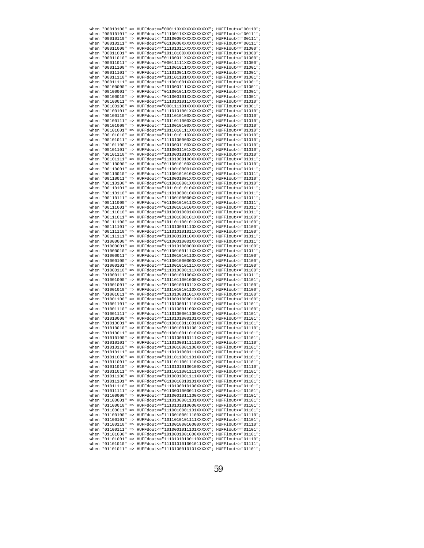| when | "00010100"         | $\Rightarrow$ | HUFFdout <= "000110XXXXXXXXXXXXX"; HUFFlout <= "00110";                      |  |
|------|--------------------|---------------|------------------------------------------------------------------------------|--|
|      |                    |               | when "00010101" => HUFFdout<="1110011XXXXXXXXXXX"; HUFFlout<="00111";        |  |
|      |                    |               | when "00010110" => HUFFdout<="1010000XXXXXXXXXXX"; HUFFlout<="00111";        |  |
|      |                    |               | when "00010111" => HUFFdout<="0110000XXXXXXXXXXX"; HUFFlout<="00111";        |  |
|      |                    |               |                                                                              |  |
|      |                    |               | when "00011000" => HUFFdout<="11101011XXXXXXXXXX"; HUFFlout<="01000";        |  |
|      |                    |               | when "00011001" => HUFFdout<="10110100XXXXXXXXXX"; HUFFlout<="01000";        |  |
|      | when "00011010"    |               | => HUFFdout <= "01100011XXXXXXXXXX"; HUFFlout <= "01000";                    |  |
|      |                    |               | when "00011011" => HUFFdout<="00011111XXXXXXXXXX"; HUFFlout<="01000";        |  |
|      |                    |               | when "00011100" => HUFFdout<="111001011XXXXXXXXX"; HUFFlout<="01001";        |  |
|      | when "00011101"    |               | => HUFFdout<="111010011XXXXXXXXX"; HUFFlout<="01001";                        |  |
|      |                    |               |                                                                              |  |
|      |                    |               | when "00011110" => HUFFdout<="101101101XXXXXXXXX"; HUFFlout<="01001";        |  |
|      |                    |               | when "00011111" => HUFFdout<="111001001XXXXXXXXX"; HUFFlout<="01001";        |  |
|      | when "00100000"    |               | $=$ > HUFFdout <= "101000111XXXXXXXXX"; HUFFlout <= "01001";                 |  |
|      | when "00100001"    |               | => HUFFdout <= "011001011XXXXXXXXX"; HUFFlout <= "01001";                    |  |
|      |                    |               | when "00100010" => HUFFdout<="011000101XXXXXXXXX"; HUFFlout<="01001";        |  |
|      |                    |               | when "00100011" => HUFFdout<="1110101011XXXXXXXX"; HUFFlout<="01010";        |  |
|      |                    |               | when "00100100" => HUFFdout<="000111101XXXXXXXXX"; HUFFlout<="01001";        |  |
|      |                    |               |                                                                              |  |
|      |                    |               | when "00100101" => HUFFdout<="1110101001XXXXXXXX"; HUFFlout<="01010";        |  |
|      |                    |               | when "00100110" => HUFFdout<="1011010100XXXXXXXX"; HUFFlout<="01010";        |  |
|      | when "00100111"    |               | => HUFFdout <= "1011011000XXXXXXXX"; HUFFlout <= "01010";                    |  |
|      |                    |               | when "00101000" => HUFFdout<="1110010100XXXXXXXX"; HUFFlout<="01010";        |  |
|      |                    |               | when "00101001" => HUFFdout<="1011010111XXXXXXXX"; HUFFlout<="01010";        |  |
|      |                    |               |                                                                              |  |
|      |                    |               | when "00101010" => HUFFdout<="1011010110XXXXXXXX"; HUFFlout<="01010";        |  |
|      |                    |               | when "00101011" => HUFFdout<="1110100000XXXXXXXX"; HUFFlout<="01010";        |  |
|      |                    |               | when "00101100" => HUFFdout<="1010001100XXXXXXXX"; HUFFlout<="01010";        |  |
|      | when "00101101"    |               | => HUFFdout <= "1010001101XXXXXXXX"; HUFFlout <= "01010";                    |  |
|      |                    |               | when "00101110" => HUFFdout<="1010001010XXXXXXXX"; HUFFlout<="01010";        |  |
|      |                    |               | when "00101111" => HUFFdout<="11101000100XXXXXXX";        HUFFlout<="01011"; |  |
|      |                    |               | when "00110000" => HUFFdout<="0110010100XXXXXXXX"; HUFFlout<="01010";        |  |
|      |                    |               |                                                                              |  |
|      |                    |               | when "00110001" => HUFFdout<="11100100001XXXXXXX"; HUFFlout<="01011";        |  |
|      |                    |               | when "00110010" => HUFFdout<="11100101010XXXXXXX"; HUFFlout<="01011";        |  |
|      | when "00110011"    |               | => HUFFdout <= "0110001001XXXXXXXX"; HUFFlout <= "01010";                    |  |
|      |                    |               | when "00110100" => HUFFdout<="0110010001XXXXXXXX"; HUFFlout<="01010";        |  |
|      |                    |               | when "00110101" => HUFFdout<="10110101010XXXXXXX"; HUFFlout<="01011";        |  |
|      | when "00110110" => |               | HUFFdout <= "11101000010XXXXXXX"; HUFFlout <= "01011";                       |  |
|      |                    |               |                                                                              |  |
|      |                    |               | when "00110111" => HUFFdout<="11100100000XXXXXXX"; HUFFlout<="01011";        |  |
|      |                    |               | when "00111000" => HUFFdout<="01100101011XXXXXXX"; HUFFlout<="01011";        |  |
|      | when "00111001"    |               | => HUFFdout <= "01100101010XXXXXXX"; HUFFlout <= "01011";                    |  |
|      |                    |               | when "00111010" => HUFFdout<="10100010001XXXXXXX"; HUFFlout<="01011";        |  |
|      |                    |               | when "00111011" => HUFFdout<="111001000101XXXXXX"; HUFFlout<="01100";        |  |
|      | when "00111100"    |               | => HUFFdout<="101101100101XXXXXX"; HUFFlout<="01100";                        |  |
|      |                    |               |                                                                              |  |
|      |                    |               | when "00111101" => HUFFdout<="111010001110XXXXXX";    HUFFlout<="01100";     |  |
|      |                    |               | when "00111110" => HUFFdout<="111010101011XXXXXX"; HUFFlout<="01100";        |  |
|      | when "00111111"    |               | => HUFFdout <= "10100010110XXXXXXX"; HUFFlout <= "01011";                    |  |
|      |                    |               | when "01000000" => HUFFdout<="01100010001XXXXXXX"; HUFFlout<="01011";        |  |
|      |                    |               | when "01000001" => HUFFdout<="111010100000XXXXXX"; HUFFlout<="01100";        |  |
|      |                    |               | when "01000010" => HUFFdout<="01100100111XXXXXXX"; HUFFlout<="01011";        |  |
|      |                    |               | when "01000011" => HUFFdout<="111001010110XXXXXX";    HUFFlout<="01100";     |  |
|      |                    |               |                                                                              |  |
|      |                    |               | when "01000100" => HUFFdout<="011001000000XXXXXX"; HUFFlout<="01100";        |  |
|      | when "01000101"    |               | => HUFFdout <= "111001010111XXXXXX"; HUFFlout <= "01100";                    |  |
|      |                    |               | when "01000110" => HUFFdout<="111010000111XXXXXX"; HUFFlout<="01100";        |  |
|      |                    |               | when "01000111" => HUFFdout<="01100100100XXXXXXX"; HUFFlout<="01011";        |  |
|      |                    |               | when "01001000" => HUFFdout<="1011011001000XXXXX"; HUFFlout<="01101";        |  |
|      |                    |               | when "01001001" => HUFFdout<="011001001011XXXXXX";    HUFFlout<="01100";     |  |
|      |                    |               |                                                                              |  |
|      | when "01001010" => |               | HUFFdout <= "101101010110XXXXXX"; HUFFlout <= "01100";                       |  |
|      | when "01001011"    |               | => HUFFdout <= "111010001101XXXXXX"; HUFFlout <= "01100";                    |  |
|      | when "01001100"    |               | => HUFFdout <= "101000100001XXXXXX"; HUFFlout <= "01100";                    |  |
|      |                    |               | when "01001101" => HUFFdout<="1110100011110XXXXX"; HUFFlout<="01101";        |  |
|      | when "01001110"    |               | => HUFFdout <= "111010001100XXXXXX"; HUFFlout <= "01100";                    |  |
|      |                    |               | when "01001111" => HUFFdout<="1110100001100XXXXX"; HUFFlout<="01101";        |  |
|      | when "01010000"    |               | => HUFFdout <= "1110101000101XXXXX"; HUFFlout <= "01101";                    |  |
|      | when "01010001"    |               | => HUFFdout <= "0110010011001XXXXX"; HUFFlout <= "01101";                    |  |
|      |                    |               |                                                                              |  |
|      | when "01010010"    |               | => HUFFdout <= "01100100101001XXXX"; HUFFlout <= "01110";                    |  |
|      |                    |               | when "01010011" => HUFFdout<="0110010011010XXXXX"; HUFFlout<="01101";        |  |
|      |                    |               | when "01010100" => HUFFdout<="1110100010111XXXXX";    HUFFlout<="01101";     |  |
|      |                    |               | when "01010101" => HUFFdout<="11101000111110XXXX"; HUFFlout<="01110";        |  |
|      |                    |               | when "01010110" => HUFFdout <= "1110010001100XXXXX"; HUFFlout <= "01101";    |  |
|      |                    |               | when "01010111" => HUFFdout <= "1110101000111XXXXX"; HUFFlout <= "01101";    |  |
|      |                    |               |                                                                              |  |
|      |                    |               | when "01011000" => HUFFdout <= "1011011001101XXXXX"; HUFFlout <= "01101";    |  |
|      |                    |               | when "01011001" => HUFFdout <= "1011011001110XXXXX"; HUFFlout <= "01101";    |  |
|      |                    |               | when "01011010" => HUFFdout <= "11101010100100XXXX"; HUFFlout <= "01110";    |  |
|      |                    |               | when "01011011" => HUFFdout<="1011011001111XXXXX"; HUFFlout<="01101";        |  |
|      |                    |               | when "01011100" => HUFFdout <= "1010001001111XXXXX"; HUFFlout <= "01101";    |  |
|      |                    |               | when "01011101" => HUFFdout<="0110010010101XXXXX"; HUFFlout<="01101";        |  |
|      |                    |               | when "01011110" => HUFFdout <= "1110100010100XXXXX"; HUFFlout <= "01101";    |  |
|      |                    |               |                                                                              |  |
|      |                    |               | when "01011111" => HUFFdout <= "0110001000011XXXXX"; HUFFlout <= "01101";    |  |
|      |                    |               | when "01100000" => HUFFdout <= "1010001011100XXXXX"; HUFFlout <= "01101";    |  |
|      |                    |               | when "01100001" => HUFFdout <= "1110100001101XXXXX"; HUFFlout <= "01101";    |  |
|      |                    |               | when "01100010" => HUFFdout<="1110101010000XXXXX"; HUFFlout<="01101";        |  |
|      |                    |               | when "01100011" => HUFFdout<="1110010001101XXXXX"; HUFFlout<="01101";        |  |
|      |                    |               | when "01100100" => HUFFdout <= "11100100011100XXXX"; HUFFlout <= "01110";    |  |
|      |                    |               |                                                                              |  |
|      |                    |               | when "01100101" => HUFFdout<="1011010101111XXXXX"; HUFFlout<="01101";        |  |
|      |                    |               | when "01100110" => HUFFdout<="11100100010000XXXX"; HUFFlout<="01110";        |  |
|      |                    |               | when "01100111" => HUFFdout <= "1010001011101XXXXX"; HUFFlout <= "01101";    |  |
|      |                    |               | when "01101000" => HUFFdout<="1010001001000XXXXX"; HUFFlout<="01101";        |  |
|      |                    |               | when "01101001" => HUFFdout <= "11101010100110XXXX"; HUFFlout <= "01110";    |  |
|      |                    |               | when "01101010" => HUFFdout <= "111010101010111XXX"; HUFFlout <= "01111";    |  |
|      |                    |               | when "01101011" => HUFFdout <= "1110100010101XXXXX"; HUFFlout <= "01101";    |  |
|      |                    |               |                                                                              |  |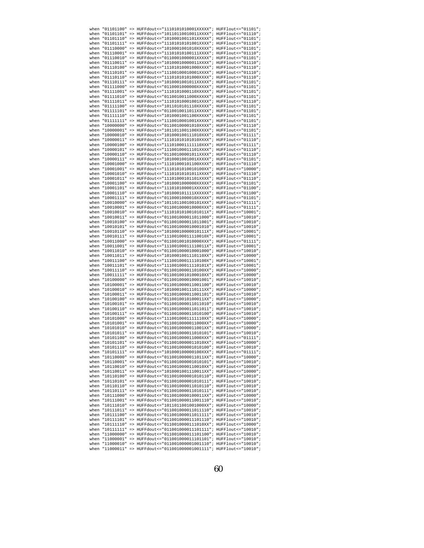| when | "01101100"         | => HUFFdout<="1110101010001XXXXX"; HUFFlout<="01101";                            |  |
|------|--------------------|----------------------------------------------------------------------------------|--|
|      |                    | when "01101101" => HUFFdout<="10110110010011XXXX"; HUFFlout<="01110";            |  |
|      |                    | when "01101110" => HUFFdout<="1010001001101XXXXX";    HUFFlout<="01101";         |  |
|      |                    | when "01101111" => HUFFdout<="11101010101001XXXX"; HUFFlout<="01110";            |  |
|      |                    |                                                                                  |  |
|      |                    | when "01110000" => HUFFdout<="1010001001010XXXXX"; HUFFlout<="01101";            |  |
|      |                    | when "01110001" => HUFFdout<="11101010100111XXXX"; HUFFlout<="01110";            |  |
|      | when "01110010"    | => HUFFdout <= "0110001000001XXXXX"; HUFFlout <= "01101";                        |  |
|      |                    | when "01110011" => HUFFdout<="10100010000011XXXX"; HUFFlout<="01110";            |  |
|      |                    | when "01110100" => HUFFdout<="11101010001000XXXX"; HUFFlout<="01110";            |  |
|      | when "01110101"    | => HUFFdout<="11100100010001XXXX"; HUFFlout<="01110";                            |  |
|      |                    |                                                                                  |  |
|      |                    | when "01110110" => HUFFdout<="11101010101000XXXX"; HUFFlout<="01110";            |  |
|      |                    | when "01110111" => HUFFdout<="101000101011XXXXX"; HUFFlout<="01101";             |  |
|      | when "01111000"    | => HUFFdout <= "0110001000000XXXXX"; HUFFlout <= "01101";                        |  |
|      |                    | when "01111001" => HUFFdout<="1110101000110XXXXX"; HUFFlout<="01101";            |  |
|      |                    | when "01111010" => HUFFdout<="0110010011000XXXXX"; HUFFlout<="01101";            |  |
|      |                    | when "01111011" => HUFFdout<="11101010001001XXXX"; HUFFlout<="01110";            |  |
|      |                    |                                                                                  |  |
|      |                    | when "01111100" => HUFFdout<="1011010101110XXXXX"; HUFFlout<="01101";            |  |
|      |                    | when "01111101" => HUFFdout<="0110010011011XXXXX"; HUFFlout<="01101";            |  |
|      |                    | when "01111110" => HUFFdout<="1010001001100XXXXX"; HUFFlout<="01101";            |  |
|      | when "01111111"    | => HUFFdout <= "1110010001001XXXXX"; HUFFlout <= "01101";                        |  |
|      |                    | when "10000000" => HUFFdout<="01100100001010XXXX"; HUFFlout<="01110";            |  |
|      |                    | when "10000001" => HUFFdout<="1011011001100XXXXX"; HUFFlout<="01101";            |  |
|      |                    |                                                                                  |  |
|      |                    | when "10000010" => HUFFdout<="101000100111010XXX"; HUFFlout<="01111";            |  |
|      |                    | when "10000011" => HUFFdout<="11101010101010XXXX"; HUFFlout<="01110";            |  |
|      |                    | when "10000100" => HUFFdout<="111010001111110XXX"; HUFFlout<="01111";            |  |
|      | when "10000101"    | => HUFFdout <= "11100100011101XXXX"; HUFFlout <= "01110";                        |  |
|      |                    | when "10000110" => HUFFdout<="01100100001011XXXX"; HUFFlout<="01110";            |  |
|      |                    |                                                                                  |  |
|      |                    | when "10000111" => HUFFdout<="1010001001001XXXXX";            HUFFlout<="01101"; |  |
|      |                    | when "10001000" => HUFFdout <= "11101000101100XXXX"; HUFFlout <= "01110";        |  |
|      |                    | when "10001001" => HUFFdout<="111010101010100XX"; HUFFlout<="10000";             |  |
|      |                    | when "10001010" => HUFFdout<="11101010101011XXXX"; HUFFlout<="01110";            |  |
|      | when "10001011"    | => HUFFdout <= "11101000101101XXXX"; HUFFlout <= "01110";                        |  |
|      |                    | when "10001100" => HUFFdout<="1010001000000XXXXX"; HUFFlout<="01101";            |  |
|      |                    |                                                                                  |  |
|      |                    | when "10001101" => HUFFdout<="111010100001XXXXXX";    HUFFlout<="01100";         |  |
|      |                    | when "10001110" => HUFFdout<="101000101111XXXXXX"; HUFFlout<="01100";            |  |
|      |                    | when "10001111" => HUFFdout<="0110001000010XXXXX"; HUFFlout<="01101";            |  |
|      |                    | when "10010000" => HUFFdout<="101101100100101XXX"; HUFFlout<="01111";            |  |
|      | when "10010001"    | => HUFFdout <= "011001000010000XXX"; HUFFlout <= "01111";                        |  |
|      |                    | when "10010010" => HUFFdout<="111010101010101011x"; HUFFlout<="10001";           |  |
|      |                    |                                                                                  |  |
|      |                    | when "10010011" => HUFFdout<="011001000011011000"; HUFFlout<="10010";            |  |
|      |                    | when "10010100" => HUFFdout<="011001000011011001"; HUFFlout<="10010";            |  |
|      |                    | when "10010101" => HUFFdout<="011001000010001010"; HUFFlout<="10010";            |  |
|      |                    | when "10010110" => HUFFdout<="10100010000010111X"; HUFFlout<="10001";            |  |
|      | when "10010111"    | => HUFFdout <= "11100100011110010X"; HUFFlout <= "10001";                        |  |
|      |                    | when "10011000" => HUFFdout<="011001001010000XXX"; HUFFlout<="01111";            |  |
|      |                    | when "10011001" => HUFFdout<="11100100011110011X"; HUFFlout<="10001";            |  |
|      |                    | when "10011010" => HUFFdout<="011001000010001000"; HUFFlout<="10010";            |  |
|      |                    |                                                                                  |  |
|      |                    | when "10011011" => HUFFdout<="1010001001110110XX"; HUFFlout<="10000";            |  |
|      |                    | when "10011100" => HUFFdout<="11100100011110100X"; HUFFlout<="10001";            |  |
|      | when "10011101"    | => HUFFdout <= "11100100011110101X"; HUFFlout <= "10001";                        |  |
|      |                    | when "10011110" => HUFFdout<="0110010000110100XX"; HUFFlout<="10000";            |  |
|      |                    | when "10011111" => HUFFdout<="0110010010100010XX"; HUFFlout<="10000";            |  |
|      |                    | when "10100000" => HUFFdout<="011001000010001001"; HUFFlout<="10010";            |  |
|      |                    | when "10100001" => HUFFdout<="011001000011001100"; HUFFlout<="10010";            |  |
|      | when "10100010" => | HUFFdout <= "1010001001110111XX"; HUFFlout <= "10000";                           |  |
|      |                    |                                                                                  |  |
|      | when "10100011"    | => HUFFdout <= "011001000011001101"; HUFFlout <= "10010";                        |  |
|      | when "10100100"    | => HUFFdout <= "0110010010100011XX"; HUFFlout <= "10000";                        |  |
|      |                    | when "10100101" => HUFFdout<="011001000011011010"; HUFFlout<="10010";            |  |
|      | when "10100110"    | => HUFFdout <= "011001000011011011"; HUFFlout <= "10010";                        |  |
|      |                    | when "10100111" => HUFFdout<="011001000011010100"; HUFFlout<="10010";            |  |
|      |                    | when "10101000" => HUFFdout<="1110010001111110XX"; HUFFlout<="10000";            |  |
|      |                    |                                                                                  |  |
|      | when "10101001"    | => HUFFdout <= "0110010000011000XX"; HUFFlout <= "10000";                        |  |
|      | when "10101010"    | => HUFFdout <= "0110010000011001XX"; HUFFlout <= "10000";                        |  |
|      |                    | when "10101011" => HUFFdout <= "011001000011010101"; HUFFlout <= "10010";        |  |
|      |                    | when "10101100" => HUFFdout<="011001000011000XXX"; HUFFlout<="01111";            |  |
|      |                    | when "10101101" => HUFFdout<="0110010000011010XX"; HUFFlout<="10000";            |  |
|      |                    | when "10101110" => HUFFdout <= "011001000001010100"; HUFFlout <= "10010";        |  |
|      |                    | when "10101111" => HUFFdout <= "101000100000100XXX"; HUFFlout <= "01111";        |  |
|      |                    |                                                                                  |  |
|      |                    | when "10110000" => HUFFdout<="0110010000011011XX"; HUFFlout<="10000";            |  |
|      |                    | when "10110001" => HUFFdout <= "011001000001010101"; HUFFlout <= "10010";        |  |
|      |                    | when "10110010" => HUFFdout <= "0110010000110010XX"; HUFFlout <= "10000";        |  |
|      |                    |                                                                                  |  |
|      |                    | when "10110011" => HUFFdout<="1010001001110011XX"; HUFFlout<="10000";            |  |
|      |                    |                                                                                  |  |
|      |                    | when "10110100" => HUFFdout <= "011001000001010110"; HUFFlout <= "10010";        |  |
|      |                    | when "10110101" => HUFFdout<="01100100001010111"; HUFFlout<="10010";             |  |
|      |                    | when "10110110" => HUFFdout <= "011001000011010110"; HUFFlout <= "10010";        |  |
|      |                    | when "10110111" => HUFFdout <= "011001000011010111"; HUFFlout <= "10010";        |  |
|      |                    | when "10111000" => HUFFdout<="0110010000100011XX"; HUFFlout<="10000";            |  |
|      |                    | when "10111001" => HUFFdout<="011001000011001110"; HUFFlout<="10010";            |  |
|      |                    |                                                                                  |  |
|      |                    | when "10111010" => HUFFdout<="1011011001001000XX"; HUFFlout<="10000";            |  |
|      |                    | when "10111011" => HUFFdout<="011001000011011110"; HUFFlout<="10010";            |  |
|      |                    | when "10111100" => HUFFdout <= "011001000011011111"; HUFFlout <= "10010";        |  |
|      |                    | when "10111101" => HUFFdout<="011001000011101110"; HUFFlout<="10010";            |  |
|      |                    | when "10111110" => HUFFdout<="0110010000111010XX"; HUFFlout<="10000";            |  |
|      |                    | when "10111111" => HUFFdout <= "011001000011101111"; HUFFlout <= "10010";        |  |
|      |                    | when "11000000" => HUFFdout <= "011001000011101100"; HUFFlout <= "10010";        |  |
|      |                    | when "11000001" => HUFFdout <= "011001000011101101"; HUFFlout <= "10010";        |  |
|      |                    | when "11000010" => HUFFdout<="011001000001001110"; HUFFlout<="10010";            |  |
|      |                    | when "11000011" => HUFFdout <= "011001000001001111"; HUFFlout <= "10010";        |  |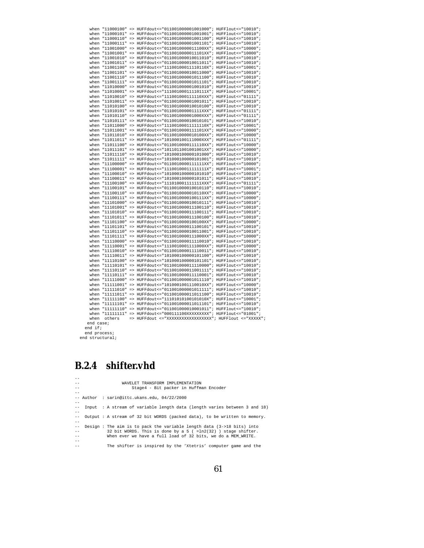|                                 |             |  | when "11000100" => HUFFdout<="011001000001001000"; HUFFlout<="10010";                                                                                   |  |  |  |
|---------------------------------|-------------|--|---------------------------------------------------------------------------------------------------------------------------------------------------------|--|--|--|
|                                 |             |  | when "11000101" => HUFFdout<="011001000001001001"; HUFFlout<="10010";                                                                                   |  |  |  |
|                                 |             |  | when "11000110" => HUFFdout <= "011001000001001100"; HUFFlout <= "10010";                                                                               |  |  |  |
|                                 |             |  | when "11000111" => HUFFdout <= "011001000001001101"; HUFFlout <= "10010";                                                                               |  |  |  |
|                                 |             |  | when "11001000" => HUFFdout<="0110010000011100XX"; HUFFlout<="10000";                                                                                   |  |  |  |
|                                 |             |  | when "11001001" => HUFFdout <= "0110010000011101XX"; HUFFlout <= "10000";                                                                               |  |  |  |
|                                 |             |  | when "11001010" => HUFFdout <= "011001000010011010"; HUFFlout <= "10010";                                                                               |  |  |  |
|                                 |             |  | when "11001011" => HUFFdout<="011001000010011011"; HUFFlout<="10010";                                                                                   |  |  |  |
|                                 |             |  | when "11001100" => HUFFdout <= "11100100011110110X"; HUFFlout <= "10001";                                                                               |  |  |  |
|                                 |             |  | when "11001101" => HUFFdout <= "011001000010011000"; HUFFlout <= "10010";                                                                               |  |  |  |
|                                 |             |  | when "11001110" => HUFFdout<="011001000001011100"; HUFFlout<="10010";                                                                                   |  |  |  |
|                                 |             |  | when "11001111" => HUFFdout <= "011001000001011101"; HUFFlout <= "10010";                                                                               |  |  |  |
|                                 |             |  | when "11010000" => HUFFdout<="011001000001001010"; HUFFlout<="10010";                                                                                   |  |  |  |
|                                 |             |  | when "11010001" => HUFFdout<="11100100011110111X"; HUFFlout<="10001";                                                                                   |  |  |  |
|                                 |             |  | when "11010010" => HUFFdout<="111001000111110XXX"; HUFFlout<="01111";                                                                                   |  |  |  |
|                                 |             |  | when "11010011" => HUFFdout <= "011001000001001011"; HUFFlout <= "10010";                                                                               |  |  |  |
|                                 |             |  | when "11010100" => HUFFdout<="011001000010010100"; HUFFlout<="10010";                                                                                   |  |  |  |
|                                 |             |  | when "11010101" => HUFFdout<="011001000001111XXX"; HUFFlout<="01111";                                                                                   |  |  |  |
|                                 |             |  | when "11010110" => HUFFdout <= "011001000001000XXX"; HUFFlout <= "01111";                                                                               |  |  |  |
|                                 |             |  | when "11010111" => HUFFdout <= "011001000010010101"; HUFFlout <= "10010";                                                                               |  |  |  |
|                                 |             |  | when "11011000" => HUFFdout<="11100100011111110X"; HUFFlout<="10001";                                                                                   |  |  |  |
|                                 |             |  | when "11011001" => HUFFdout <= "0110010000111101XX"; HUFFlout <= "10000";                                                                               |  |  |  |
|                                 |             |  | when "11011010" => HUFFdout<="0110010000010100XX"; HUFFlout<="10000";                                                                                   |  |  |  |
|                                 |             |  | when "11011011" => HUFFdout <= "101000100111000XXX"; HUFFlout <= "01111";                                                                               |  |  |  |
|                                 |             |  |                                                                                                                                                         |  |  |  |
|                                 |             |  | when "11011100" => HUFFdout <= "0110010000111110XX"; HUFFlout <= "10000";                                                                               |  |  |  |
|                                 |             |  | when "11011101" => HUFFdout<="1011011001001001XX"; HUFFlout<="10000";                                                                                   |  |  |  |
|                                 |             |  | when "11011110" => HUFFdout<="101000100000101000"; HUFFlout<="10010";                                                                                   |  |  |  |
|                                 |             |  | when "11011111" => HUFFdout<="101000100000101001"; HUFFlout<="10010";                                                                                   |  |  |  |
|                                 |             |  | when "11100000" => HUFFdout<="0110010000111111XX"; HUFFlout<="10000";                                                                                   |  |  |  |
|                                 |             |  | when "11100001" => HUFFdout <= "111001000111111111X"; HUFFlout <= "10001";                                                                              |  |  |  |
|                                 |             |  | when "11100010" => HUFFdout<="101000100000101010"; HUFFlout<="10010";                                                                                   |  |  |  |
|                                 |             |  | when "11100011" => HUFFdout <= "101000100000101011"; HUFFlout <= "10010";                                                                               |  |  |  |
|                                 |             |  | when "11100100" => HUFFdout <= "111010001111111XXX"; HUFFlout <= "01111";                                                                               |  |  |  |
|                                 |             |  | when "11100101" => HUFFdout<="011001000010010110"; HUFFlout<="10010";                                                                                   |  |  |  |
|                                 |             |  | when "11100110" => HUFFdout <= "0110010000010110XX"; HUFFlout <= "10000";                                                                               |  |  |  |
|                                 |             |  | when "11100111" => HUFFdout<="0110010000100111XX"; HUFFlout<="10000";                                                                                   |  |  |  |
|                                 |             |  | when "11101000" => HUFFdout<="011001000010010111"; HUFFlout<="10010";                                                                                   |  |  |  |
|                                 |             |  | when "11101001" => HUFFdout <= "011001000011100110"; HUFFlout <= "10010";                                                                               |  |  |  |
|                                 |             |  | when "11101010" => HUFFdout <= "011001000011100111"; HUFFlout <= "10010";                                                                               |  |  |  |
|                                 |             |  | when "11101011" => HUFFdout<="011001000011100100"; HUFFlout<="10010";                                                                                   |  |  |  |
|                                 |             |  | when "11101100" => HUFFdout <= "0110010000100100XX"; HUFFlout <= "10000";                                                                               |  |  |  |
|                                 |             |  | when "11101101" => HUFFdout<="011001000011100101"; HUFFlout<="10010";                                                                                   |  |  |  |
|                                 |             |  | when "11101110" => HUFFdout<="011001000010011001"; HUFFlout<="10010";                                                                                   |  |  |  |
|                                 |             |  | when "11101111" => HUFFdout<="0110010000111000XX"; HUFFlout<="10000";                                                                                   |  |  |  |
|                                 |             |  | when "11110000" => HUFFdout<="011001000011110010"; HUFFlout<="10010";                                                                                   |  |  |  |
|                                 |             |  | when "11110001" => HUFFdout<="1110010001111000XX"; HUFFlout<="10000";                                                                                   |  |  |  |
|                                 |             |  | when "11110010" => HUFFdout<="011001000011110011"; HUFFlout<="10010";                                                                                   |  |  |  |
|                                 |             |  | when "11110011" => HUFFdout<="101000100000101100"; HUFFlout<="10010";                                                                                   |  |  |  |
|                                 |             |  | when "11110100" => HUFFdout<="101000100000101101"; HUFFlout<="10010";                                                                                   |  |  |  |
|                                 |             |  | when "11110101" => HUFFdout<="011001000011110000"; HUFFlout<="10010";                                                                                   |  |  |  |
|                                 |             |  | when "11110110" => HUFFdout <= "011001000011001111"; HUFFlout <= "10010";                                                                               |  |  |  |
|                                 |             |  | when "11110111" => HUFFdout <= "011001000011110001"; HUFFlout <= "10010";                                                                               |  |  |  |
|                                 |             |  | when "11111000" => HUFFdout<="011001000001011110"; HUFFlout<="10010";                                                                                   |  |  |  |
|                                 |             |  | when "11111001" => HUFFdout <= "1010001001110010XX"; HUFFlout <= "10000";                                                                               |  |  |  |
|                                 |             |  | when "11111010" => HUFFdout <= "011001000001011111"; HUFFlout <= "10010";                                                                               |  |  |  |
|                                 |             |  |                                                                                                                                                         |  |  |  |
|                                 |             |  | when "11111011" => HUFFdout <= "011001000011011100"; HUFFlout <= "10010";<br>when "11111100" => HUFFdout <= "111010101010101010X"; HUFFlout <= "10001"; |  |  |  |
|                                 |             |  | when "11111101" => HUFFdout<="011001000011011101"; HUFFlout<="10010";                                                                                   |  |  |  |
|                                 |             |  |                                                                                                                                                         |  |  |  |
|                                 |             |  | when "11111110" => HUFFdout<="011001000010001011"; HUFFlout<="10010";                                                                                   |  |  |  |
|                                 |             |  | when "11111111" => HUFFdout <= "000111100XXXXXXXXX"; HUFFlout <= "01001";                                                                               |  |  |  |
|                                 | when others |  | => HUFFdout <= "XXXXXXXXXXXXXXXXXX"; HUFFlout <= "XXXXX";                                                                                               |  |  |  |
| end case;                       |             |  |                                                                                                                                                         |  |  |  |
| end if;                         |             |  |                                                                                                                                                         |  |  |  |
| end process;<br>end structural; |             |  |                                                                                                                                                         |  |  |  |
|                                 |             |  |                                                                                                                                                         |  |  |  |

## **B.2.4 shifter.vhd**

| $-$               |  |                                                                           |
|-------------------|--|---------------------------------------------------------------------------|
| $-$               |  | WAVELET TRANSFORM IMPLEMENTATION                                          |
| $ -$              |  | Stage4 - Bit packer in Huffman Encoder                                    |
| $ -$              |  |                                                                           |
|                   |  | -- Author : sarin@ittc.ukans.edu, 04/22/2000                              |
| $- -$             |  |                                                                           |
| $ -$              |  | Input : A stream of variable length data (length varies between 3 and 18) |
| $ -$              |  |                                                                           |
| $ -$              |  | Output : A stream of 32 bit WORDS (packed data), to be written to memory. |
| $ -$              |  |                                                                           |
| $\qquad \qquad -$ |  | Design: The aim is to pack the variable length data $(3-18$ bits) into    |
| $\qquad \qquad -$ |  | 32 bit WORDS. This is done by a 5 ( $=$ ln2(32)) stage shifter.           |
| $- -$             |  | When ever we have a full load of 32 bits, we do a MEM WRITE.              |
| $ -$              |  |                                                                           |
| $- -$             |  | The shifter is inspired by the 'Xtetris' computer game and the            |
|                   |  |                                                                           |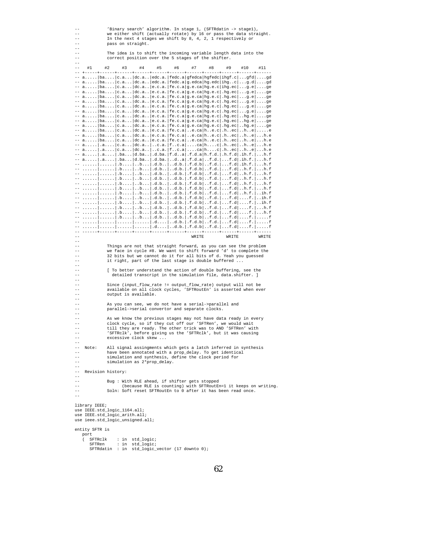| $- -$                     | 'Binary search' algorithm. In stage 1, (SFTRdatin -> stage1),                                                                        |                   |                                                               |                                                                                                                |    |    |       |    |       |     |                                                                 |
|---------------------------|--------------------------------------------------------------------------------------------------------------------------------------|-------------------|---------------------------------------------------------------|----------------------------------------------------------------------------------------------------------------|----|----|-------|----|-------|-----|-----------------------------------------------------------------|
| $- -$                     | we either shift (actually rotate) by 16 or pass the data straight.<br>In the next 4 stages we shift by 8, 4, 2, 1 respectively or    |                   |                                                               |                                                                                                                |    |    |       |    |       |     |                                                                 |
|                           | pass on straight.                                                                                                                    |                   |                                                               |                                                                                                                |    |    |       |    |       |     |                                                                 |
| $- -$                     |                                                                                                                                      |                   |                                                               |                                                                                                                |    |    |       |    |       |     |                                                                 |
| $- -$                     | The idea is to shift the incoming variable length data into the                                                                      |                   |                                                               |                                                                                                                |    |    |       |    |       |     |                                                                 |
|                           | correct position over the 5 stages of the shifter.                                                                                   |                   |                                                               |                                                                                                                |    |    |       |    |       |     |                                                                 |
| $- -$                     | #1                                                                                                                                   | #2                |                                                               |                                                                                                                |    |    | #7    |    |       | #10 | #11                                                             |
|                           |                                                                                                                                      |                   | #3                                                            | #4                                                                                                             | #5 | #6 |       | #8 | #9    |     |                                                                 |
|                           |                                                                                                                                      |                   |                                                               | -- $a$   ba   c.a   dc.a   edc.a.   fedc.a   gfedca   hgfedc  ihgf.c gfd gd                                    |    |    |       |    |       |     |                                                                 |
|                           |                                                                                                                                      |                   |                                                               | -- $a$ $ba$ $c$ . $a$ $dc$ . $a$ $edc$ . $edc$ .a. $fedc$ . $a g$ . $edc ing$ . $edc ing$ $c g$ $gd$ $gd$      |    |    |       |    |       |     |                                                                 |
|                           |                                                                                                                                      |                   |                                                               | $-$ a   ba   c.a   dc.a   e.c.a.   fe.c.a   g.e.ca   hg.e.c   ihg.ec   g.e   ge                                |    |    |       |    |       |     |                                                                 |
|                           |                                                                                                                                      |                   |                                                               | -- $a$  ba  c.a  dc.a  e.c.a.  fe.c.a g.e.ca hg.e.c  .hg.ec g.e ge                                             |    |    |       |    |       |     |                                                                 |
|                           |                                                                                                                                      |                   |                                                               | -- $a$  ba  c.a  dc.a  e.c.a.  fe.c.a g.e.ca hg.e.c  .hg.ec g.e ge                                             |    |    |       |    |       |     |                                                                 |
|                           |                                                                                                                                      |                   |                                                               | $-$ a   ba   c.a   dc.a   e.c.a.   fe.c.a   g.e.ca   hg.e.c   .hg.ec   g.e   ge                                |    |    |       |    |       |     |                                                                 |
|                           |                                                                                                                                      |                   |                                                               | $-$ a   ba   c.a   dc.a   e.c.a.   fe.c.a   g.e.ca   hg.e.c   .hg.ec   g.e   ge                                |    |    |       |    |       |     |                                                                 |
|                           |                                                                                                                                      |                   |                                                               | -- $a$  ba  c.a  dc.a  e.c.a.  fe.c.a g.e.ca hg.e.c  .hg.ec g.e ge                                             |    |    |       |    |       |     |                                                                 |
|                           |                                                                                                                                      |                   |                                                               | $-$ a   ba   c.a   dc.a   e.c.a.   fe.c.a   g.e.ca   hg.e.c   .hg.ec   hg.e   ge                               |    |    |       |    |       |     |                                                                 |
|                           |                                                                                                                                      |                   |                                                               | $-$ a   ba   c.a   dc.a   e.c.a.   fe.c.a   g.e.ca   hg.e.c  .hg.ec  hg.e  ge                                  |    |    |       |    |       |     |                                                                 |
|                           |                                                                                                                                      |                   |                                                               | -- $a, \ldots$ ba $ c.a, \ldots  dc.a, \ldots  e.c.a,  fe.c.a  g.e. ca  hg.e.c  \ldots) g.e. c   \ldots) g.e.$ |    |    |       |    |       |     |                                                                 |
|                           |                                                                                                                                      |                   |                                                               | -- $a$  ba  c.a  dc.a  e.c.a.  fe.c.a  e.ca  he.c  .hec  he  e                                                 |    |    |       |    |       |     |                                                                 |
|                           |                                                                                                                                      |                   |                                                               | -- a  ba  c.a  dc.a  e.c.a.  fe.c.a  e.ca he.c  .hec  he  h.e                                                  |    |    |       |    |       |     |                                                                 |
|                           |                                                                                                                                      |                   |                                                               | -- $a$  ba  c.a  dc.a  e.c.a.  fe.c.a  e.ca  he.c  .hec  he  h.e                                               |    |    |       |    |       |     |                                                                 |
|                           |                                                                                                                                      |                   |                                                               | -- a   .a   c.a   dc.a   c.a.   fc.a   ca   hc   .hec   he   h.e                                               |    |    |       |    |       |     |                                                                 |
|                           |                                                                                                                                      |                   |                                                               | -- a .a c.a dc.a c.a. fc.a ca hc .hec he h.e<br>-- a .a .ba d.ba .d.ba. f.da .f.d.a h.f.d. .h.f.d .ih.f. h.f   |    |    |       |    |       |     |                                                                 |
|                           |                                                                                                                                      |                   |                                                               | -- a   .a   .ba   d.ba   .d.ba.   da   .f.d.a   f.d.   f.d   .ih.f.   h.f                                      |    |    |       |    |       |     |                                                                 |
|                           |                                                                                                                                      |                   |                                                               |                                                                                                                |    |    |       |    |       |     |                                                                 |
|                           |                                                                                                                                      |                   |                                                               | $-$      .b   b   .d.b.   d.b.   f.d.   f.d.   f.d   h.f.   h.f                                                |    |    |       |    |       |     |                                                                 |
|                           |                                                                                                                                      |                   |                                                               | --   .b b .d.b. .d.b. .f.d.b f.d f.d h.f. h.f                                                                  |    |    |       |    |       |     |                                                                 |
|                           |                                                                                                                                      |                   |                                                               |                                                                                                                |    |    |       |    |       |     |                                                                 |
|                           |                                                                                                                                      |                   |                                                               | $-$      .b   b   .d.b.   d.b.   f.d.   f.d.   f.d   h.f.   h.f                                                |    |    |       |    |       |     |                                                                 |
|                           |                                                                                                                                      |                   |                                                               | --   .b b .d.b. .d.b. .f.d.b f.d f.d h.f. h.f                                                                  |    |    |       |    |       |     |                                                                 |
|                           |                                                                                                                                      |                   |                                                               |                                                                                                                |    |    |       |    |       |     |                                                                 |
|                           |                                                                                                                                      |                   |                                                               |                                                                                                                |    |    |       |    |       |     |                                                                 |
|                           |                                                                                                                                      |                   |                                                               | $-$      .b   .b   .d.b.   .d.b.   .f.d.b   f.d.   f.d   $f$ .   ih.f                                          |    |    |       |    |       |     |                                                                 |
|                           |                                                                                                                                      |                   |                                                               |                                                                                                                |    |    |       |    |       |     |                                                                 |
|                           |                                                                                                                                      |                   |                                                               |                                                                                                                |    |    |       |    |       |     |                                                                 |
|                           |                                                                                                                                      |                   |                                                               | $-$      .b   .b   .d.b.   .d.b.   .f.d.b   f.d.   f.d   f.    f                                               |    |    |       |    |       |     |                                                                 |
|                           |                                                                                                                                      |                   |                                                               | --                .d   .d.b.   .f.d.b   f.d   f.d    f .    f                                                  |    |    |       |    |       |     |                                                                 |
|                           |                                                                                                                                      |                   |                                                               | --                .d   .d.b.   .f.d.b   f.d   f.d   f.   f                                                     |    |    |       |    |       |     |                                                                 |
|                           |                                                                                                                                      |                   |                                                               |                                                                                                                |    |    |       |    |       |     |                                                                 |
|                           |                                                                                                                                      |                   |                                                               |                                                                                                                |    |    | WRITE |    | WRITE |     | WRITE                                                           |
| $- -$                     |                                                                                                                                      |                   |                                                               |                                                                                                                |    |    |       |    |       |     |                                                                 |
|                           | Things are not that straight forward, as you can see the problem                                                                     |                   |                                                               |                                                                                                                |    |    |       |    |       |     |                                                                 |
| $- -$                     | we face in cycle #8. We want to shift forward 'd' to complete the<br>32 bits but we cannot do it for all bits of d. Yeah you guessed |                   |                                                               |                                                                                                                |    |    |       |    |       |     |                                                                 |
| $ -$                      |                                                                                                                                      |                   |                                                               |                                                                                                                |    |    |       |    |       |     |                                                                 |
|                           |                                                                                                                                      |                   |                                                               | it right, part of the last stage is double buffered                                                            |    |    |       |    |       |     |                                                                 |
| $\qquad \qquad -$         | [ To better understand the action of double buffering, see the                                                                       |                   |                                                               |                                                                                                                |    |    |       |    |       |     |                                                                 |
| $- -$                     | detailed transcript in the simulation file, data.shifter.<br>-1                                                                      |                   |                                                               |                                                                                                                |    |    |       |    |       |     |                                                                 |
| $- -$                     |                                                                                                                                      |                   |                                                               |                                                                                                                |    |    |       |    |       |     |                                                                 |
| $- -$                     | Since (input_flow_rate != output_flow_rate) output will not be                                                                       |                   |                                                               |                                                                                                                |    |    |       |    |       |     |                                                                 |
| $ -$                      | available on all clock cycles, 'SFTRoutEn' is asserted when ever                                                                     |                   |                                                               |                                                                                                                |    |    |       |    |       |     |                                                                 |
| $ -$                      |                                                                                                                                      |                   |                                                               | output is available.                                                                                           |    |    |       |    |       |     |                                                                 |
| $\qquad \qquad -$         |                                                                                                                                      |                   |                                                               |                                                                                                                |    |    |       |    |       |     |                                                                 |
| $- -$                     |                                                                                                                                      |                   |                                                               | As you can see, we do not have a serial->parallel and                                                          |    |    |       |    |       |     |                                                                 |
| $- -$                     |                                                                                                                                      |                   |                                                               | parallel->serial convertor and separate clocks.                                                                |    |    |       |    |       |     |                                                                 |
| $- -$                     |                                                                                                                                      |                   |                                                               |                                                                                                                |    |    |       |    |       |     |                                                                 |
| $- -$                     |                                                                                                                                      |                   |                                                               | As we know the previous stages may not have data ready in every                                                |    |    |       |    |       |     |                                                                 |
| $ -$<br>$\qquad \qquad -$ | clock cycle, so if they cut off our 'SFTRen', we would wait                                                                          |                   |                                                               |                                                                                                                |    |    |       |    |       |     |                                                                 |
| $\qquad \qquad -$         | till they are ready. The other trick was to AND 'SFTRen' with                                                                        |                   |                                                               |                                                                                                                |    |    |       |    |       |     |                                                                 |
|                           | 'SFTRclk', before giving us the 'SFTRclk', but it was causing<br>excessive clock skew                                                |                   |                                                               |                                                                                                                |    |    |       |    |       |     |                                                                 |
|                           |                                                                                                                                      |                   |                                                               |                                                                                                                |    |    |       |    |       |     |                                                                 |
|                           | Note:                                                                                                                                |                   |                                                               | All signal assingments which gets a latch inferred in synthesis                                                |    |    |       |    |       |     |                                                                 |
| $- -$                     |                                                                                                                                      |                   |                                                               | have been annotated with a prop_delay. To get identical                                                        |    |    |       |    |       |     |                                                                 |
|                           |                                                                                                                                      |                   |                                                               |                                                                                                                |    |    |       |    |       |     |                                                                 |
| $- -$                     | simulation and synthesis, define the clock period for<br>simulation as 2*prop_delay.                                                 |                   |                                                               |                                                                                                                |    |    |       |    |       |     |                                                                 |
| $- -$                     |                                                                                                                                      |                   |                                                               |                                                                                                                |    |    |       |    |       |     |                                                                 |
| $- -$                     |                                                                                                                                      | Revision history: |                                                               |                                                                                                                |    |    |       |    |       |     |                                                                 |
| $- -$                     |                                                                                                                                      |                   |                                                               |                                                                                                                |    |    |       |    |       |     |                                                                 |
| $- -$                     |                                                                                                                                      |                   |                                                               | Bug : With RLE ahead, if shifter gets stopped                                                                  |    |    |       |    |       |     |                                                                 |
| --                        |                                                                                                                                      |                   |                                                               |                                                                                                                |    |    |       |    |       |     | (because RLE is counting) with SFTRoutEn=1 it keeps on writing. |
| $- -$                     |                                                                                                                                      |                   |                                                               | Soln: Soft reset SFTRoutEn to 0 after it has been read once.                                                   |    |    |       |    |       |     |                                                                 |
| $- -$                     |                                                                                                                                      |                   |                                                               |                                                                                                                |    |    |       |    |       |     |                                                                 |
|                           |                                                                                                                                      |                   |                                                               |                                                                                                                |    |    |       |    |       |     |                                                                 |
|                           | library IEEE;                                                                                                                        |                   |                                                               |                                                                                                                |    |    |       |    |       |     |                                                                 |
|                           |                                                                                                                                      |                   | use IEEE.std_logic_1164.all;<br>use IEEE.std_logic_arith.all; |                                                                                                                |    |    |       |    |       |     |                                                                 |
|                           |                                                                                                                                      |                   |                                                               | use ieee.std_logic_unsigned.all;                                                                               |    |    |       |    |       |     |                                                                 |
|                           |                                                                                                                                      |                   |                                                               |                                                                                                                |    |    |       |    |       |     |                                                                 |
|                           | entity SFTR is                                                                                                                       |                   |                                                               |                                                                                                                |    |    |       |    |       |     |                                                                 |
|                           | port                                                                                                                                 |                   |                                                               |                                                                                                                |    |    |       |    |       |     |                                                                 |
|                           | $\left($                                                                                                                             | SFTRclk           |                                                               | : in std_logic;                                                                                                |    |    |       |    |       |     |                                                                 |
|                           | SFTRen                                                                                                                               |                   |                                                               | : in std_logic;                                                                                                |    |    |       |    |       |     |                                                                 |
|                           |                                                                                                                                      |                   |                                                               | SFTRdatin : in std_logic_vector (17 downto 0);                                                                 |    |    |       |    |       |     |                                                                 |
|                           |                                                                                                                                      |                   |                                                               |                                                                                                                |    |    |       |    |       |     |                                                                 |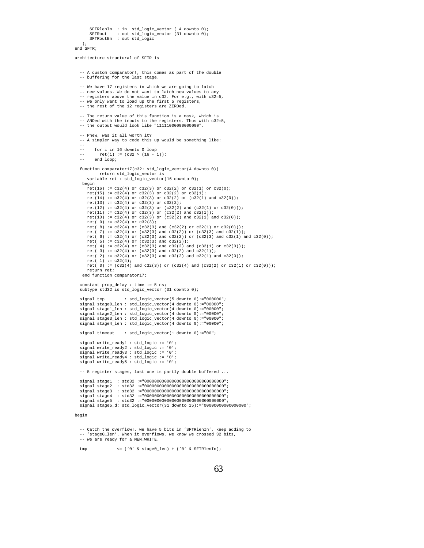```
SFTRlenIn : in std_logic_vector ( 4 downto 0);
       SFTRout : out std_logic_vector (31 downto 0);
SFTRoutEn : out std_logic
   );
end SFTR;
```
architecture structural of SFTR is

```
-- A custom comparator!, this comes as part of the double
-- buffering for the last stage.
```

```
-- We have 17 registers in which we are going to latch
```

```
-- new values. We do not want to latch new values to any
```
-- registers above the value in c32. For e.g., with c32=5, -- we only want to load up the first 5 registers,

```
-- the rest of the 12 registers are ZEROed.
```

```
-- The return value of this function is a mask, which is
-- ANDed with the inputs to the registers. Thus with c32=5,
-- the output would look like "11111000000000000".
```

```
-- Phew, was it all worth it?
```
-- A simpler way to code this up would be something like:

```
--
```

```
-- for i in 16 downto 0 loop<br>-- ret(i) := (c32 > (16 -ret(i) := (c32 > (16 - i));
```

```
-- end loop;
```
function comparator17(c32: std\_logic\_vector(4 downto 0)) return std logic vector is variable ret : std\_logic\_vector(16 downto 0); begin ret(16) := c32(4) or c32(3) or c32(2) or c32(1) or c32(0); ret(15) := c32(4) or c32(3) or c32(2) or c32(1); ret(14) := c32(4) or c32(3) or c32(2) or (c32(1) and c32(0));  $ret(13) := c32(4)$  or  $c32(3)$  or  $c32(2)$ ; ret(12) := c32(4) or c32(3) or (c32(2) and (c32(1) or c32(0))); ret(11) := c32(4) or c32(3) or (c32(2) and c32(1));  $ret(10) := c32(4)$  or  $c32(3)$  or  $(c32(2)$  and  $c32(1)$  and  $c32(0))$ ;

```
ret( 9) := c32(4) or c32(3);
ret( 8) := c32(4) or (c32(3) and (c32(2) or c32(1) or c32(0)));
ret( 7) := c32(4) or (c32(3) and c32(2)) or (c32(3) and c32(1));
ret( 6) := c32(4) or (c32(3) and c32(2)) or (c32(3) and c32(1) and c32(0));
ret( 5) := c32(4) or (c32(3) and c32(2));
ret( 4) := c32(4) or (c32(3) and c32(2) and (c32(1) or c32(0)));
ret( 3) := c32(4) or (c32(3) and c32(2) and c32(1));
ret( 2) := c32(4) or (c32(3) and c32(2) and c32(1) and c32(0));
```

```
ret( 1) := c32(4);
ret( 0) := (c32(4) and c32(3)) or (c32(4) and (c32(2) or c32(1) or c32(0)));
return ret;
```

```
end function comparator17;
```

```
constant prop_delay : time := 5 ns;
subtype std32 is std_logic_vector (31 downto 0);
```

```
signal tmp : std_logic_vector(5 downto 0):="000000";
signal stage0_len : std_logic_vector(4 downto 0):="00000";
signal stage1_len : std_logic_vector(4 downto 0):="00000";
signal stage2_len : std_logic_vector(4 downto 0):="00000";
signal stage3_len : std_logic_vector(4 downto 0):="00000";
signal stage4_len : std_logic_vector(4 downto 0):="00000";
```
signal timeout : std logic vector(1 downto 0):="00";

```
signal write_ready1 : std_logic := '0';
signal write_ready2 : std_logic := '0';
signal write_ready3 : std_logic := '0';
signal write_ready4 : std_logic := '0';
signal write_ready5 : std_logic := '0';
```
-- 5 register stages, last one is partly double buffered ...

```
signal stage1 : std32 :="00000000000000000000000000000000";
signal stage2 : std32 :="00000000000000000000000000000000";
                std32 := "0000000000000000000000000000000"signal stage4 : std32 :="00000000000000000000000000000000";
signal stage5 : std32 :="00000000000000000000000000000000";
signal stage5_d: std_logic_vector(31 downto 15):="00000000000000000";
```
#### begin

-- Catch the overflow!, we have 5 bits in 'SFTRlenIn', keep adding to -- 'stage0\_len'. When it overflows, we know we crossed 32 bits, -- we are ready for a MEM\_WRITE.

tmp <= ('0' & stage0\_len) + ('0' & SFTRlenIn);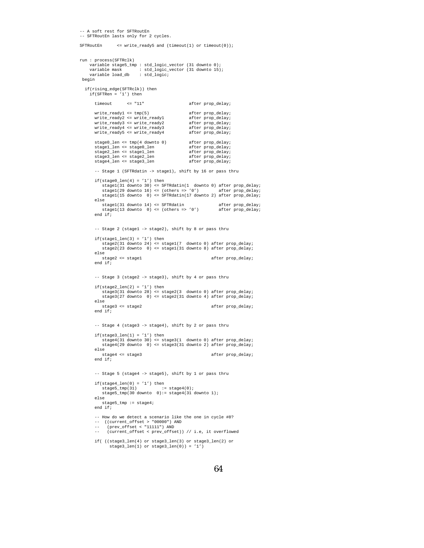```
-- A soft rest for SFTRoutEn
-- SFTRoutEn lasts only for 2 cycles.
SFTRoutEn <= write_ready5 and (timeout(1) or timeout(0));
run : process(SFTRclk)
      variable stage5_tmp : std_logic_vector (31 downto 0);
variable mask : std_logic_vector (31 downto 15);
variable load_db : std_logic;
 begin
  if(rising_edge(SFTRclk)) then
     if(SFTRen = '1') then
        timeout <= "11" after prop delay;
        write_ready1 <= tmp(5) after prop_delay;<br>write_ready2 <= write_ready1 after prop_delay;<br>write_ready3 <= write_ready2 after prop_delay;<br>write_ready4 <= write ready2
         write_ready2 <= write_ready1 after prop_delay;
write_ready3 <= write_ready2 after prop_delay;
        write_ready4 <= write_ready3 after prop_delay;<br>write_ready5 <= write_ready4 after prop_delay;
        write\_ready5 \leq write\_ready4\begin{tabular}{ll} stage0_llen <= tmp(4 downto 0) & \begin{tabular}{ll} after prop-delay \end{tabular} \\ stage0_llen <= stage0_llen & after prop-delay \end{tabular} \end{tabular}stage1_len ----- ...<br>stage1_len <= stage0_len after prop_delay;<br>stage2_len <= stage1_len after prop_delay;
        stage2_len <- stage1_len after prop_delay;<br>stage2_len <- stage1_len after prop_delay;<br>stage3_len <- stage2_len after prop_delay;
         stage3_len <= stage2_len after prop_delay;
stage4_len <= stage3_len after prop_delay;
        -- Stage 1 (SFTRdatin -> stage1), shift by 16 or pass thru
        if(tage0_length(4) = '1') thenstage(31 down to 30) \leq SFRdatin(1 down to 0) after prop-delay;stage1(29 downto 16) <= (others => '0') after prop_delay;
stage1(15 downto 0) <= SFTRdatin(17 downto 2) after prop_delay;
        else
              stage1(31 downto 14) <= SFTRdatin after prop_delay;
stage1(13 downto 0) <= (others => '0') after prop_delay;
        end if;
        -- Stage 2 (stage1 -> stage2), shift by 8 or pass thru
        \texttt{if}(\texttt{stage1\_len(3)} = '1') then
              stage2(31 downto 24) <= stage1(7 downto 0) after prop_delay;
stage2(23 downto 0) <= stage1(31 downto 8) after prop_delay;
        else<br>stage2 <= stage1
                                                                             after prop_delay;
        end if;
        -- Stage 3 (stage2 -> stage3), shift by 4 or pass thru
        if(tage2_length(2) = '1') thenstage3(31 downto 28) <= stage2(3 downto 0) after prop_delay;
stage3(27 downto 0) <= stage2(31 downto 4) after prop_delay;
        else
            stage3 <= stage2 after prop_delay;
        end if;
        -- Stage 4 (stage3 -> stage4), shift by 2 or pass thru
         if(stage3_len(1) = '1') then
stage4(31 downto 30) <= stage3(1 downto 0) after prop_delay;
stage4(29 downto 0) <= stage3(31 downto 2) after prop_delay;
        else<br>stage4 <= stage3
                                                                             after prop_delay;
        end if;
        -- Stage 5 (stage4 -> stage5), shift by 1 or pass thru
         if(stage4_len(0) = '1') then
stage5_tmp(31) := stage4(0);
             stage5_tmp(30 downto 0):= stage4(31 downto 1);
        else
            stage5_tmp := stage4;
        end if;
        -- How do we detect a scenario like the one in cycle #8?
         -- ((current_offset > "00000") AND
-- (prev_offset < "11111") AND
        -- (current_offset < prev_offset)) // i.e, it overflowed
         if( ((stage3_len(4) or stage3_len(3) or stage3_len(2) or
stage3_len(1) or stage3_len(0)) = '1')
```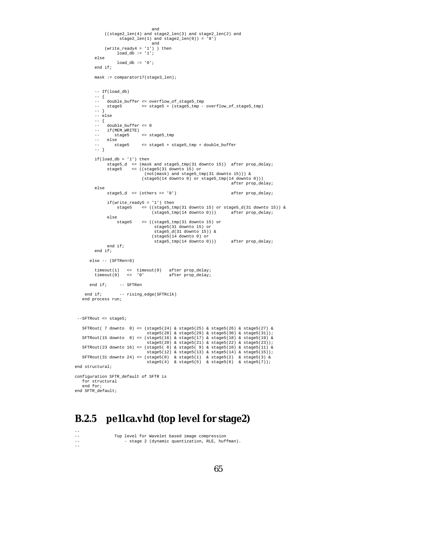```
and
              ((stage2_len(4) and stage2_len(3) and stage2_len(2) and
stage2_len(1) and stage2_len(0)) = '0')
              and
(write_ready4 = '1') ) then
                  load_db := '1';else
                   load db := '0';end if;
         mask := comparator17(stage3_len);
         -- If(load_db)
         -- {
          -- double_buffer <= overflow_of_stage5_tmp
-- stage5 <= stage5 + (stage5_tmp - overflow_of_stage5_tmp)
         -- }
         -- else
         -- {
         -- double_buffer <= 0<br>-- if(MEM WRITE)
         -- if(MEM_WRITE)<br>-- stage5
                               -- stage5 <= stage5_tmp
         -- else<br>-- else<br>-- stage5
                             -- stage5 <= stage5 + stage5_tmp + double_buffer
         -- }
         if(load_db = '1') thenstage5_d <= (mask and stage5_tmp(31 downto 15)) after prop_delay;
stage5 <= ((stage5(31 downto 15) or
                                 (not(mask) and stage5_tmp(31 downto 15))) &
                                (stage5(14 downto 0) or stage5_tmp(14 downto 0)))
                                                                           after prop_delay;
         else
               stage5_d <= (others => '0') after prop_delay;
               if(write_ready5 = '1') then
                   stage5 <= ((stage5_tmp(31 downto 15) or stage5_d(31 downto 15)) &
                                    (stage5_tmp(14 downto 0))) after prop_delay;
               else
                   stage5 <= ((stage5_tmp(31 downto 15) or
                                     stage5(31 downto 15) or
                                      stage5_d(31 downto 15)) &
                                    (stage5(14 downto 0) or
                                     stage5_tmp(14 downto 0))) after prop_delay;
               end if;
         end if;
       else -- (SFTRen=0)
          timeout(1) <= timeout(0) after prop_delay;
timeout(0) <= '0' after prop_delay;
       end if: =er <b>CFTP</b>enend if; -- rising_edge(SFTRclk)
   end process run;
 --SFTRout <= stage5;
    SFTRout( 7 downto 0) <= (stage5(24) & stage5(25) & stage5(26) & stage5(27) &
stage5(28) & stage5(29) & stage5(30) & stage5(31));
   SFTRout(15 downto 8) <= (stage5(16) & stage5(17) & stage5(18) & stage5(19) &
    stage5(20) & stage5(21) & stage5(22) & stage5(23));
SFTRout(23 downto 16) <= (stage5( 8) & stage5( 9) & stage5(10) & stage5(11) &
                                  stage5(12) & stage5(13) & stage5(14) & stage5(15));
    SFTRout(31 downto 24) <= (stage5(0) & stage5(1) & stage5(2) & stage5(3) &
stage5(4) & stage5(5) & stage5(6) & stage5(7));
end structural;
configuration SFTR_default of SFTR is
   for structural
   end for;
end SFTR_default;
```
#### **B.2.5 pe1lca.vhd (top level for stage2)**

--<br>--<br>--

--

Top level for Wavelet based image compression - stage 2 (dynamic quantization, RLE, huffman).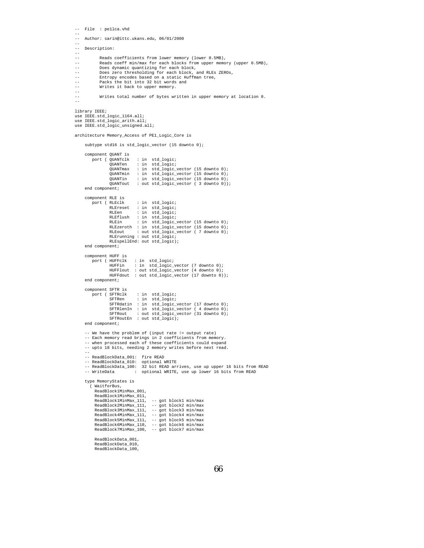```
-- File : pe1lca.vhd
--
-- Author: sarin@ittc.ukans.edu, 06/01/2000
--
-- Description:
--<br>--<br>--
            Reads coefficients from lower memory (lower 0.5MB),
-- Reads coeff min/max for each blocks from upper memory (upper 0.5MB),
-- Does dynamic quantizing for each block,
-- Does zero thresholding for each block, and RLEs ZEROs,<br>-- Entropy encodes based on a static Huffman tree,
-- Entropy encodes based on a static Huffman tree,
-- Packs the bit into 32 bit words and
-- Writes it back to upper memory.
--
            Writes total number of bytes written in upper memory at location 0.
--
library IEEE;
use IEEE.std_logic_1164.all;
use IEEE.std_logic_arith.all;
use IEEE.std_logic_unsigned.all;
architecture Memory_Access of PE1_Logic_Core is
    subtype std16 is std_logic_vector (15 downto 0);
    component QUANT is
        port ( QUANTclk : in std_logic;<br>QUANTen : in std_logic;
                              : in std_logic;
                 QUANTmax : in std_logic_vector (15 downto 0);<br>QUANTmin : in std_logic_vector (15 downto 0);
                 qUANTmin : in std_logic_vector (15 downto 0);<br>QUANTin : in std_logic_vector (15 downto 0);
                              : in std_logic_vector (15 downto 0);
                 QUANTout : out std_logic_vector ( 3 downto 0));
    end component;
    component RLE is
                 RLEclk : in std_logic;<br>RLEreset : in std_logic;
                 RLEreset : in std_logic;<br>RLEen : in std logic;
                 RLEen : in std_logic;<br>RLEflush : in std logic;
                              : in std_logic;
                  RLEin : in std_logic_vector (15 downto 0);
RLEzeroth : in std_logic_vector (15 downto 0);
                 RLEout : out std_logic_vector ( 7 downto 0);
                  RLErunning : out std_logic;
RLEspellEnd: out std_logic);
    end component;
    component HUFF is
         port ( HUFFclk : in std_logic;
HUFFin : in std_logic_vector (7 downto 0);
                 HUFFlout : out std_logic_vector (4 downto 0);
                 HUFFdout : out std_logic_vector (17 downto 0));
    end component;
    component SFTR is
                 sFTRclk : in std_logic;<br>SFTRen : in std logic;
                              : in std_logic;
                  SFTRdatin : in std_logic_vector (17 downto 0);
SFTRlenIn : in std_logic_vector ( 4 downto 0);
                 SFTRout : out std_logic_vector (31 downto 0);
                 SFTRoutEn : out std_logic);
    end component;
    -- We have the problem of (input rate != output rate)
     -- Each memory read brings in 2 coefficients from memory.
    -- when processed each of these coefficients could expand
    -- upto 18 bits, needing 2 memory writes before next read.
     --
-- ReadBlockData_001: fire READ
     -- ReadBlockData_010: optional WRITE
-- ReadBlockData_100: 32 bit READ arrives, use up upper 16 bits from READ
    -- WriteData : optional WRITE, use up lower 16 bits from READ
    type MemoryStates is
       ( WaitforBus,
          ReadBlock1MinMax_001,
         ReadBlock1MinMax_011,
         ReadBlock1MinMax_111, -- got block1 min/max
          ReadBlock2MinMax_111, -- got block2 min/max
ReadBlock3MinMax_111, -- got block3 min/max
         ReadBlock4MinMax_111, -- got block4 min/max
         ReadBlock5MinMax_111, -- got block5 min/max
          ReadBlock6MinMax_110, -- got block6 min/max
ReadBlock7MinMax_100, -- got block7 min/max
         ReadBlockData_001,
         ReadBlockData_010,
         ReadBlockData_100,
```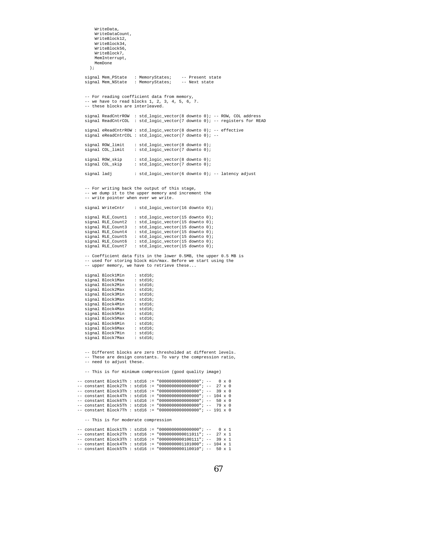```
WriteData,
          WriteDataCount,
          WriteBlock12,
          WriteBlock34,
          WriteBlock56,
          WriteBlock7,
          MemInterrupt,
         MemDone
       );
     signal Mem_PState : MemoryStates; -- Present state
signal Mem_NState : MemoryStates; -- Next state
    -- For reading coefficient data from memory,
    - we have to read blocks 1, 2, 3, 4, 5, 6, 7.
    -- these blocks are interleaved.
     signal ReadCntrROW : std_logic_vector(8 downto 0); -- ROW, COL address
signal ReadCntrCOL : std_logic_vector(7 downto 0); -- registers for READ
    signal eReadCntrROW : std_logic_vector(8 downto 0); -- effective
    signal eReadCntrCOL : std_logic_vector(7 downto 0); --
    signal ROW_limit : std_logic_vector(8 downto 0);<br>signal COL_limit : std_logic_vector(7 downto 0);
                               : std_logic_vector(7 downto 0);
    {\tt signal~RON\_skip} \qquad : {\tt std\_logic\_vector(8~downto 0)}; \label{eq:3} {\tt signal~COL\_skip} \qquad : {\tt std\_logic\_vector(7~downto 0)};: std_logic_vector(7 downto 0);
    signal ladj : std logic vector(6 downto 0); -- latency adjust
    -- For writing back the output of this stage,
    -- we dump it to the upper memory and increment the
    -- write pointer when ever we write.
    signal WriteCntr : std logic vector(16 downto 0);
     signal RLE_Count1 : std_logic_vector(15 downto 0);
signal RLE_Count2 : std_logic_vector(15 downto 0);
    signal RLE_Count3 : std_logic_vector(15 downto 0);<br>signal RLE_Count4 : std_logic_vector(15 downto 0);
    signal RLE_Count4 : std_logic_vector(15 downto 0);<br>signal RLE Count5 : std logic vector(15 downto 0);
    signal RLE_Count5 : std_logic_vector(15 downto 0);<br>signal RLE_Count6 : std_logic_vector(15 downto 0);
                                : std_logic_vector(15 downto 0);
    signal RLE_Count7 : std_logic_vector(15 downto 0);
    -- Coefficient data fits in the lower 0.5MB, the upper 0.5 MB is
    -- used for storing block min/max. Before we start using the
    -- upper memory, we have to retrieve these...
    signal Block1Min : std16;<br>signal Block1Max : std16;
    signal Block1Max : std16;<br>signal Block2Min : std16;
    signal Block2Min : std16;<br>signal Block2Max : std16;
    signal Block2Max : std16;<br>signal Block3Min : std16;
    signal Block3Min : std16;<br>signal Block3Max : std16;
    signal Block3Max : std16;<br>signal Block4Min : std16;
    signal Block4Min : std16;<br>signal Block4Max : std16;
    signal Block4Max : std16;<br>signal Block5Min : std16;
    signal Block5Min : std16;<br>signal Block5Max : std16;
    signal Block5Max : std16;<br>signal Block6Min : std16;
    signal Block6Min : std16;<br>signal Block6Max : std16;
    signal Block6Max : std16;<br>signal Block7Min : std16;
    signal Block7Min : std16;<br>signal Block7Max : std16;
    signal Block7Max
    -- Different blocks are zero thresholded at different levels.
    -- These are design constants. To vary the compression ratio,
    -- need to adjust these.
    -- This is for minimum compression (good quality image)
- constant Block1Th : std16 := "00000000000000000"; - 0 x 0
-- constant Block2Th : std16 := "0000000000000000"; -- 27 x 0
-- constant Block3Th : std16 := "0000000000000000"; -- 39 x 0
-- constant Block4Th : std16 := "0000000000000000"; -- 104 x 0
-- constant Block6Th : std16 := "0000000000000000"; -- 50 x 0
-- constant Block5Th : std16 := "0000000000000000"; -- 79 x 0
-- constant Block7Th : std16 := "0000000000000000"; -- 191 x 0
    -- This is for moderate compression
-- constant Block1Th : std16 := "0000000000000000"; -- 0 x 1
-- constant Block2Th : std16 := "0000000000011011"; -- 27 x 1
-- constant Block3Th : std16 := "0000000000100111"; -- 39 x 1
-- constant Block4Th : std16 := "0000000001101000"; -- 104 x 1-- constant Block5Th : std16 := "0000000000110010"; -- 50 x 1
```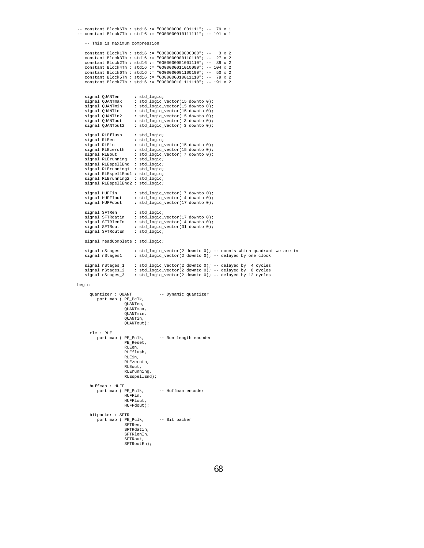```
-- constant Block6Th : std16 := "0000000001001111"; -- 79 x 1
-- constant Block7Th : std16 := "0000000010111111"; -- 191 x 1
     -- This is maximum compression
    constant Block1Th : std16 := "0000000000000000"; -- 0 x 2
     constant Block3Th : std16 := "0000000000110110"; -- 27 x 2
constant Block2Th : std16 := "0000000001001110"; -- 39 x 2
     constant Block4Th : std16 := "0000000011010000"; -- 104 x 2
constant Block6Th : std16 := "0000000001100100"; -- 50 x 2
constant Block5Th : std16 := "0000000010011110"; -- 79 x 2
     constant Block7Th : std16 := "0000000101111110"; -- 191 x 2
     signal QUANTen : std_logic;<br>signal OUANTmax : std logic
     signal QUANTmax : std_logic_vector(15 downto 0);
signal QUANTmin : std_logic_vector(15 downto 0);
     signal QUANTin : std_logic_vector(15 downto 0);<br>signal OUANTin2 : std logic vector(15 downto 0);
     signal QUANTin2 : std_logic_vector(15 downto 0);<br>signal QUANTout : std_logic_vector( 3 downto 0);
                                     \text{std\_logic\_vector}(3 \text{ down to } 0);signal QUANTout2 : std_logic_vector( 3 downto 0);
     signal RLEflush : std_logic;<br>signal RLEen : std logic;
     signal RLEen : std_logic;<br>signal RLEin : std logic
     signal RLEin : std_logic_vector(15 downto 0);<br>signal RLEzeroth : std_logic_vector(15 downto 0);
                                     : std_logic_vector(15 downto 0);
                                     : std_logic_vector( 7 downto 0);<br>: std logic;
     signal RLEout<br>signal RLErunning
     signal RLEspellEnd : std_logic;
     signal RLErunning1 : std logic;
     signal RLEspellEnd1 : std_logic;
     signal RLErunning2 : std_logic;
signal RLEspellEnd2 : std_logic;
     signal HUFFin : std_logic_vector( 7 downto 0);
signal HUFFlout : std_logic_vector( 4 downto 0);
signal HUFFdout : std_logic_vector(17 downto 0);
     signal SFTRen : std_logic;<br>signal SFTRdatin : std_logic_
     signal SFTRdatin : std_logic_vector(17 downto 0);
signal SFTRlenIn : std_logic_vector( 4 downto 0);
     {\tt signal} \begin{tabular}{ll} \bf signal & \tt SFTRout & \tt : std\_logic\_vector(31~downto 0); \\ \bf signal \end{tabular}signal SFTRoutEn
     signal readComplete : std_logic;
     signal nStages : std_logic_vector(2 downto 0); -- counts which quadrant we are in<br>signal nStages1 : std_logic_vector(2 downto 0); -- delayed by one clock
                                   : std_logic_vector(2 downto 0); -- delayed by one clock
     signal nStages_1 : std_logic_vector(2 downto 0); -- delayed by 4 cycles
signal nStages_2 : std_logic_vector(2 downto 0); -- delayed by 8 cycles
     signal nStages_3 : std_logic_vector(2 downto 0); -- delayed by 12 cycles
begin
        quantizer : QUANT -- Dynamic quantizer
```

```
port map ( PE_Pclk,
               QUANTen,
               QUANTmax,
               QUANTmin,
               QUANTin,
              QUANTout);
rle : RLE<br>port map ( PE_Pclk,
                             -- Run length encoder
               PE_Reset,
               RLEen,
              RLEflush,
               RLEin,
              RLEzeroth,
              RLEout,
               RLErunning,
              RLEspellEnd);
huffman : HUFF
  port map ( PE_Pclk, -- Huffman encoder
              HUFFin,
              HUFFlout,
               HUFFdout);
bitpacker : SFTR
   port map ( PE_Pclk, -- Bit packer
               SFTRen,
SFTRdatin,
               SFTRlenIn,
              SFTRout,
               SFTRoutEn);
```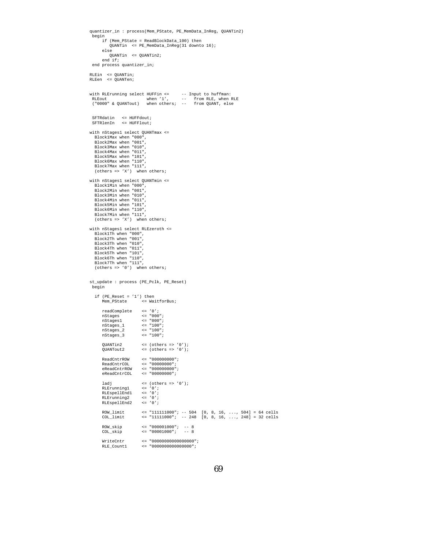```
quantizer_in : process(Mem_PState, PE_MemData_InReg, QUANTin2)
  begin
if (Mem_PState = ReadBlockData_100) then
            QUANTin <= PE_MemData_InReg(31 downto 16);
        else
           QUANTin <= QUANTin2;
        end if;
 end process quantizer_in;
RLEin <= QUANTin;
RLEen <= QUANTen;
with RLErunning select HUFFin <= --- Input to huffman:<br>RLEout when '1', --- from RLE, when <br>("0000" & QUANTout) when others; -- from QUANT, else
  SFTRdatin <= HUFFdout;
SFTRlenIn <= HUFFlout;
with nStages1 select OUANTmax <=
  Block1Max when "000",
   Block2Max when "001",
   Block3Max when "010",
   Block4Max when "011",
   Block5Max when "101",
    Block6Max when "110",
Block7Max when "111",
   (others => 'X') when others;
with nStages1 select QUANTmin <=
  Block1Min when "000",
   Block2Min when "001",
   Block3Min when "010",
   Block4Min when "011",
   Block5Min when "101",
    Block6Min when "110",
Block7Min when "111",
   (others \Rightarrow 'X') when others;
with nStages1 select RLEzeroth <=
   Block1Th when "000",
   Block2Th when "001",
   Block3Th when "010",
   Block4Th when "011",
   Block5Th when "101",
   Block6Th when "110",
    Block7Th when "111",
(others => '0') when others;
st_update : process (PE_Pclk, PE_Reset)
 begin
   if (PE_Reset = '1') then<br>Mem_PState <= Wa:
                                \leq WaitforBus;
        readComplete <= '0';<br>nStages <= "000
                                 \leq = "000";<br>\leq = "000";
        nStages1<br>nStages 1
        nstages_1 <br>nStages_2 <br>\le "100";<br>nStages_2 \le "100";
        nStages_2 <= "100";
nStages_3 <= "100";
        QUANTin2 <= (others => '0');
QUANTout2 <= (others => '0');
        ReadCntrROW <= "000000000";<br>ReadCntrCOL <= "00000000";
        ReadCntrCOL <= "00000000";
eReadCntrROW <= "000000000";
eReadCntrCOL <= "00000000";
        \begin{tabular}{lllll} \texttt{ladj} & & & & & & & & & & & \\ \texttt{RLErunning1} & & & & & & & & & & \\ \texttt{RLEspellEnd1} & & & & & & & & & \\ \texttt{RLEspellEnd1} & & & & & & & & & \\ \end{tabular}RLErunning1
        RLEspellEnd1 <= '0';<br>RLEspellEnd1 <= '0';<br>RLErunning2 <= '0';
        RLErunning2
        RLEspellEnd2 <= '0';
        ROW_limit <= "111111000"; -- 504 [0, 8, 16, ..., 504] = 64 cells
COL_limit <= "11111000"; -- 248 [0, 8, 16, ..., 248] = 32 cells
        ROW_skip <= "000001000"; -- 8
COL_skip <= "00001000"; -- 8
        \begin{aligned} \texttt{WriteCntr} & \quad \  \  \, \texttt{<=}\texttt{ "0000000000000000"} \, ; \\ \texttt{RLE\_Count1} & \quad \  \  \, \texttt{<=}\texttt{ "000000000000000"} \, ; \end{aligned}\leq "0000000000000000000";
```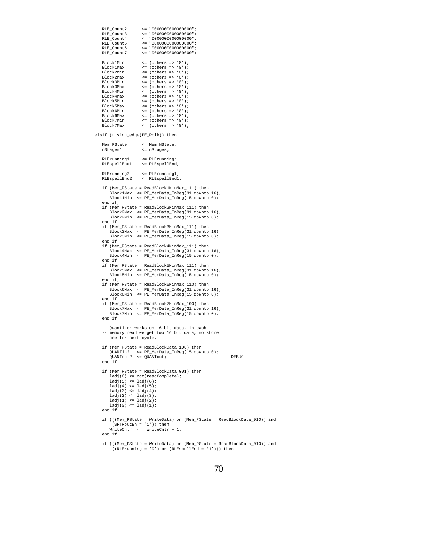```
RLE_Count2 <= "0000000000000000";
     RLE_Count3 <= "0000000000000000";
     <u>RLE</u>_Count4 <= "000000000000000000";<br>RLE_Count4 <= "00000000000000000";<br>RLE_Count5 <= "00000000000000000";
     RLE_Count5 <= "0000000000000000";
     \begin{aligned} &\texttt{RLE\_Count6} &\hspace{1.5em} \leq \hspace{1.5em} "0000000000000000" \text{\it i} \\ &\texttt{RLE\_Count7} &\hspace{1.5em} \leq \hspace{1.5em} "0000000000000000" \text{\it i} \end{aligned}\leq "00000000000000000000";
     \begin{tabular}{lllll} \multicolumn{1}{l}{{\small \texttt{Block1Min}}}&\hspace*{2mm}{\small \texttt{<= (others => '0')\texttt{;}}}\\ \multicolumn{1}{l}{\small \texttt{Block1Max}}&\hspace*{2mm}{\small \texttt{<= (others => '0')\texttt{;}}}\end{tabular}Block1Max \left\{\n \begin{array}{l}\n \text{Slock1Max} \\
 \text{Block2Min}\n \end{array}\n \right.\n \left.\n \begin{array}{l}\n \text{Slock2Min} \\
 \text{Slock2Min}\n \end{array}\n \right.\n \left.\n \begin{array}{l}\n \text{Slock2Min} \\
 \text{Slock2Min}\n \end{array}\n \right.\n \left.\n \begin{array}{l}\n \text{Slock2Min} \\
 \text{Slock2Min}\n \end{array}\n \right.\n \left.\n \begin{array}{l}\n \text{Slock2Min} \\
 \text{Slock2Min}\n \end{array}\n \right.\nBlock2Min <= (others => '0');<br>Block2Max <= (others => '0');
     Block2Max <= (others => '0');<br>Block3Min <= (others => '0');
     Block3Min \leq (others => '0');<br>Block3Max \leq (others => '0');
     Block3Max <= (others => '0');<br>Block4Min <= (others => '0');
     Block4Min <= (others => '0');<br>Block4Max <= (others => '0');
     Block4Max \leq (others => '0');<br>Block5Min \leq (others => '0');
     Block5Min <= (others => '0');<br>Block5Max <= (others => '0');
     Block5Max <= (others => '0');<br>Block6Min <= (others => '0');
      Block6Min <= (others => '0');
Block6Max <= (others => '0');
     Block7Min \leq (others => '0');<br>Block7Max \leq (others => '0');
                                  \leq (others => '0');
elsif (rising_edge(PE_Pclk)) then
     Mem_PState <= Mem_NState;<br>
nStages1 <= nStages;
                                   nStages1 <= nStages;
      RLErunning1 <= RLErunning;
RLEspellEnd1 <= RLEspellEnd;
      RLErunning2 <= RLErunning1;
RLEspellEnd2 <= RLEspellEnd1;
     if (Mem_PState = ReadBlock1MinMax_111) then
            Block1Max <= PE_MemData_InReg(31 downto 16);
Block1Min <= PE_MemData_InReg(15 downto 0);
     end if;
     if (Mem_PState = ReadBlock2MinMax_111) then
           Block2Max <= PE_MemData_InReg(31 downto 16);
           Block2Min <= PE_MemData_InReg(15 downto 0);
     end if;
     if (Mem_PState = ReadBlock3MinMax_111) then
            Block3Max <= PE_MemData_InReg(31 downto 16);
Block3Min <= PE_MemData_InReg(15 downto 0);
     end if;
     if (Mem_PState = ReadBlock4MinMax_111) then
            Block4Max <= PE_MemData_InReg(31 downto 16);
Block4Min <= PE_MemData_InReg(15 downto 0);
     end if;
     if (Mem_PState = ReadBlock5MinMax_111) then
            Block5Max <= PE_MemData_InReg(31 downto 16);
Block5Min <= PE_MemData_InReg(15 downto 0);
     end if;
     if (Mem_PState = ReadBlock6MinMax_110) then
            Block6Max <= PE_MemData_InReg(31 downto 16);
Block6Min <= PE_MemData_InReg(15 downto 0);
     end if;
     if (Mem_PState = ReadBlock7MinMax_100) then
            Block7Max <= PE_MemData_InReg(31 downto 16);
Block7Min <= PE_MemData_InReg(15 downto 0);
     end if;
      -- Quantizer works on 16 bit data, in each
-- memory read we get two 16 bit data, so store
     -- one for next cycle.
     if (Mem_PState = ReadBlockData_100) then
            QUANTin2 <= PE_MemData_InReg(15 downto 0);
QUANTout2 <= QUANTout; -- DEBUG
     end if;
     if (Mem_PState = ReadBlockData_001) then
            ladj(6) <= not(readComplete);
ladj(5) <= ladj(6);
           ladj(4) \leq ladj(5);
           ladj(3) <= ladj(4);
            ladj(2) <= ladj(3);
ladj(1) <= ladj(2);
           ladj(0) <= ladj(1);
     end if;
      if (((Mem_PState = WriteData) or (Mem_PState = ReadBlockData_010)) and
(SFTRoutEn = '1')) then
WriteCntr <= WriteCntr + 1;
     end if;
      if (((Mem_PState = WriteData) or (Mem_PState = ReadBlockData_010)) and
((RLErunning = '0') or (RLEspellEnd = '1'))) then
```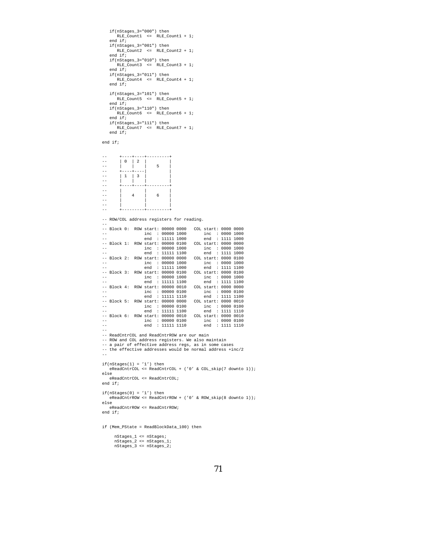```
if(nStages_3="000") then
      \verb|RLE_Count1| \ \ \texttt{<=} \ \ \texttt{RLE_Count1} \ \ + \ \texttt{1};end if;
   if(nStages_3="001") then
       RLE_Count2 <= RLE_Count2 + 1;
   end if;
   if(nStages_3="010") then
      RLE_Count3 <= RLE_Count3 + 1;
   end if;
   if(nStages_3="011") then
      \verb|RLE_Count4| <= \verb|RLE_Count4| + 1;end if;
    if(nStages_3="101") then
RLE_Count5 <= RLE_Count5 + 1;
   end if;
   if(nStages_3="110") then
       RLE_Count6 <= RLE_Count6 + 1;
   end if;
   if(nStages_3="111") then
       RLE_Count7 <= RLE_Count7 + 1;
   end if;
end if;
-- +----+----+---------+
-- | 0 | 2 | |
-- | | | 5 |
-- +----+----| |
-- | 1 | 3 | |
-- | | | |
-- +----+----+---------+
-- | | |
-- | 4 | 6 |
-- | | |
-- | | |
-- +---------+---------+
-- ROW/COL address registers for reading.
--
-- Block 0: ROW start: 00000 0000 COL start: 0000 0000
                    inc : 00000 1000 inc : 0000 1000<br>end : 11111 1000 end : 1111 1000<br>start: 00000 0100 COL start: 0000 0000
-- end : 11111 1000 end : 1111 1000
-- Block 1: ROW start: 00000 0100 COL start: 0000 0000
-- inc : 00000 1000 inc : 0000 1000
-- end : 11111 1100 end : 1111 1000
-- Block 2: ROW start: 00000 0000 COL start: 0000 0100<br>-- inc : 00000 1000 inc : 0000 1000<br>-- end : 11111 1000 end : 1111 1100
-- inc : 00000 1000 inc : 0000 1000
-- end : 11111 1000 end : 1111 1100
-- Block 3: ROW start: 00000 0100 COL start: 0000 0100<br>-- inc : 00000 1000 0100<br>-- end : 11111 1100 end : 1111 1100
-- inc : 00000 1000 inc : 0000 1000
-- end : 11111 1100 end : 1111 1100
-- Block 4: ROW start: 00000 0010 COL start: 0000 0000<br>-- inc : 00000 0100 inc : 0000 0101<br>-- end : 11111 1110 end : 1111 1100
-- inc : 00000 0100 inc : 0000 0100
-- end : 11111 1110 end : 1111 1100
-- Block 5: ROW start: 00000 0000 COL start: 0000 0010<br>-- inc : 00000 0100 inc : 0000 0100<br>-- end : 11111 1100 end : 1111 1110
-- inc : 00000 0100 inc : 0000 0100
-- end : 11111 1100 end : 1111 1110
-- Block 6: ROW start: 00000 0010 COL start: 0000 0010
-- inc : 00000 0100 inc : 0000 0100
-- end : 11111 1110 end : 1111 1110
--
-- ReadCntrCOL and ReadCntrROW are our main
-- ROW and COL address registers. We also maintain
-- a pair of effective address regs, as in some cases
-- the effective addresses would be normal address +inc/2
--
if(nStages(1) = '1') theneReadCntrCOL <= ReadCntrCOL + ('0' & COL_skip(7 downto 1));
else
   eReadCntrCOL <= ReadCntrCOL;
end if;
if(nStages(0) = '1') theneReadCntrROW <= ReadCntrROW + ('0' & ROW_skip(8 downto 1));
else
   eReadCntrROW <= ReadCntrROW;
end if;
if (Mem_PState = ReadBlockData_100) then
      nStages_1 <= nStages;
      nStages_2 <= nStages_1;
nStages_3 <= nStages_2;
```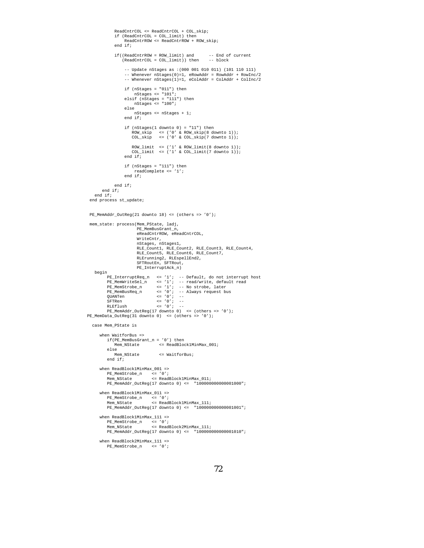```
ReadCntrCOL <= ReadCntrCOL + COL_skip;
                if (ReadCntrCOL = COL_limit) then
ReadCntrROW <= ReadCntrROW + ROW_skip;
               end if;
               if((ReadcntrROW = Row\_limit) and (ReadcntrCOL = COL\_limit)) then -- block(ReadcntrCOL = COL\_limit)) then
                      -- Update nStages as :(000 001 010 011) (101 110 111)
                      -- Whenever nStages(0)=1, eRowAddr = RowAddr + RowInc/2
-- Whenever nStages(1)=1, eColAddr = ColAddr + ColInc/2
                      if (nStages = "011") then
nStages <= "101";
elsif (nStages = "111") then
nStages <= "100";
                     else
                           nStages <= nStages + 1;
                     end if;
                      if (nStages(1 downto 0) = "11") then
ROW_skip <= ('0' & ROW_skip(8 downto 1));
COL_skip <= ('0' & COL_skip(7 downto 1));
                          ROW_limit <= ('1' & ROW_limit(8 downto 1));
COL_limit <= ('1' & COL_limit(7 downto 1));
                     end if;
                      if (nStages = "111") then
readComplete <= '1';
                     end if;
               end if;
        end if;
    end if;
 end process st_update;
 PE_MemAddr_OutReg(21 downto 18) <= (others => '0');
 mem_state: process(Mem_PState, ladj,
                            PE_MemBusGrant_n,
                             eReadCntrROW, eReadCntrCOL,
                            WriteCntr,
                            nStages, nStages1,
                             RLE_Count1, RLE_Count2, RLE_Count3, RLE_Count4,
                            RLE_Count5, RLE_Count6, RLE_Count7,
                            RLErunning2, RLEspellEnd2,
                            SFTRoutEn, SFTRout,
                            PE_InterruptAck_n)
    begin
            PE_InterruptReq_n <= '1'; -- Default, do not interrupt host<br>
PE_MemWriteSel_n <= '1'; -- read/write, default read<br>
PE_MemStrobe_n <= '1'; -- No strobe, later<br>
PE_MemSusReq_n <= '0'; -- Always request bus<br>
QUANTen <= '0'; -
           SFTRen <= '0'i<br>RLEflush <= '0'iRLEflush <= '0'; --
PE_MemAddr_OutReg(17 downto 0) <= (others => '0');
PE_MemData_OutReg(31 downto 0) <= (others => '0');
   case Mem_PState is
       when WaitforBus =>
            \begin{aligned} \texttt{if(PE_MemBusGrant\_n = '0') then} \\ \texttt{Mem_NState} \quad &\leq \texttt{ReadBlock1MinMax\_001}; \end{aligned}else<br>Mem_NState
                                        \leq WaitforBus;
           end if;
       when ReadBlock1MinMax_001 =>
            PE_MemStrobe_n <= '0';
Mem_NState <= ReadBlock1MinMax_011;
           PE_MemAddr_OutReg(17 downto 0) <= "100000000000001000";
       when ReadBlock1MinMax_011 =>
            PE_MemStrobe_n <= '0';
Mem_NState <= ReadBlock1MinMax_111;
           PE_MemAddr_OutReg(17 downto 0) <= "100000000000001001";
       when ReadBlock1MinMax 111 =>
            PE_MemStrobe_n <= '0';
Mem_NState <= ReadBlock2MinMax_111;
           PE_MemAddr_OutReg(17 downto 0) <= "100000000000001010";
       when ReadBlock2MinMax_111 =><br>PE\_MemStrobe\_n <= '0';
            PE MemStrobe n
```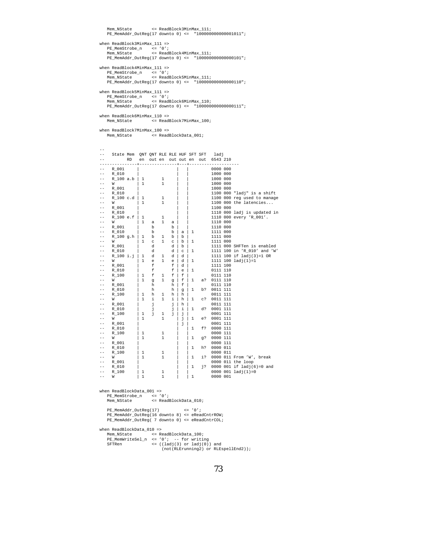```
Mem_NState <= ReadBlock3MinMax_111;
    PE_MemAddr_OutReg(17 downto 0) <= "100000000000001011";
when ReadBlock3MinMax_111 =>
     PE_MemStrobe_n <= '0';
Mem_NState <= ReadBlock4MinMax_111;
    PE_MemAddr_OutReg(17 downto 0) <= "100000000000000101";
when ReadBlock4MinMax_111 =>
     PE_MemStrobe_n <= '0';
Mem_NState <= ReadBlock5MinMax_111;
    PE_MemAddr_OutReg(17 downto 0) <= "100000000000000110";
when ReadBlock5MinMax 111 =>
     PE_MemStrobe_n <= '0';
Mem_NState <= ReadBlock6MinMax_110;
    PE_MemAddr_OutReg(17 downto 0) <= "100000000000000111";
when ReadBlock6MinMax_110 =><br>Mem_NState <= Read
                          -<br><= ReadBlock7MinMax_100;
when ReadBlock7MinMax_100 =><br>Mem_NState <= Read
                            = ReadBlockData 001;
--
-- State Mem QNT QNT RLE RLE HUF SFT SFT ladj
-- RD en out en out out en out 6543 210
-----------------<br>-- R 001
-- R_001 | | | 0000 000
-- R_010 | | | 1000 000
- R_100 a.b | 1 | 1<br>-- W | 1 | 1
-- W | 1 1 | | 1000 000
-- R_001 | | 1000 000<br>-- R_010 | | 1100 000
-- R_010 | | | 1100 000 "ladj" is a shift<br>-- R_100 c.d | 1 1 | 1100 000 regused to manage
-- R_100 c.d | 1 1 | | 1100 000 reg used to manage
-- W | 1 1 | | 1100 000 the latencies...
-- R_001 | | | 1100 000
-- R_010 | | | 1110 000 ladj is updated in
-- R_100 e.f | 1 1 | | | 1110 000 every 'R_001'.<br>
-- R_001 | | | | 1 | 1110 000 every 'R_001'.<br>
-- R_001 | | | | | 1110 000
-- W | 1 a 1 a | | 1110 000
-- R_001 | b b | | 1110 000<br>-- R_010 | b b | a | 1 1111 000
-- R_010 | b b |a|1 1111 000
-- R_100 g.h | 1 b 1 b | b | 1111 000<br>-- W | 1 c 1 c | b | 1 1111 000
-- R_001 | d d | b | 1111 000 SHFTen is enabled
-- R_010 | d d |c|1 1111 100 in 'R_010' and 'W'
-- R_100 i.j | 1 d 1 d | d | 1111 100 if ladj(3)=1 OR<br>-- W | 1 e 1 e | d | 1 1111 100 ladj(1)=1<br>-- R 001 | f | d | 1111 100
-- W | 1 e 1 e | d | 1 111 100 ladj(1)=1<br>-- R 001 | f f | d | 1111 100
-- R_001 | f f | d | 1111 100<br>-- R_010 | f f | e | 1 0111 110
-- R_010 | f f |e|1 0111 110<br>-- R_100 | 1 f 1 f |f | 0111 110<br>-- W | 1 q 1 q |f | 1 a? 0111 110
-- R_{-1} 100 | 1 f 1 f | \begin{bmatrix} 1 & f & 1 & f \\ 1 & g & 1 & g \end{bmatrix}-- W | 1 g 1 g | f | 1 a? 0111 110<br>-- R_001 | h | f | 0111 110
\begin{array}{ccccccccccc} -\text{.} & \text{R\_001} & & & \text{h} & & \text{h} & \text{f} & & & \text{0111 110} \\ -\text{.} & \text{R\_010} & & & & \text{h} & & \text{h} & \text{g} & \text{1} & \text{b?} & \text{0011 111} \\ -\text{.} & \text{R\_100} & & & \text{1} & \text{h} & \text{1} & \text{h} & & & \text{0011 111} \end{array}-- R_{010} | h h | g | 1 b? 0011 111<br>-- R_{100} | 1 h 1 h | h | 0011 111
-- R_{-}100 | 1 h 1 h | h<br>-- W | 1 i 1 i | h
-- W | 1 i 1 i | h | 1 c? 0011 111<br>-- R_001 | | j | j | h | 0011 111
-- R_001 | j j | h<br>-- R_010 | j j i
-- R_010 | j j | i | 1 d? 0001 111<br>-- R_100 | 1 j 1 j | j | 0001 111
\begin{array}{ccccccc} -- & & R\_100 & & & 1 & j & 1 & j & j & j & 0001 & 111 \\ -- & W & & & & 1 & & 1 & & j & 1 & e7 & 0001 & 111 \\ -- & & R\_001 & & & & & & & j & 0001 & 111 \\ \end{array}-- W | 1 1 | j | 1 e? 0001 111<br>-- R_001 | | | | | | | | | 0001 111
-- R_001 | | | | | | 0001 111<br>-- R_010 | | | 1 f? 0000 111
-- R_010 | | | 1 f? 0000 111<br>-- R_100 | 1 | 1 | | 0000 111
-- R_100 | 1 1 | | 0000 111
\begin{array}{ccccccc} -- & \!\! \mathsf{W} & & & \!\! \mathsf{1} & & \!\! \mathsf{1} & & \!\! \mathsf{1} & & \!\! \mathsf{1} & & \!\! \mathsf{1} & & \!\! \mathsf{g?} & \!\! 0000 & \!\! \mathsf{1} \mathsf{1} \ \mathsf{1} & & & \!\! \mathsf{R} & \mathsf{0} \mathsf{0} & & \!\! \mathsf{1} & & \!\! \mathsf{1} & & \!\! \mathsf{0} & & \!\! \mathsf{0} & \!\! \mathsf{1} & \!\! \mathsf{1} \end{array}-- R_001 | | | 0000 111
-- R_010 | | | 1 h? 0000 011
- R_100 | 1 1 | | 0000 011<br>
- W | 1 1 | 1 i 0000 011
-- W | 1 1 | 1 i? 0000 011 From 'W', break<br>-- R_001 | | | 0000 011 the loop
-- R_001 | | 0000 011 the loop<br>-- R_010 | | | 1 j? 0000 001 if ladj(6
- R_010 | | | 1 j? 0000 001 if ladj(6)=0 and<br>-- R_100 | 1 | | 0000 001 ladj(1)=0
       R_{-100} | 1 | 1 | 0000 001 ladj(1)=0<br>W | 1 1 | 1 0000 001
                                                                0000 001
when ReadBlockData_001 =>
     PE_MemStrobe_n <= '0';
Mem_NState <= ReadBlockData_010;
    PE_MemAddr_OutReg(17) <= '0';
     PE_MemAddr_OutReg(16 downto 8) <= eReadCntrROW;
PE_MemAddr_OutReg( 7 downto 0) <= eReadCntrCOL;
when ReadBlockData_010 =>
     Mem_NState <= ReadBlockData_100;
PE_MemWriteSel_n <= '0'; -- for writing
SFTRen <= ((ladj(3) or ladj(0)) and
                                    (not(RLErunning2) or RLEspellEnd2));
```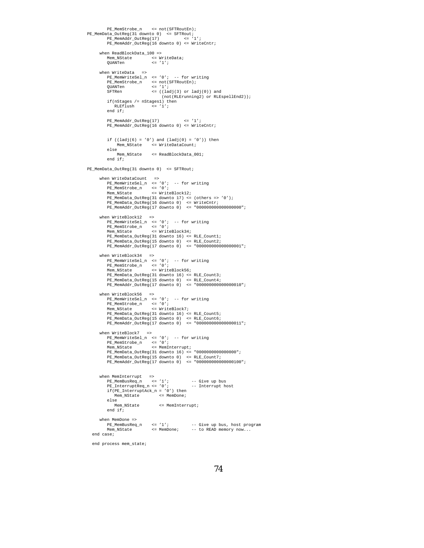```
PE_MemStrobe_n <= not(SFTRoutEn);
 PE_MemData_OutReg(31 downto 0) <= SFTRout;
PE_MemAddr_OutReg(17) <= '1';
              PE_MemAddr_OutReg(16 downto 0) <= WriteCntr;
         when ReadBlockData_100 =><br>Mem NState <= W
               Mem_NState <= WriteData;
QUANTen <= '1';
         when WriteData =>
               PE_MemWriteSel_n <= '0'; -- for writing<br>PE_MemStrobe_n <= not(SFTRoutEn);<br>QUANTen <= '1';<br>SFTRen <= '(ladj(3) or ladj(0)) and
               (not(RLErunning2) or RLEspellEnd2));
if(nStages /= nStages1) then
                   RLEflush <= '1';
               end if;
              PE_MemAddr_OutReg(17) <= '1';
              PE_MemAddr_OutReg(16 downto 0) <= WriteCntr;
              if ((ladj(6) = '0') and (ladj(0) = '0')) then
                     Mem_NState <= WriteDataCount;
               else
                    e<br>Mem NState     <= ReadBlockData_001;
              end if;
PE_MemData_OutReg(31 downto 0) <= SFTRout;
          when WriteDataCount =><br>
PE_MemWriteSel_n <= '0'; -- for writing<br>
PE_MemStrobe_n <= '0';<br>
Mem_NState <= WriteBlock12;<br>
PE_MemData_OutReg(31 downto 17) <= (others => '0');<br>
PE_MemData_OutReg(15 downto 0) <= WriteCntr;<br>
PE_M
         when WriteBlock12 =>
               PE_MemWriteSel_n <= '0';<br>PE_MemStrobe_n <= '0';<br>Mem_NState <= '0';<br>Mem_NState <= WriteBlock34;<br>PE_MemData_OutReg(31 downto 16) <= RLE_Count1;<br>PE_MemData_OutReg(15 downto 0) <= "00000000000000001";<br>PE_MemDada_OutReg(17 down
          when WriteBlock34 =><br>
PE_MemWriteSel_n <= '0'; -- for writing<br>
PE_MemStrobe_n <= '0';<br>
Mem_NState <= WriteBlock56;
               PE_MemData_OutReg(31 downto 16) <= RLE_Count3;<br>PE_MemData_OutReg(15 downto 0) <= RLE_Count4;<br>PE_MemData_OutReg(17 downto 0) <= "000000000000000010";
          when WriteBlock56 =>
PE_MemWriteSel_n <= '0'; -- for writing
               PE_MemStrobe_n <= '0';
Mem_NState <= WriteBlock7;
               PE_MemData_OutReg(31 downto 16) <= RLE_Count5;<br>PE_MemData_OutReg(15 downto 0) <= RLE_Count6;<br>PE_MemAddr_OutReg(17 downto 0) <= "000000000000000011";
         when WriteBlock7 =>
               PE_MemWriteSel_n <= '0'; -- for writing
PE_MemStrobe_n <= '0';
Mem_NState <= MemInterrupt;
               PE_MemData_OutReg(31 downto 16) <= "0000000000000000";<br>PE_MemData_OutReg(15 downto 0) <= "LE_Count7;<br>PE_MemAddr_OutReg(17 downto 0) <= "000000000000000000";
          when MemInterrupt =><br>PE_MemBusReq_n <= '1'; -- Give up bus<br>PE_InterruptReq_n <= '0'; -- Interrupt host
               if(PE_InterruptAck_n = '0') then
Mem_NState <= MemDone;
               else<br>Mem_NState
                                                    <= MemInterrupt;
              end if;
         when MemDone =>
               PE_MemBusReq_n <= '1'; -- Give up bus, host program<br>Mem_NState <= MemDone; -- to READ memory now...
    end case;
```

```
end process mem_state;
```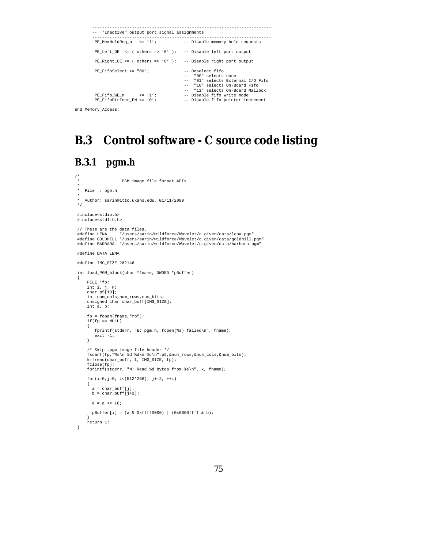```
------------------------------------------------------------------------
         -- "Inactive" output port signal assignments
          ------------------------------------------------------------------------
                                                      -- Disable memory hold requests
         PE Left OE \leq ( others => '0' ); -- Disable left port output
         PE\_Right\_OE \le (others = > '0'); -- Disable right port output
         PE_FifoSelect <= "00"; -- Deselect fifo
                                                         -- "00" selects none
-- "01" selects External I/O Fifo
           -- "10" selects On-Board Fifo"<br>-- "11" selects On-Board Mailbox<br>-- Disable fifo write mode - "1" -- Disable fifo write mode
         PE_Fifo_WE_n <= '1'; -- Disable fifo write mode<br>PE_FifoPtrIncr_EN <= '0'; -- Disable fifo pointer increment<br>PE_FifoPtrIncr_EN <= '0'; -- Disable fifo pointer increment
end Memory_Access;
```
# **B.3 Control software - C source code listing**

## **B.3.1 pgm.h**

```
/ ^\star_\starPGM image file format APIs
 *
* File : pgm.h
 *
* Author: sarin@ittc.ukans.edu, 01/11/2000
 */
 #include<stdio.h>
 #include<stdlib.h>
 // These are the data files.<br>#define LENA     "/users/sarin/wildforce/Wavelet/c.given/data/lena.pgm"<br>#define GOLDHILL "/users/sarin/wildforce/Wavelet/c.given/data/goldhill.pgm"
 #define BARBARA "/users/sarin/wildforce/Wavelet/c.given/data/barbara.pgm"
 #define DATA LENA
 #define IMG_SIZE 262146
 int load_PGM_block(char *fname, DWORD *pBuffer)
 {
     FILE *fp;
     int i, j, k;
      char p5[10];
      int num_cols,num_rows,num_bits;
unsigned char char_buff[IMG_SIZE];
     int a, b;
      fp = fopen(fname,"rb");
      if(fp == NULL){
         fprintf(stderr, "E: pgm.h, fopen(%s) failed\n", fname);
          ext -1;}
      /* Skip .pgm image file header */<br>fscanf(fp,"%s\n %d %d\n %d\n",p5,&num_rows,&num_cols,&num_bits);<br>k=fread(char_buff, 1, IMG_SIZE, fp);
      fclose(fp);
      fprintf(stderr, "N: Read %d bytes from %s\n", k, fname);
      for(i=0,j=0; i<(512*256); j+=2, ++i)
      {
        a = char buff[i];
       b = char buff[j+1];
        a = a \times 16;
      pBuffer[i] = (a & 0xffff0000) | (0x0000ffff & b);
}
      return 1;
 }
```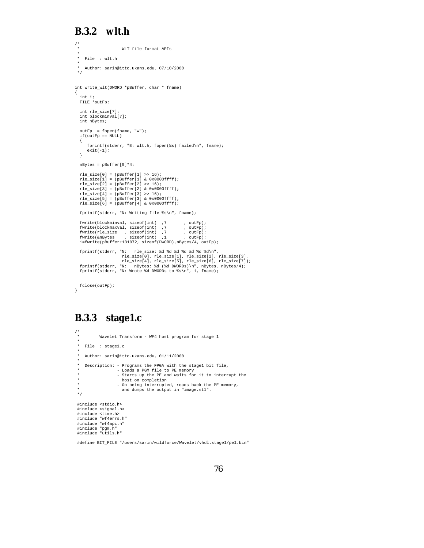#### **B.3.2 wlt.h**

```
/* ^{\star}WLT file format APIs
  *
* File : wlt.h
  *
* Author: sarin@ittc.ukans.edu, 07/10/2000
 */
int write_wlt(DWORD *pBuffer, char * fname)
{
  int i;
  FILE *outFp;
  int rle_size[7];
  int blockminval[7];
  int nBytes;
    outFp = fopen(fname, "w");
if(outFp == NULL)
   {
       fprintf(stderr, "E: wlt.h, fopen(%s) failed\n", fname);
       exit(-1);}
  nBytes = pBuffer[0]*4;
    rle_size[0] = (pBuffer[1] >> 16);<br>rle_size[1] = (pBuffer[1] & 0x0000ffff);<br>rle_size[2] = (pBuffer[1] & 0x0000ffff);<br>rle_size[3] = (pBuffer[2] & 0x0000ffff);<br>rle_size[4] = (pBuffer[3] >> 16);<br>rle_size[6] = (pBuffer[4] & 0x0
   fprintf(stderr, "N: Writing file %s\n", fname);
   fwrite(blockminval, sizeof(int) ,7 , outFp);
    fwrite(blockmaxval, sizeof(int) ,7 , outFp);
fwrite(rle_size , sizeof(int) ,7 , outFp);
fwrite(&nBytes , sizeof(int) ,1 , outFp);
   i=fwrite(pBuffer+131072, sizeof(DWORD),nBytes/4, outFp);
   fprintf(stderr, "N: rle_size: %d %d %d %d %d %d %d\n",
    rle_size[0], rle_size[1], rle_size[2], rle_size[3],<br>rle_size[4], rle_size[5], rle_size[6], rle_size[7]);<br>fprintf(stderr, "N: mBytes: %d (%d DWORDs)\m", mBytes, mBytes/4);<br>fprintf(stderr, "N: Wrote %d DWORDs to %s\n", i, fn
fclose(outFp);
}
```
### **B.3.3 stage1.c**

```
\frac{1}{\ast}Wavelet Transform - WF4 host program for stage 1
 *
   File : stage1.c
 *
* Author: sarin@ittc.ukans.edu, 01/11/2000
 *
* Description: - Programs the FPGA with the stage1 bit file,
                 - Loads a PGM file to PE memory
 * - Starts up the PE and waits for it to interrupt the
* host on completion
 * - On being interrupted, reads back the PE memory,
                    and dumps the output in "image.st1".
 */
#include <stdio.h>
 #include <signal.h>
 #include <time.h>
#include "wf4errs.h"
 #include "wf4api.h"
 #include "pgm.h"
#include "utils.h"
```

```
#define BIT FILE "/users/sarin/wildforce/Wavelet/vhdl.stage1/pe1.bin"
```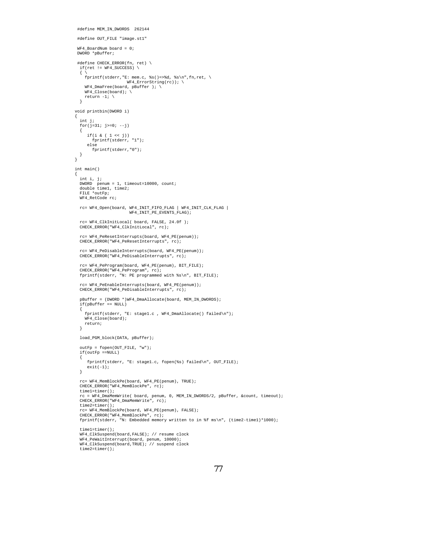```
#define MEM_IN_DWORDS 262144
 #define OUT_FILE "image.st1"
WF4 BoardNum board = 0;
DWORD *pBuffer;
 #define CHECK_ERROR(fn, ret) \
if(ret != WF4_SUCCESS) \
  \{ \ \ \}fprintf(stderr,"E: mem.c, %s()=>%d, %s\n",fn,ret, \<br>WF4_ErrorString(rc)); \
    WF4_DmaFree(board, pBuffer ); \
    WF4 Close(board); \
    return -1; \ \ \backslash}
void printbin(DWORD i)
{
 int j;
  for(j=31; j>=0; -j)
  {
     if(i & (1 << j))fprintf(stderr, "1");
else
        fprintf(stderr,"0");
 }
}
int main()
{
  int i, j;
  DWORD penum = 1, timeout=10000, count;
double time1, time2;
  FILE *outFp;
 WF4 RetCode rc;
  rc= WF4_Open(board, WF4_INIT_FIFO_FLAG | WF4_INIT_CLK_FLAG |
WF4_INIT_PE_EVENTS_FLAG);
  rc= WF4_ClkInitLocal( board, FALSE, 24.0f );
CHECK_ERROR("WF4_ClkInitLocal", rc);
  rc= WF4_PeResetInterrupts(board, WF4_PE(penum));
CHECK_ERROR("WF4_PeResetInterrupts", rc);
  rc= WF4_PeDisableInterrupts(board, WF4_PE(penum));
 CHECK_ERROR("WF4_PeDisableInterrupts", rc);
  rc= WF4_PeProgram(board, WF4_PE(penum), BIT_FILE);
  CHECK_ERROR("WF4_PeProgram", rc);
  fprintf(stderr, "N: PE programmed with %s\n", BIT_FILE);
  rc= WF4_PeEnableInterrupts(board, WF4_PE(penum));
  CHECK_ERROR("WF4_PeDisableInterrupts", rc);
  pBuffer = (DWORD *)WF4_DmaAllocate(board, MEM_IN_DWORDS);
  if(pBuffer == NULL)
  {
    fprintf(stderr, "E: stage1.c , WF4_DmaAllocate() failed\n");
    WF4_Close(board);
    return;
  }
 load_PGM_block(DATA, pBuffer);
  outFp = fopen(OUT_FILE, "w");
if(outFp ==NULL)
  {
     fprintf(stderr, "E: stage1.c, fopen(%s) failed\n", OUT_FILE);
     exit(-1);}
  rc= WF4_MemBlockPe(board, WF4_PE(penum), TRUE);
  CHECK_ERROR("WF4_MemBlockPe", rc);
  time1=timer();
  rc = WF4_DmaMemWrite( board, penum, 0, MEM_IN_DWORDS/2, pBuffer, &count, timeout);
  CHECK_ERROR("WF4_DmaMemWrite", rc);
  time2=timer();
  rc= WF4_MemBlockPe(board, WF4_PE(penum), FALSE);
  CHECK_ERROR("WF4_MemBlockPe", rc);
fprintf(stderr, "N: Embedded memory written to in %f ms\n", (time2-time1)*1000);
  time1=timer();
  WF4_ClkSuspend(board,FALSE); // resume clock
  WF4_PeWaitInterrupt(board, penum, 10000);
WF4_ClkSuspend(board,TRUE); // suspend clock
```

```
time2=timer();
```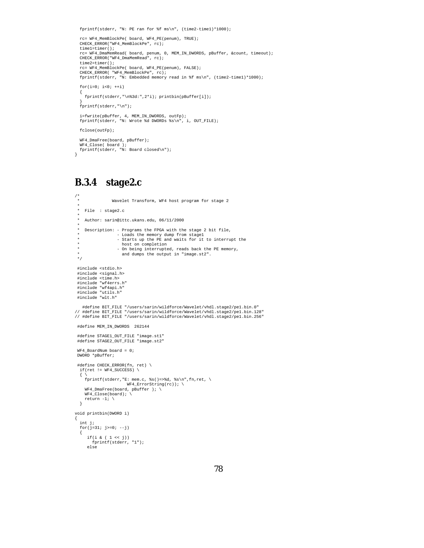fprintf(stderr, "N: PE ran for %f ms\n", (time2-time1)\*1000);

```
rc= WF4_MemBlockPe( board, WF4_PE(penum), TRUE);
CHECK_ERROR("WF4_MemBlockPe", rc);
time1=timer();
rc= WF4_DmaMemRead( board, penum, 0, MEM_IN_DWORDS, pBuffer, &count, timeout);
CHECK_ERROR("WF4_DmaMemRead", rc);
time2=timer();
rc= WF4_MemBlockPe( board, WF4_PE(penum), FALSE);
CHECK_ERROR( "WF4_MemBlockPe", rc);
fprintf(stderr, "N: Embedded memory read in %f ms\n", (time2-time1)*1000);
for(i=0; i<0; ++i){
  fprintf(stderr,"\n%3d:",2*i); printbin(pBuffer[i]);
}
fprintf(stderr,"\n");
i=fwrite(pBuffer, 4, MEM_IN_DWORDS, outFp);
fprintf(stderr, "N: Wrote %d DWORDs %s\n", i, OUT_FILE);
fclose(outFp);
```

```
WF4_DmaFree(board, pBuffer);
WF4_Close( board );
fprintf(stderr, "N: Board closed\n");
```
#### **B.3.4 stage2.c**

}

```
/*
                  Wavelet Transform, WF4 host program for stage 2
 *
* File : stage2.c
 *
* Author: sarin@ittc.ukans.edu, 06/11/2000
 *
* Description: - Programs the FPGA with the stage 2 bit file,
 * - Loads the memory dump from stage1
* - Starts up the PE and waits for it to interrupt the
                       host on completion
 * - On being interrupted, reads back the PE memory,
* and dumps the output in "image.st2".
 */
 #include <stdio.h>
 #include <signal.h>
 #include <time.h>
 #include "wf4errs.h"
#include "wf4api.h"
 #include "utils.h"
#include "wlt.h"
   #define BIT_FILE "/users/sarin/wildforce/Wavelet/vhdl.stage2/pe1.bin.0"
// #define BIT_FILE "/users/sarin/wildforce/Wavelet/vhdl.stage2/pe1.bin.128"
// #define BIT_FILE "/users/sarin/wildforce/Wavelet/vhdl.stage2/pe1.bin.256"
 #define MEM_IN_DWORDS 262144
 #define STAGE1_OUT_FILE "image.st1"
 #define STAGE2_OUT_FILE "image.st2"
 WF4_BoardNum board = 0;
 DWORD *pBuffer;
 #define CHECK_ERROR(fn, ret) \
  if(ret != WF4 SUCCESS) \
  \{ \ \ \lambdafprintf(stderr,"E: mem.c, %s()=>%d, %s\n",fn,ret, \
WF4_ErrorString(rc)); \
     WF4_DmaFree(board, pBuffer ); \
     WF4_Close(board); \
return -1; \
  }
void printbin(DWORD i)
{
  int j;
  for(j=31; j>=0; -j)
  {
      if(i & ( 1 << j))
fprintf(stderr, "1");
      else
```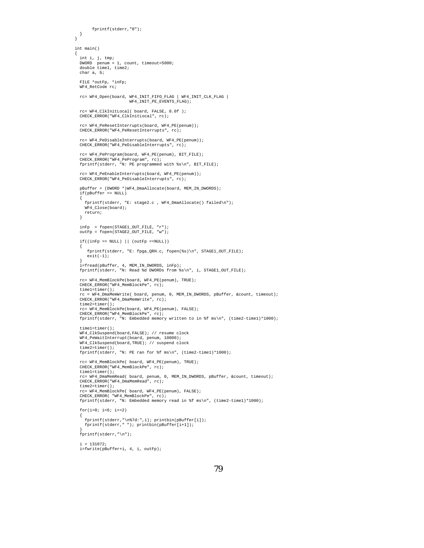```
fprintf(stderr,"0");
 }
}
int main()
{
  int i, j, tmp;
DWORD penum = 1, count, timeout=5000;
double time1, time2;
  char a, b;
  FILE *outFp, *inFp;
WF4_RetCode rc;
  rc= WF4_Open(board, WF4_INIT_FIFO_FLAG | WF4_INIT_CLK_FLAG |
                       WF4_INIT_PE_EVENTS_FLAG);
  rc= WF4_ClkInitLocal( board, FALSE, 8.0f );
 CHECK_ERROR("WF4_ClkInitLocal", rc);
  rc= WF4_PeResetInterrupts(board, WF4_PE(penum));
 CHECK_ERROR("WF4_PeResetInterrupts", rc)
  rc= WF4_PeDisableInterrupts(board, WF4_PE(penum));
 CHECK_ERROR("WF4_PeDisableInterrupts", rc);
  rc= WF4_PeProgram(board, WF4_PE(penum), BIT_FILE);
CHECK_ERROR("WF4_PeProgram", rc);
  fprintf(stderr, "N: PE programmed with %s\n", BIT_FILE);
  rc= WF4_PeEnableInterrupts(board, WF4_PE(penum));
  CHECK_ERROR("WF4_PeDisableInterrupts", rc);
  pBuffer = (DWORD *)WF4_DmaAllocate(board, MEM_IN_DWORDS);
  if(pBuffer == NULL)
  {
    fprintf(stderr, "E: stage2.c , WF4_DmaAllocate() failed\n");
    WF4_Close(board);
   return;
  }
  inFp = fopen(STAGE1_OUT_FILE, "r");
  outFp = fopen(STAGE2_OUT_FILE, "w");
  if((inFp == NULL) || (outFp == NULL)){
    fprintf(stderr, "E: fpga_QRH.c, fopen(%s)\n", STAGE1_OUT_FILE);
     exit(-1);}
i=fread(pBuffer, 4, MEM_IN_DWORDS, inFp);
  fprintf(stderr, "N: Read %d DWORDs from %s\n", i, STAGE1_OUT_FILE);
  rc= WF4_MemBlockPe(board, WF4_PE(penum), TRUE);
  CHECK_ERROR("WF4_MemBlockPe", rc);
  time1=timer();
  rc = WF4_DmaMemWrite( board, penum, 0, MEM_IN_DWORDS, pBuffer, &count, timeout);
  CHECK_ERROR("WF4_DmaMemWrite"
  time2=timer();
  rc= WF4_MemBlockPe(board, WF4_PE(penum), FALSE);
  CHECK_ERROR("WF4_MemBlockPe", rc);
  fprintf(stderr, "N: Embedded memory written to in %f ms\n", (time2-time1)*1000);
  time1=timer();
  WF4_ClkSuspend(board,FALSE); // resume clock
  WF4_PeWaitInterrupt(board, penum, 10000);
  WF4_ClkSuspend(board,TRUE); // suspend clock
  time2=timer();
  fprintf(stderr, "N: PE ran for %f ms\n", (time2-time1)*1000);
  rc= WF4_MemBlockPe( board, WF4_PE(penum), TRUE);
  CHECK_ERROR("WF4_MemBlockPe", rc);
  time1=timer();
  rc= WF4_DmaMemRead( board, penum, 0, MEM_IN_DWORDS, pBuffer, &count, timeout);
  CHECK_ERROR("WF4_DmaMemRead", rc);
  time2=timer();
  rc= WF4_MemBlockPe( board, WF4_PE(penum), FALSE);
  CHECK_ERROR( "WF4_MemBlockPe", rc);
  fprintf(stderr, "N: Embedded memory read in %f ms\n", (time2-time1)*1000);
  for(i=0; i<6; i=2){
    fprintf(stderr,"\n%7d:",i); printbin(pBuffer[i]);
fprintf(stderr," "); printbin(pBuffer[i+1]);
  }
fprintf(stderr,"\n");
  i = 131072;i=fwrite(pBuffer+i, 4, i, outFp);
```

```
79
```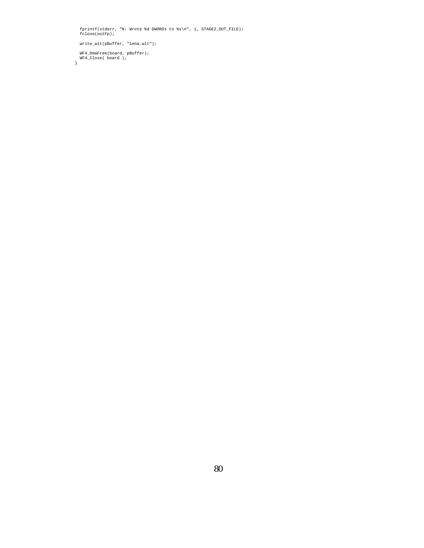fprintf(stderr, "N: Wrote %d DWORDs to %s\n", i, STAGE2\_OUT\_FILE); fclose(outFp);

write\_wlt(pBuffer, "lena.wlt");

WF4\_DmaFree(board, pBuffer); WF4\_Close( board ); }